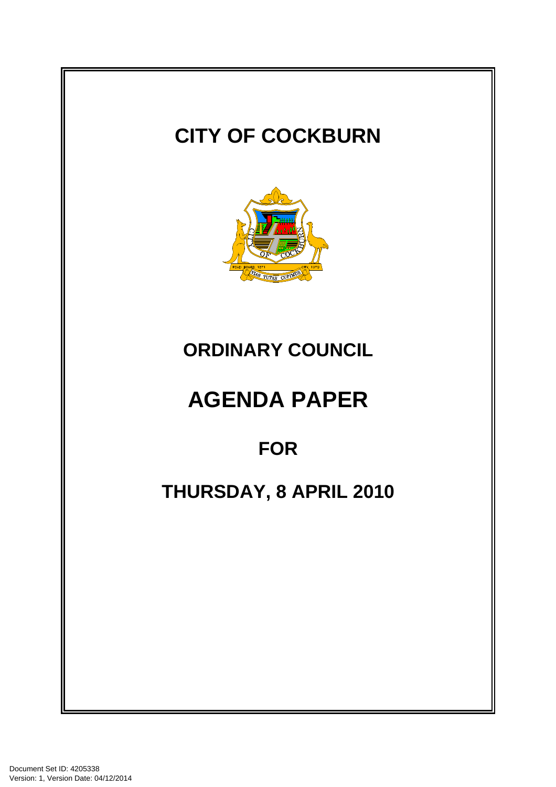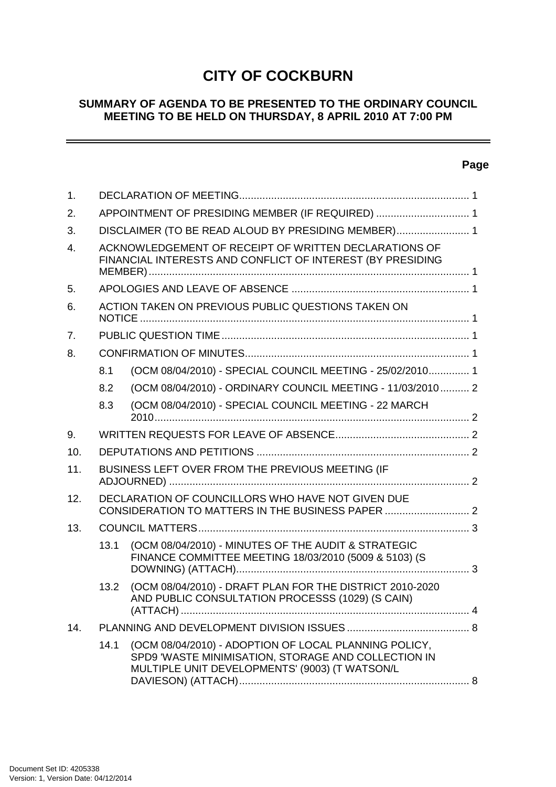# **CITY OF COCKBURN**

## **SUMMARY OF AGENDA TO BE PRESENTED TO THE ORDINARY COUNCIL MEETING TO BE HELD ON THURSDAY, 8 APRIL 2010 AT 7:00 PM**

## **Page**

 $\sim$   $\sim$ 

| 1.             |                                                                                                                     |                                                                                                                                                                |  |  |  |
|----------------|---------------------------------------------------------------------------------------------------------------------|----------------------------------------------------------------------------------------------------------------------------------------------------------------|--|--|--|
| 2.             | APPOINTMENT OF PRESIDING MEMBER (IF REQUIRED)  1                                                                    |                                                                                                                                                                |  |  |  |
| 3.             | DISCLAIMER (TO BE READ ALOUD BY PRESIDING MEMBER) 1                                                                 |                                                                                                                                                                |  |  |  |
| $\mathbf{4}$ . | ACKNOWLEDGEMENT OF RECEIPT OF WRITTEN DECLARATIONS OF<br>FINANCIAL INTERESTS AND CONFLICT OF INTEREST (BY PRESIDING |                                                                                                                                                                |  |  |  |
| 5.             |                                                                                                                     |                                                                                                                                                                |  |  |  |
| 6.             | ACTION TAKEN ON PREVIOUS PUBLIC QUESTIONS TAKEN ON                                                                  |                                                                                                                                                                |  |  |  |
| 7.             |                                                                                                                     |                                                                                                                                                                |  |  |  |
| 8.             |                                                                                                                     |                                                                                                                                                                |  |  |  |
|                | 8.1                                                                                                                 | (OCM 08/04/2010) - SPECIAL COUNCIL MEETING - 25/02/2010 1                                                                                                      |  |  |  |
|                | 8.2                                                                                                                 | (OCM 08/04/2010) - ORDINARY COUNCIL MEETING - 11/03/2010 2                                                                                                     |  |  |  |
|                | 8.3                                                                                                                 | (OCM 08/04/2010) - SPECIAL COUNCIL MEETING - 22 MARCH                                                                                                          |  |  |  |
| 9.             |                                                                                                                     |                                                                                                                                                                |  |  |  |
| 10.            |                                                                                                                     |                                                                                                                                                                |  |  |  |
| 11.            | BUSINESS LEFT OVER FROM THE PREVIOUS MEETING (IF                                                                    |                                                                                                                                                                |  |  |  |
| 12.            | DECLARATION OF COUNCILLORS WHO HAVE NOT GIVEN DUE                                                                   |                                                                                                                                                                |  |  |  |
| 13.            |                                                                                                                     |                                                                                                                                                                |  |  |  |
|                | 13.1                                                                                                                | (OCM 08/04/2010) - MINUTES OF THE AUDIT & STRATEGIC<br>FINANCE COMMITTEE MEETING 18/03/2010 (5009 & 5103) (S                                                   |  |  |  |
|                | 13.2                                                                                                                | (OCM 08/04/2010) - DRAFT PLAN FOR THE DISTRICT 2010-2020<br>AND PUBLIC CONSULTATION PROCESSS (1029) (S CAIN)                                                   |  |  |  |
| 14.            |                                                                                                                     |                                                                                                                                                                |  |  |  |
|                | 14.1                                                                                                                | (OCM 08/04/2010) - ADOPTION OF LOCAL PLANNING POLICY,<br>SPD9 'WASTE MINIMISATION, STORAGE AND COLLECTION IN<br>MULTIPLE UNIT DEVELOPMENTS' (9003) (T WATSON/L |  |  |  |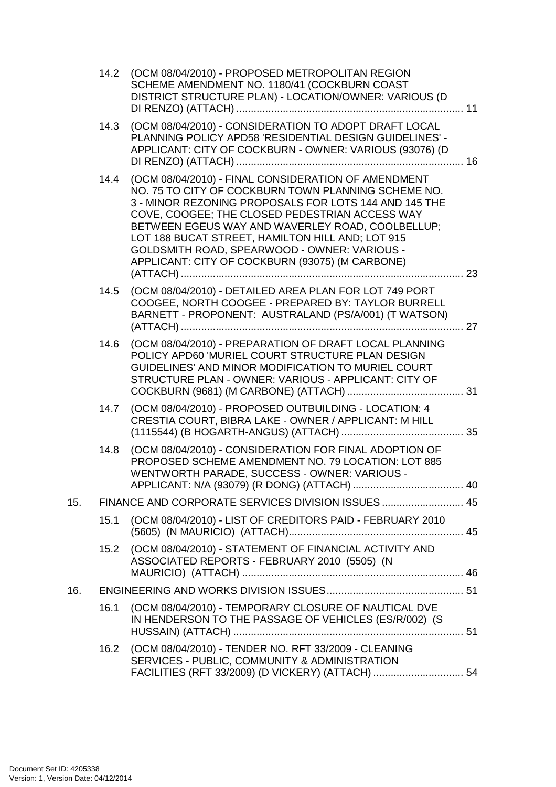|     | 14.2 | (OCM 08/04/2010) - PROPOSED METROPOLITAN REGION<br>SCHEME AMENDMENT NO. 1180/41 (COCKBURN COAST<br>DISTRICT STRUCTURE PLAN) - LOCATION/OWNER: VARIOUS (D                                                                                                                                                                                                                                                                         |  |  |
|-----|------|----------------------------------------------------------------------------------------------------------------------------------------------------------------------------------------------------------------------------------------------------------------------------------------------------------------------------------------------------------------------------------------------------------------------------------|--|--|
|     | 14.3 | (OCM 08/04/2010) - CONSIDERATION TO ADOPT DRAFT LOCAL<br>PLANNING POLICY APD58 'RESIDENTIAL DESIGN GUIDELINES' -<br>APPLICANT: CITY OF COCKBURN - OWNER: VARIOUS (93076) (D                                                                                                                                                                                                                                                      |  |  |
|     | 14.4 | (OCM 08/04/2010) - FINAL CONSIDERATION OF AMENDMENT<br>NO. 75 TO CITY OF COCKBURN TOWN PLANNING SCHEME NO.<br>3 - MINOR REZONING PROPOSALS FOR LOTS 144 AND 145 THE<br>COVE, COOGEE; THE CLOSED PEDESTRIAN ACCESS WAY<br>BETWEEN EGEUS WAY AND WAVERLEY ROAD, COOLBELLUP;<br>LOT 188 BUCAT STREET, HAMILTON HILL AND; LOT 915<br>GOLDSMITH ROAD, SPEARWOOD - OWNER: VARIOUS -<br>APPLICANT: CITY OF COCKBURN (93075) (M CARBONE) |  |  |
|     | 14.5 | (OCM 08/04/2010) - DETAILED AREA PLAN FOR LOT 749 PORT<br>COOGEE, NORTH COOGEE - PREPARED BY: TAYLOR BURRELL<br>BARNETT - PROPONENT: AUSTRALAND (PS/A/001) (T WATSON)                                                                                                                                                                                                                                                            |  |  |
|     | 14.6 | (OCM 08/04/2010) - PREPARATION OF DRAFT LOCAL PLANNING<br>POLICY APD60 'MURIEL COURT STRUCTURE PLAN DESIGN<br>GUIDELINES' AND MINOR MODIFICATION TO MURIEL COURT<br>STRUCTURE PLAN - OWNER: VARIOUS - APPLICANT: CITY OF                                                                                                                                                                                                         |  |  |
|     | 14.7 | (OCM 08/04/2010) - PROPOSED OUTBUILDING - LOCATION: 4<br>CRESTIA COURT, BIBRA LAKE - OWNER / APPLICANT: M HILL                                                                                                                                                                                                                                                                                                                   |  |  |
|     | 14.8 | (OCM 08/04/2010) - CONSIDERATION FOR FINAL ADOPTION OF<br>PROPOSED SCHEME AMENDMENT NO. 79 LOCATION: LOT 885<br>WENTWORTH PARADE, SUCCESS - OWNER: VARIOUS -                                                                                                                                                                                                                                                                     |  |  |
| 15. |      | FINANCE AND CORPORATE SERVICES DIVISION ISSUES  45                                                                                                                                                                                                                                                                                                                                                                               |  |  |
|     | 15.1 | (OCM 08/04/2010) - LIST OF CREDITORS PAID - FEBRUARY 2010                                                                                                                                                                                                                                                                                                                                                                        |  |  |
|     | 15.2 | (OCM 08/04/2010) - STATEMENT OF FINANCIAL ACTIVITY AND<br>ASSOCIATED REPORTS - FEBRUARY 2010 (5505) (N                                                                                                                                                                                                                                                                                                                           |  |  |
| 16. |      |                                                                                                                                                                                                                                                                                                                                                                                                                                  |  |  |
|     | 16.1 | (OCM 08/04/2010) - TEMPORARY CLOSURE OF NAUTICAL DVE<br>IN HENDERSON TO THE PASSAGE OF VEHICLES (ES/R/002) (S                                                                                                                                                                                                                                                                                                                    |  |  |
|     | 16.2 | (OCM 08/04/2010) - TENDER NO. RFT 33/2009 - CLEANING<br>SERVICES - PUBLIC, COMMUNITY & ADMINISTRATION<br>FACILITIES (RFT 33/2009) (D VICKERY) (ATTACH)  54                                                                                                                                                                                                                                                                       |  |  |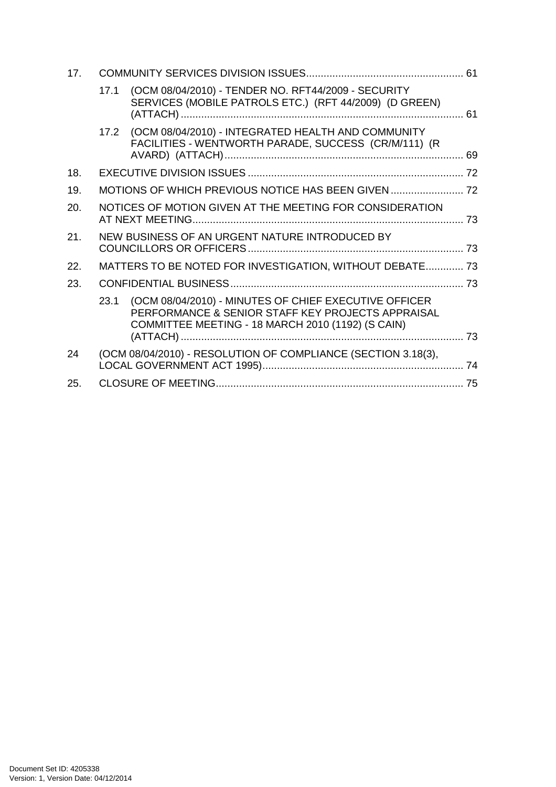| 17. |      |                                                                                                                                                                 |  |  |
|-----|------|-----------------------------------------------------------------------------------------------------------------------------------------------------------------|--|--|
|     | 17.1 | (OCM 08/04/2010) - TENDER NO. RFT44/2009 - SECURITY<br>SERVICES (MOBILE PATROLS ETC.) (RFT 44/2009) (D GREEN)                                                   |  |  |
|     | 17.2 | (OCM 08/04/2010) - INTEGRATED HEALTH AND COMMUNITY<br>FACILITIES - WENTWORTH PARADE, SUCCESS (CR/M/111) (R                                                      |  |  |
| 18. |      |                                                                                                                                                                 |  |  |
| 19. |      |                                                                                                                                                                 |  |  |
| 20. |      | NOTICES OF MOTION GIVEN AT THE MEETING FOR CONSIDERATION                                                                                                        |  |  |
| 21. |      | NEW BUSINESS OF AN URGENT NATURE INTRODUCED BY                                                                                                                  |  |  |
| 22. |      | MATTERS TO BE NOTED FOR INVESTIGATION, WITHOUT DEBATE 73                                                                                                        |  |  |
| 23. |      |                                                                                                                                                                 |  |  |
|     | 23.1 | (OCM 08/04/2010) - MINUTES OF CHIEF EXECUTIVE OFFICER<br>PERFORMANCE & SENIOR STAFF KEY PROJECTS APPRAISAL<br>COMMITTEE MEETING - 18 MARCH 2010 (1192) (S CAIN) |  |  |
|     |      |                                                                                                                                                                 |  |  |
| 24  |      | (OCM 08/04/2010) - RESOLUTION OF COMPLIANCE (SECTION 3.18(3),                                                                                                   |  |  |
| 25. |      |                                                                                                                                                                 |  |  |
|     |      |                                                                                                                                                                 |  |  |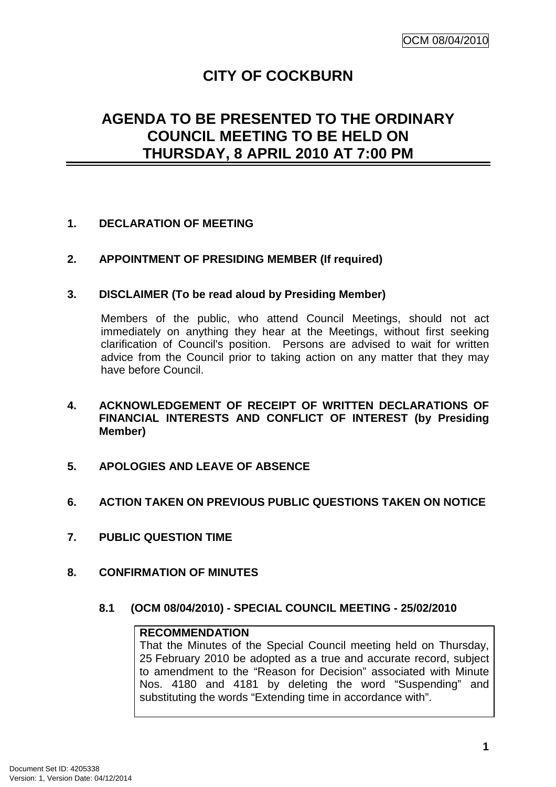## **CITY OF COCKBURN**

## **AGENDA TO BE PRESENTED TO THE ORDINARY COUNCIL MEETING TO BE HELD ON THURSDAY, 8 APRIL 2010 AT 7:00 PM**

## **1. DECLARATION OF MEETING**

#### **2. APPOINTMENT OF PRESIDING MEMBER (If required)**

#### **3. DISCLAIMER (To be read aloud by Presiding Member)**

Members of the public, who attend Council Meetings, should not act immediately on anything they hear at the Meetings, without first seeking clarification of Council's position. Persons are advised to wait for written advice from the Council prior to taking action on any matter that they may have before Council.

- **4. ACKNOWLEDGEMENT OF RECEIPT OF WRITTEN DECLARATIONS OF FINANCIAL INTERESTS AND CONFLICT OF INTEREST (by Presiding Member)**
- **5. APOLOGIES AND LEAVE OF ABSENCE**
- **6. ACTION TAKEN ON PREVIOUS PUBLIC QUESTIONS TAKEN ON NOTICE**
- **7. PUBLIC QUESTION TIME**
- **8. CONFIRMATION OF MINUTES** 
	- **8.1 (OCM 08/04/2010) SPECIAL COUNCIL MEETING 25/02/2010**

#### **RECOMMENDATION**

That the Minutes of the Special Council meeting held on Thursday, 25 February 2010 be adopted as a true and accurate record, subject to amendment to the "Reason for Decision" associated with Minute Nos. 4180 and 4181 by deleting the word "Suspending" and substituting the words "Extending time in accordance with".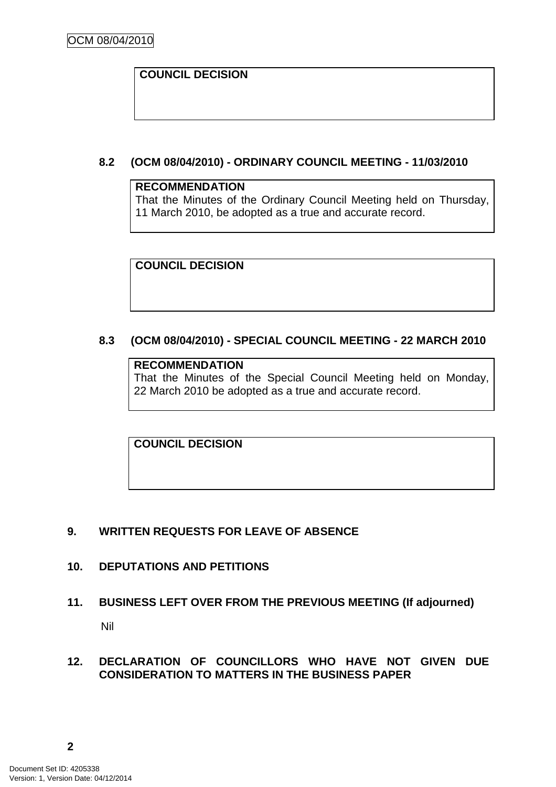## **COUNCIL DECISION**

## **8.2 (OCM 08/04/2010) - ORDINARY COUNCIL MEETING - 11/03/2010**

#### **RECOMMENDATION**

That the Minutes of the Ordinary Council Meeting held on Thursday, 11 March 2010, be adopted as a true and accurate record.

**COUNCIL DECISION** 

## **8.3 (OCM 08/04/2010) - SPECIAL COUNCIL MEETING - 22 MARCH 2010**

#### **RECOMMENDATION**

That the Minutes of the Special Council Meeting held on Monday, 22 March 2010 be adopted as a true and accurate record.

**COUNCIL DECISION** 

#### **9. WRITTEN REQUESTS FOR LEAVE OF ABSENCE**

#### **10. DEPUTATIONS AND PETITIONS**

#### **11. BUSINESS LEFT OVER FROM THE PREVIOUS MEETING (If adjourned)**

Nil

#### **12. DECLARATION OF COUNCILLORS WHO HAVE NOT GIVEN DUE CONSIDERATION TO MATTERS IN THE BUSINESS PAPER**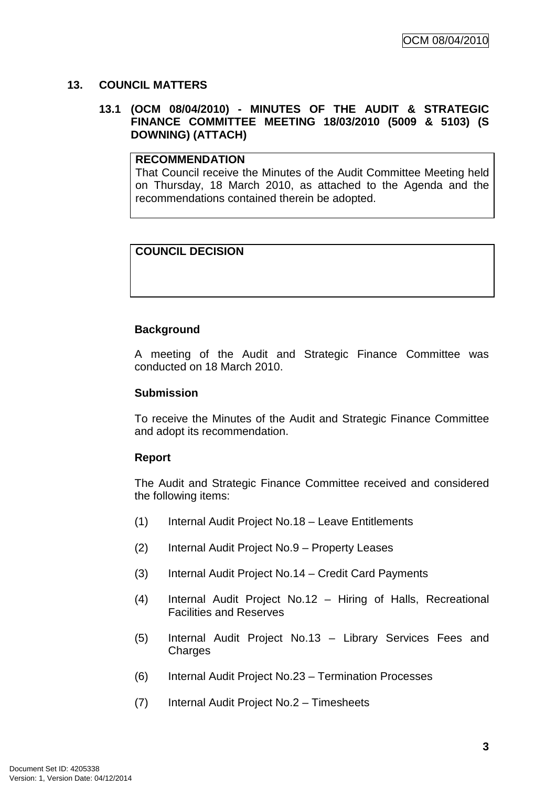## **13. COUNCIL MATTERS**

### **13.1 (OCM 08/04/2010) - MINUTES OF THE AUDIT & STRATEGIC FINANCE COMMITTEE MEETING 18/03/2010 (5009 & 5103) (S DOWNING) (ATTACH)**

#### **RECOMMENDATION**

That Council receive the Minutes of the Audit Committee Meeting held on Thursday, 18 March 2010, as attached to the Agenda and the recommendations contained therein be adopted.

## **COUNCIL DECISION**

## **Background**

A meeting of the Audit and Strategic Finance Committee was conducted on 18 March 2010.

#### **Submission**

To receive the Minutes of the Audit and Strategic Finance Committee and adopt its recommendation.

#### **Report**

The Audit and Strategic Finance Committee received and considered the following items:

- (1) Internal Audit Project No.18 Leave Entitlements
- (2) Internal Audit Project No.9 Property Leases
- (3) Internal Audit Project No.14 Credit Card Payments
- (4) Internal Audit Project No.12 Hiring of Halls, Recreational Facilities and Reserves
- (5) Internal Audit Project No.13 Library Services Fees and **Charges**
- (6) Internal Audit Project No.23 Termination Processes
- (7) Internal Audit Project No.2 Timesheets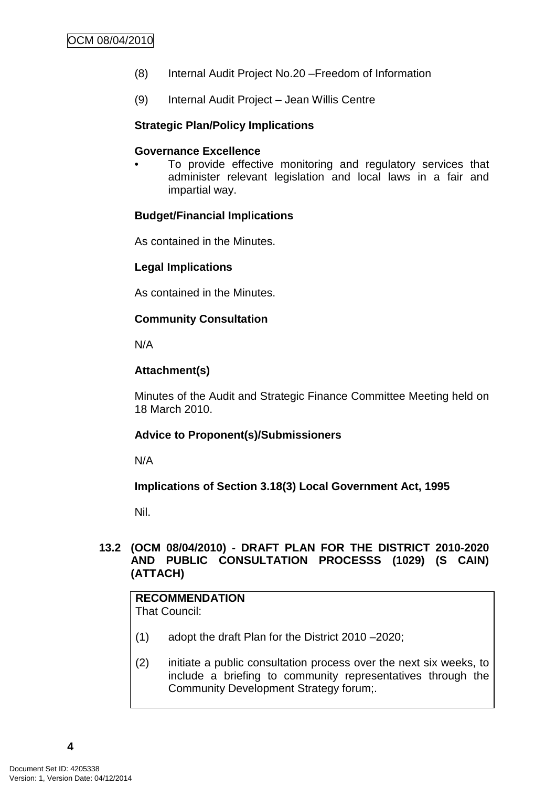- (8) Internal Audit Project No.20 –Freedom of Information
- (9) Internal Audit Project Jean Willis Centre

#### **Strategic Plan/Policy Implications**

#### **Governance Excellence**

To provide effective monitoring and regulatory services that administer relevant legislation and local laws in a fair and impartial way.

#### **Budget/Financial Implications**

As contained in the Minutes.

#### **Legal Implications**

As contained in the Minutes.

#### **Community Consultation**

N/A

#### **Attachment(s)**

Minutes of the Audit and Strategic Finance Committee Meeting held on 18 March 2010.

#### **Advice to Proponent(s)/Submissioners**

N/A

#### **Implications of Section 3.18(3) Local Government Act, 1995**

Nil.

## **13.2 (OCM 08/04/2010) - DRAFT PLAN FOR THE DISTRICT 2010-2020 AND PUBLIC CONSULTATION PROCESSS (1029) (S CAIN) (ATTACH)**

## **RECOMMENDATION**

That Council:

- (1) adopt the draft Plan for the District 2010 –2020;
- (2) initiate a public consultation process over the next six weeks, to include a briefing to community representatives through the Community Development Strategy forum;.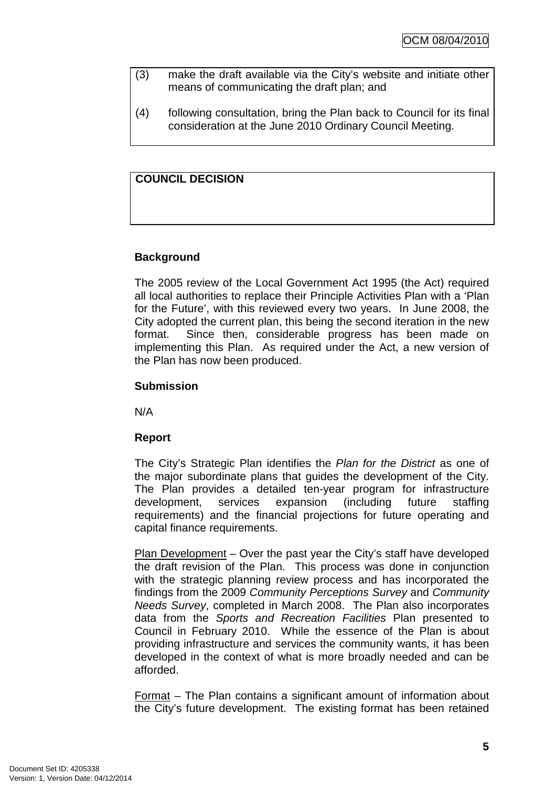- (3) make the draft available via the City's website and initiate other means of communicating the draft plan; and
- (4) following consultation, bring the Plan back to Council for its final consideration at the June 2010 Ordinary Council Meeting.

## **COUNCIL DECISION**

## **Background**

The 2005 review of the Local Government Act 1995 (the Act) required all local authorities to replace their Principle Activities Plan with a 'Plan for the Future', with this reviewed every two years. In June 2008, the City adopted the current plan, this being the second iteration in the new format. Since then, considerable progress has been made on implementing this Plan. As required under the Act, a new version of the Plan has now been produced.

## **Submission**

N/A

## **Report**

The City's Strategic Plan identifies the Plan for the District as one of the major subordinate plans that guides the development of the City. The Plan provides a detailed ten-year program for infrastructure development, services expansion (including future staffing requirements) and the financial projections for future operating and capital finance requirements.

Plan Development – Over the past year the City's staff have developed the draft revision of the Plan. This process was done in conjunction with the strategic planning review process and has incorporated the findings from the 2009 Community Perceptions Survey and Community Needs Survey, completed in March 2008. The Plan also incorporates data from the Sports and Recreation Facilities Plan presented to Council in February 2010. While the essence of the Plan is about providing infrastructure and services the community wants, it has been developed in the context of what is more broadly needed and can be afforded.

Format – The Plan contains a significant amount of information about the City's future development. The existing format has been retained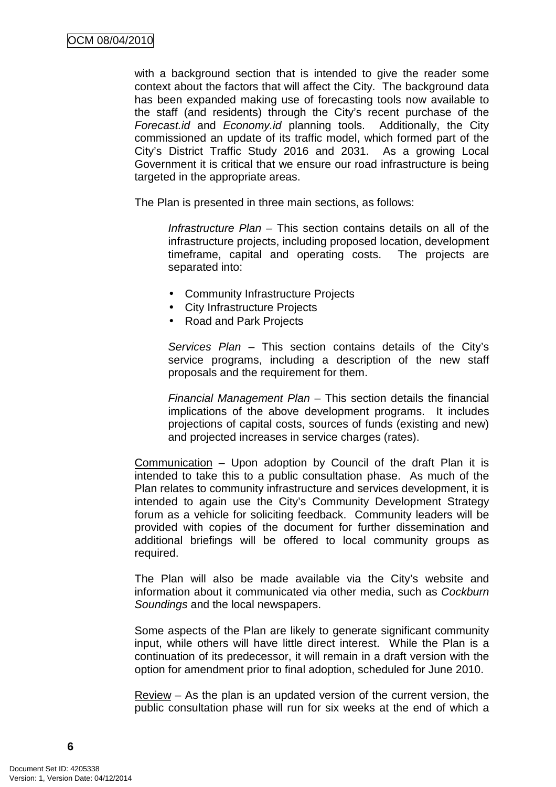with a background section that is intended to give the reader some context about the factors that will affect the City. The background data has been expanded making use of forecasting tools now available to the staff (and residents) through the City's recent purchase of the Forecast.id and Economy.id planning tools. Additionally, the City commissioned an update of its traffic model, which formed part of the City's District Traffic Study 2016 and 2031. As a growing Local Government it is critical that we ensure our road infrastructure is being targeted in the appropriate areas.

The Plan is presented in three main sections, as follows:

Infrastructure Plan – This section contains details on all of the infrastructure projects, including proposed location, development timeframe, capital and operating costs. The projects are separated into:

- Community Infrastructure Projects
- City Infrastructure Projects
- Road and Park Projects

Services Plan – This section contains details of the City's service programs, including a description of the new staff proposals and the requirement for them.

Financial Management Plan – This section details the financial implications of the above development programs. It includes projections of capital costs, sources of funds (existing and new) and projected increases in service charges (rates).

Communication – Upon adoption by Council of the draft Plan it is intended to take this to a public consultation phase. As much of the Plan relates to community infrastructure and services development, it is intended to again use the City's Community Development Strategy forum as a vehicle for soliciting feedback. Community leaders will be provided with copies of the document for further dissemination and additional briefings will be offered to local community groups as required.

The Plan will also be made available via the City's website and information about it communicated via other media, such as Cockburn Soundings and the local newspapers.

Some aspects of the Plan are likely to generate significant community input, while others will have little direct interest. While the Plan is a continuation of its predecessor, it will remain in a draft version with the option for amendment prior to final adoption, scheduled for June 2010.

Review – As the plan is an updated version of the current version, the public consultation phase will run for six weeks at the end of which a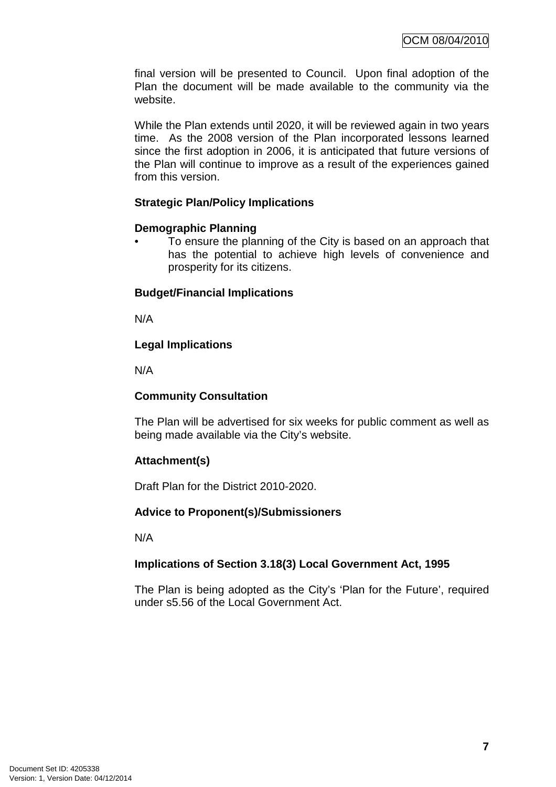final version will be presented to Council. Upon final adoption of the Plan the document will be made available to the community via the website.

While the Plan extends until 2020, it will be reviewed again in two years time. As the 2008 version of the Plan incorporated lessons learned since the first adoption in 2006, it is anticipated that future versions of the Plan will continue to improve as a result of the experiences gained from this version.

## **Strategic Plan/Policy Implications**

#### **Demographic Planning**

• To ensure the planning of the City is based on an approach that has the potential to achieve high levels of convenience and prosperity for its citizens.

## **Budget/Financial Implications**

N/A

## **Legal Implications**

N/A

## **Community Consultation**

The Plan will be advertised for six weeks for public comment as well as being made available via the City's website.

## **Attachment(s)**

Draft Plan for the District 2010-2020.

## **Advice to Proponent(s)/Submissioners**

N/A

## **Implications of Section 3.18(3) Local Government Act, 1995**

The Plan is being adopted as the City's 'Plan for the Future', required under s5.56 of the Local Government Act.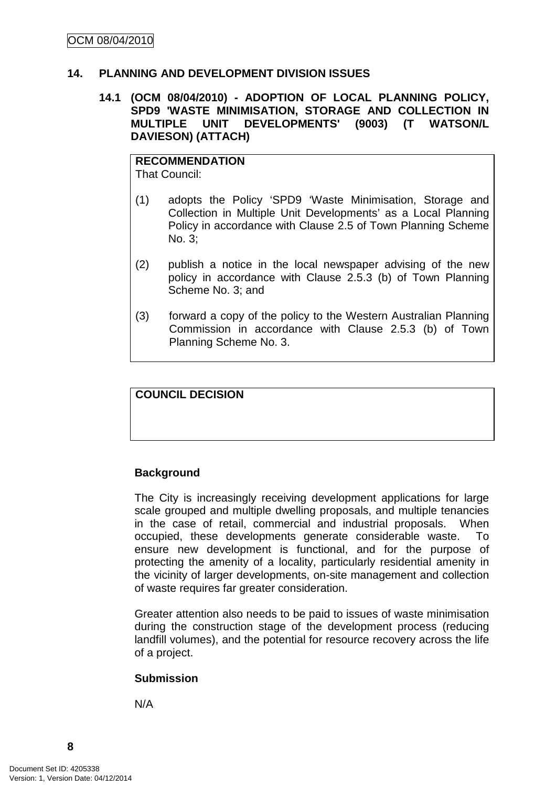#### **14. PLANNING AND DEVELOPMENT DIVISION ISSUES**

#### **14.1 (OCM 08/04/2010) - ADOPTION OF LOCAL PLANNING POLICY, SPD9 'WASTE MINIMISATION, STORAGE AND COLLECTION IN MULTIPLE UNIT DEVELOPMENTS' (9003) (T WATSON/L DAVIESON) (ATTACH)**

#### **RECOMMENDATION** That Council:

- (1) adopts the Policy 'SPD9 'Waste Minimisation, Storage and Collection in Multiple Unit Developments' as a Local Planning Policy in accordance with Clause 2.5 of Town Planning Scheme No. 3;
- (2) publish a notice in the local newspaper advising of the new policy in accordance with Clause 2.5.3 (b) of Town Planning Scheme No. 3; and
- (3) forward a copy of the policy to the Western Australian Planning Commission in accordance with Clause 2.5.3 (b) of Town Planning Scheme No. 3.

### **COUNCIL DECISION**

## **Background**

The City is increasingly receiving development applications for large scale grouped and multiple dwelling proposals, and multiple tenancies in the case of retail, commercial and industrial proposals. When occupied, these developments generate considerable waste. To ensure new development is functional, and for the purpose of protecting the amenity of a locality, particularly residential amenity in the vicinity of larger developments, on-site management and collection of waste requires far greater consideration.

Greater attention also needs to be paid to issues of waste minimisation during the construction stage of the development process (reducing landfill volumes), and the potential for resource recovery across the life of a project.

#### **Submission**

N/A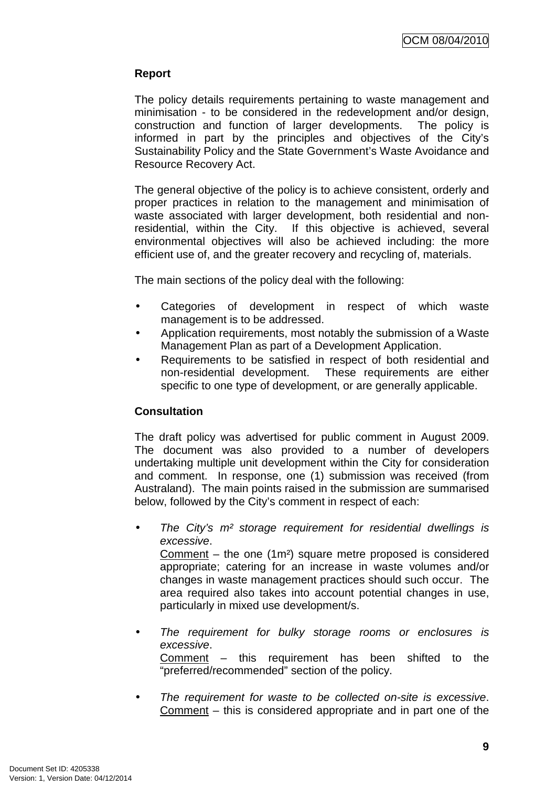## **Report**

The policy details requirements pertaining to waste management and minimisation - to be considered in the redevelopment and/or design, construction and function of larger developments. The policy is informed in part by the principles and objectives of the City's Sustainability Policy and the State Government's Waste Avoidance and Resource Recovery Act.

The general objective of the policy is to achieve consistent, orderly and proper practices in relation to the management and minimisation of waste associated with larger development, both residential and nonresidential, within the City. If this objective is achieved, several environmental objectives will also be achieved including: the more efficient use of, and the greater recovery and recycling of, materials.

The main sections of the policy deal with the following:

- Categories of development in respect of which waste management is to be addressed.
- Application requirements, most notably the submission of a Waste Management Plan as part of a Development Application.
- Requirements to be satisfied in respect of both residential and non-residential development. These requirements are either specific to one type of development, or are generally applicable.

## **Consultation**

The draft policy was advertised for public comment in August 2009. The document was also provided to a number of developers undertaking multiple unit development within the City for consideration and comment. In response, one (1) submission was received (from Australand). The main points raised in the submission are summarised below, followed by the City's comment in respect of each:

The City's  $m<sup>2</sup>$  storage requirement for residential dwellings is excessive.

Comment – the one (1m²) square metre proposed is considered appropriate; catering for an increase in waste volumes and/or changes in waste management practices should such occur. The area required also takes into account potential changes in use, particularly in mixed use development/s.

The requirement for bulky storage rooms or enclosures is excessive. Comment – this requirement has been shifted to the

"preferred/recommended" section of the policy.

• The requirement for waste to be collected on-site is excessive. Comment – this is considered appropriate and in part one of the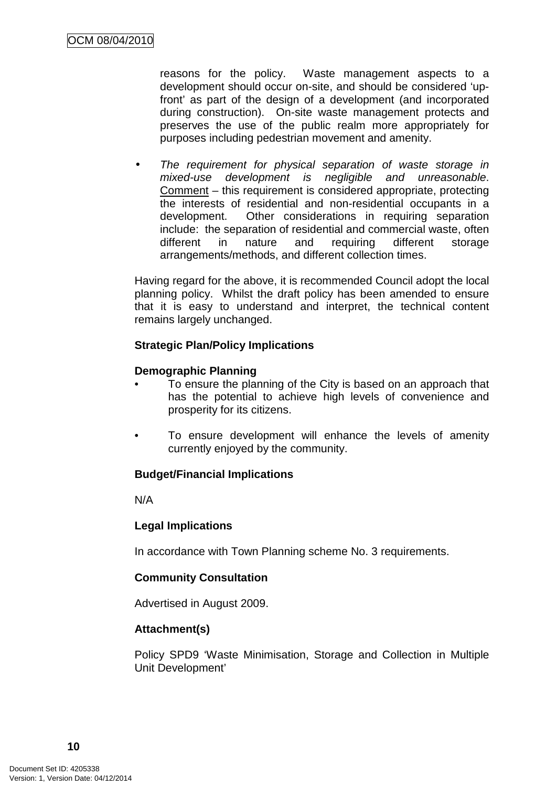reasons for the policy. Waste management aspects to a development should occur on-site, and should be considered 'upfront' as part of the design of a development (and incorporated during construction). On-site waste management protects and preserves the use of the public realm more appropriately for purposes including pedestrian movement and amenity.

The requirement for physical separation of waste storage in mixed-use development is negligible and unreasonable. Comment – this requirement is considered appropriate, protecting the interests of residential and non-residential occupants in a development. Other considerations in requiring separation include: the separation of residential and commercial waste, often different in nature and requiring different storage arrangements/methods, and different collection times.

Having regard for the above, it is recommended Council adopt the local planning policy. Whilst the draft policy has been amended to ensure that it is easy to understand and interpret, the technical content remains largely unchanged.

## **Strategic Plan/Policy Implications**

## **Demographic Planning**

- To ensure the planning of the City is based on an approach that has the potential to achieve high levels of convenience and prosperity for its citizens.
- To ensure development will enhance the levels of amenity currently enjoyed by the community.

#### **Budget/Financial Implications**

N/A

#### **Legal Implications**

In accordance with Town Planning scheme No. 3 requirements.

## **Community Consultation**

Advertised in August 2009.

#### **Attachment(s)**

Policy SPD9 'Waste Minimisation, Storage and Collection in Multiple Unit Development'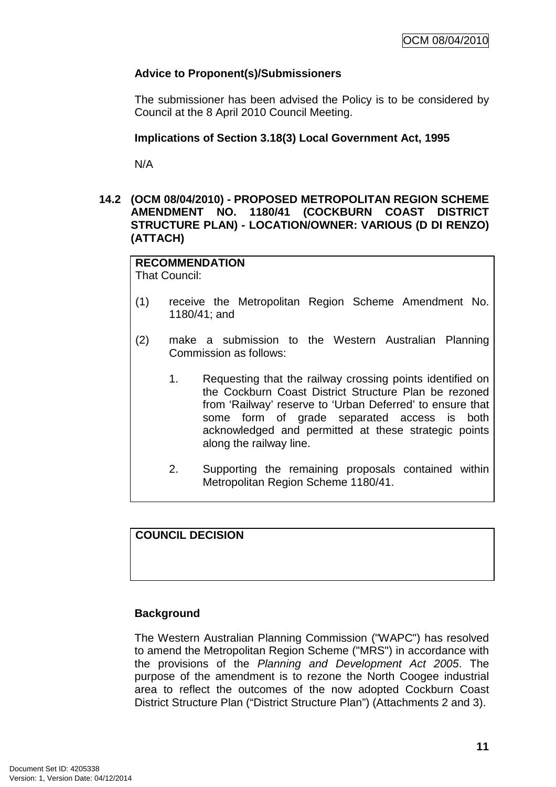## **Advice to Proponent(s)/Submissioners**

The submissioner has been advised the Policy is to be considered by Council at the 8 April 2010 Council Meeting.

## **Implications of Section 3.18(3) Local Government Act, 1995**

N/A

## **14.2 (OCM 08/04/2010) - PROPOSED METROPOLITAN REGION SCHEME AMENDMENT NO. 1180/41 (COCKBURN COAST DISTRICT STRUCTURE PLAN) - LOCATION/OWNER: VARIOUS (D DI RENZO) (ATTACH)**

**RECOMMENDATION** That Council:

- (1) receive the Metropolitan Region Scheme Amendment No. 1180/41; and
- (2) make a submission to the Western Australian Planning Commission as follows:
	- 1. Requesting that the railway crossing points identified on the Cockburn Coast District Structure Plan be rezoned from 'Railway' reserve to 'Urban Deferred' to ensure that some form of grade separated access is both acknowledged and permitted at these strategic points along the railway line.
	- 2. Supporting the remaining proposals contained within Metropolitan Region Scheme 1180/41.

## **COUNCIL DECISION**

#### **Background**

The Western Australian Planning Commission ("WAPC") has resolved to amend the Metropolitan Region Scheme ("MRS") in accordance with the provisions of the Planning and Development Act 2005. The purpose of the amendment is to rezone the North Coogee industrial area to reflect the outcomes of the now adopted Cockburn Coast District Structure Plan ("District Structure Plan") (Attachments 2 and 3).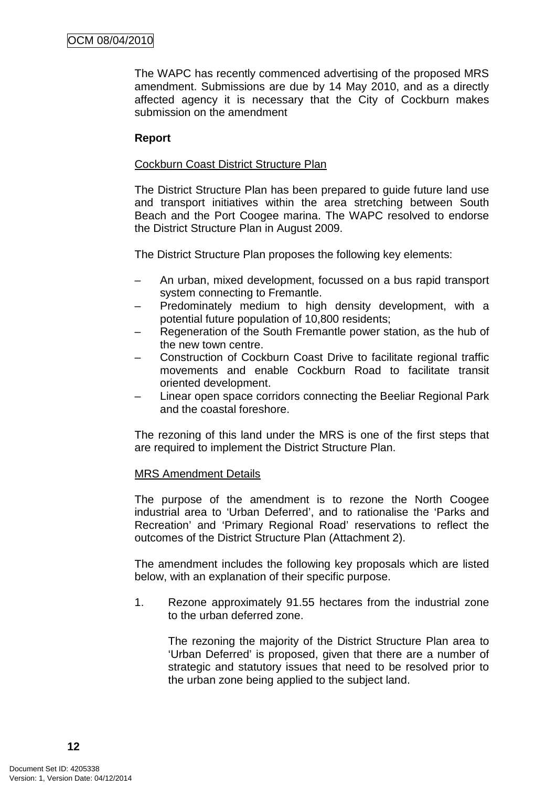The WAPC has recently commenced advertising of the proposed MRS amendment. Submissions are due by 14 May 2010, and as a directly affected agency it is necessary that the City of Cockburn makes submission on the amendment

### **Report**

#### Cockburn Coast District Structure Plan

The District Structure Plan has been prepared to guide future land use and transport initiatives within the area stretching between South Beach and the Port Coogee marina. The WAPC resolved to endorse the District Structure Plan in August 2009.

The District Structure Plan proposes the following key elements:

- An urban, mixed development, focussed on a bus rapid transport system connecting to Fremantle.
- Predominately medium to high density development, with a potential future population of 10,800 residents;
- Regeneration of the South Fremantle power station, as the hub of the new town centre.
- Construction of Cockburn Coast Drive to facilitate regional traffic movements and enable Cockburn Road to facilitate transit oriented development.
- Linear open space corridors connecting the Beeliar Regional Park and the coastal foreshore.

The rezoning of this land under the MRS is one of the first steps that are required to implement the District Structure Plan.

#### MRS Amendment Details

The purpose of the amendment is to rezone the North Coogee industrial area to 'Urban Deferred', and to rationalise the 'Parks and Recreation' and 'Primary Regional Road' reservations to reflect the outcomes of the District Structure Plan (Attachment 2).

The amendment includes the following key proposals which are listed below, with an explanation of their specific purpose.

1. Rezone approximately 91.55 hectares from the industrial zone to the urban deferred zone.

The rezoning the majority of the District Structure Plan area to 'Urban Deferred' is proposed, given that there are a number of strategic and statutory issues that need to be resolved prior to the urban zone being applied to the subject land.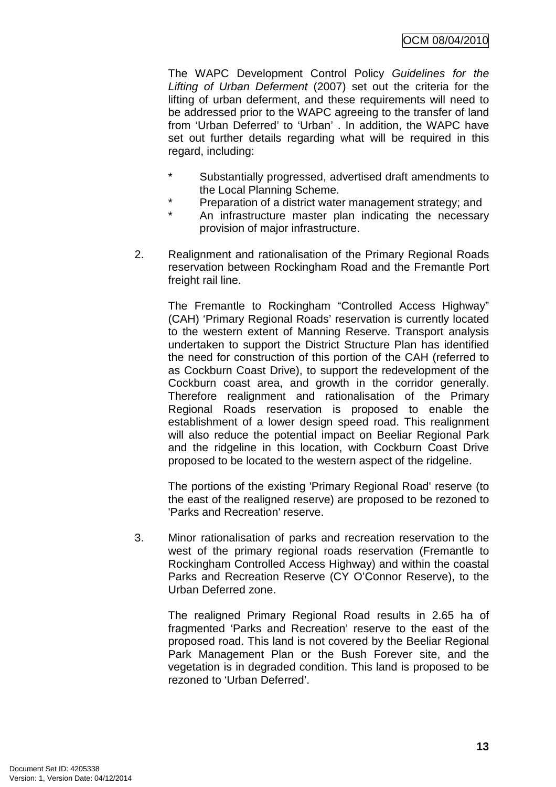The WAPC Development Control Policy Guidelines for the Lifting of Urban Deferment (2007) set out the criteria for the lifting of urban deferment, and these requirements will need to be addressed prior to the WAPC agreeing to the transfer of land from 'Urban Deferred' to 'Urban' . In addition, the WAPC have set out further details regarding what will be required in this regard, including:

- \* Substantially progressed, advertised draft amendments to the Local Planning Scheme.
- \* Preparation of a district water management strategy; and
- An infrastructure master plan indicating the necessary provision of major infrastructure.
- 2. Realignment and rationalisation of the Primary Regional Roads reservation between Rockingham Road and the Fremantle Port freight rail line.

The Fremantle to Rockingham "Controlled Access Highway" (CAH) 'Primary Regional Roads' reservation is currently located to the western extent of Manning Reserve. Transport analysis undertaken to support the District Structure Plan has identified the need for construction of this portion of the CAH (referred to as Cockburn Coast Drive), to support the redevelopment of the Cockburn coast area, and growth in the corridor generally. Therefore realignment and rationalisation of the Primary Regional Roads reservation is proposed to enable the establishment of a lower design speed road. This realignment will also reduce the potential impact on Beeliar Regional Park and the ridgeline in this location, with Cockburn Coast Drive proposed to be located to the western aspect of the ridgeline.

The portions of the existing 'Primary Regional Road' reserve (to the east of the realigned reserve) are proposed to be rezoned to 'Parks and Recreation' reserve.

3. Minor rationalisation of parks and recreation reservation to the west of the primary regional roads reservation (Fremantle to Rockingham Controlled Access Highway) and within the coastal Parks and Recreation Reserve (CY O'Connor Reserve), to the Urban Deferred zone.

The realigned Primary Regional Road results in 2.65 ha of fragmented 'Parks and Recreation' reserve to the east of the proposed road. This land is not covered by the Beeliar Regional Park Management Plan or the Bush Forever site, and the vegetation is in degraded condition. This land is proposed to be rezoned to 'Urban Deferred'.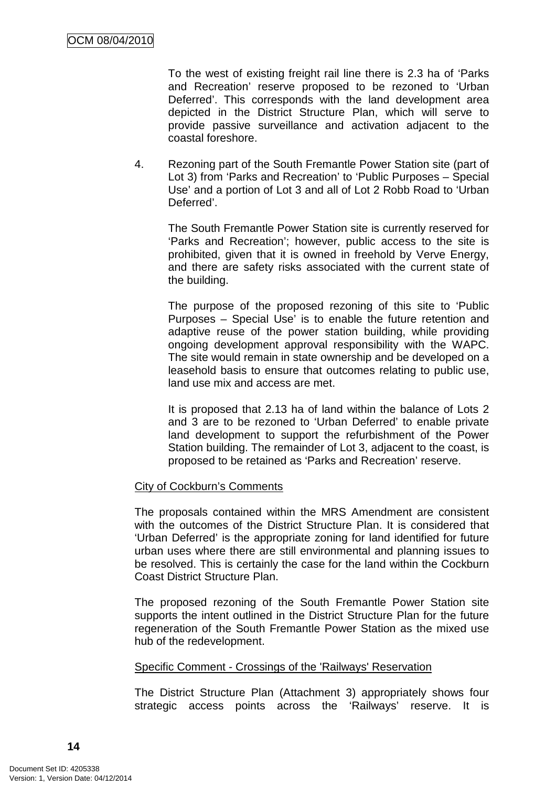To the west of existing freight rail line there is 2.3 ha of 'Parks and Recreation' reserve proposed to be rezoned to 'Urban Deferred'. This corresponds with the land development area depicted in the District Structure Plan, which will serve to provide passive surveillance and activation adjacent to the coastal foreshore.

4. Rezoning part of the South Fremantle Power Station site (part of Lot 3) from 'Parks and Recreation' to 'Public Purposes – Special Use' and a portion of Lot 3 and all of Lot 2 Robb Road to 'Urban Deferred'.

The South Fremantle Power Station site is currently reserved for 'Parks and Recreation'; however, public access to the site is prohibited, given that it is owned in freehold by Verve Energy, and there are safety risks associated with the current state of the building.

The purpose of the proposed rezoning of this site to 'Public Purposes – Special Use' is to enable the future retention and adaptive reuse of the power station building, while providing ongoing development approval responsibility with the WAPC. The site would remain in state ownership and be developed on a leasehold basis to ensure that outcomes relating to public use, land use mix and access are met.

It is proposed that 2.13 ha of land within the balance of Lots 2 and 3 are to be rezoned to 'Urban Deferred' to enable private land development to support the refurbishment of the Power Station building. The remainder of Lot 3, adjacent to the coast, is proposed to be retained as 'Parks and Recreation' reserve.

## City of Cockburn's Comments

The proposals contained within the MRS Amendment are consistent with the outcomes of the District Structure Plan. It is considered that 'Urban Deferred' is the appropriate zoning for land identified for future urban uses where there are still environmental and planning issues to be resolved. This is certainly the case for the land within the Cockburn Coast District Structure Plan.

The proposed rezoning of the South Fremantle Power Station site supports the intent outlined in the District Structure Plan for the future regeneration of the South Fremantle Power Station as the mixed use hub of the redevelopment.

#### Specific Comment - Crossings of the 'Railways' Reservation

The District Structure Plan (Attachment 3) appropriately shows four strategic access points across the 'Railways' reserve. It is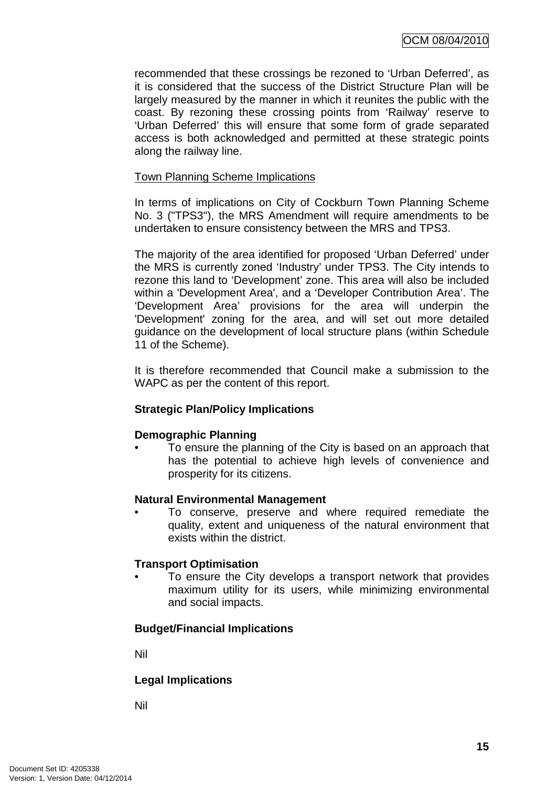recommended that these crossings be rezoned to 'Urban Deferred', as it is considered that the success of the District Structure Plan will be largely measured by the manner in which it reunites the public with the coast. By rezoning these crossing points from 'Railway' reserve to 'Urban Deferred' this will ensure that some form of grade separated access is both acknowledged and permitted at these strategic points along the railway line.

### Town Planning Scheme Implications

In terms of implications on City of Cockburn Town Planning Scheme No. 3 ("TPS3"), the MRS Amendment will require amendments to be undertaken to ensure consistency between the MRS and TPS3.

The majority of the area identified for proposed 'Urban Deferred' under the MRS is currently zoned 'Industry' under TPS3. The City intends to rezone this land to 'Development' zone. This area will also be included within a 'Development Area', and a 'Developer Contribution Area'. The 'Development Area' provisions for the area will underpin the 'Development' zoning for the area, and will set out more detailed guidance on the development of local structure plans (within Schedule 11 of the Scheme).

It is therefore recommended that Council make a submission to the WAPC as per the content of this report.

## **Strategic Plan/Policy Implications**

#### **Demographic Planning**

• To ensure the planning of the City is based on an approach that has the potential to achieve high levels of convenience and prosperity for its citizens.

#### **Natural Environmental Management**

• To conserve, preserve and where required remediate the quality, extent and uniqueness of the natural environment that exists within the district.

#### **Transport Optimisation**

To ensure the City develops a transport network that provides maximum utility for its users, while minimizing environmental and social impacts.

#### **Budget/Financial Implications**

Nil

#### **Legal Implications**

Nil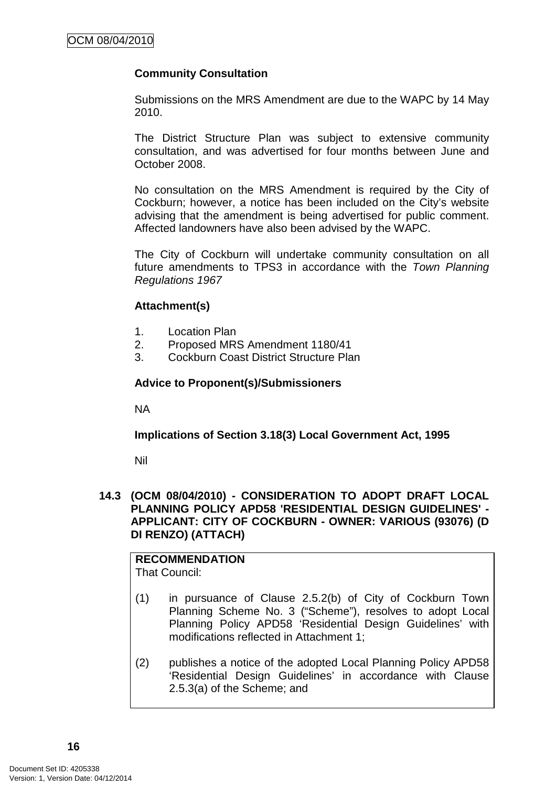## **Community Consultation**

Submissions on the MRS Amendment are due to the WAPC by 14 May 2010.

The District Structure Plan was subject to extensive community consultation, and was advertised for four months between June and October 2008.

No consultation on the MRS Amendment is required by the City of Cockburn; however, a notice has been included on the City's website advising that the amendment is being advertised for public comment. Affected landowners have also been advised by the WAPC.

The City of Cockburn will undertake community consultation on all future amendments to TPS3 in accordance with the Town Planning Regulations 1967

## **Attachment(s)**

- 1. Location Plan
- 2. Proposed MRS Amendment 1180/41
- 3. Cockburn Coast District Structure Plan

#### **Advice to Proponent(s)/Submissioners**

NA

**Implications of Section 3.18(3) Local Government Act, 1995**

Nil

#### **14.3 (OCM 08/04/2010) - CONSIDERATION TO ADOPT DRAFT LOCAL PLANNING POLICY APD58 'RESIDENTIAL DESIGN GUIDELINES' - APPLICANT: CITY OF COCKBURN - OWNER: VARIOUS (93076) (D DI RENZO) (ATTACH)**

**RECOMMENDATION**  That Council:

- (1) in pursuance of Clause 2.5.2(b) of City of Cockburn Town Planning Scheme No. 3 ("Scheme"), resolves to adopt Local Planning Policy APD58 'Residential Design Guidelines' with modifications reflected in Attachment 1;
- (2) publishes a notice of the adopted Local Planning Policy APD58 'Residential Design Guidelines' in accordance with Clause 2.5.3(a) of the Scheme; and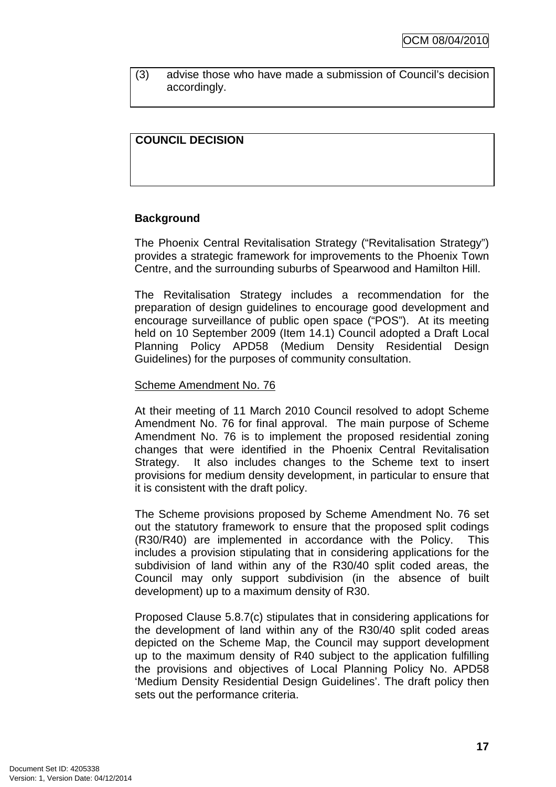(3) advise those who have made a submission of Council's decision accordingly.

## **COUNCIL DECISION**

#### **Background**

The Phoenix Central Revitalisation Strategy ("Revitalisation Strategy") provides a strategic framework for improvements to the Phoenix Town Centre, and the surrounding suburbs of Spearwood and Hamilton Hill.

The Revitalisation Strategy includes a recommendation for the preparation of design guidelines to encourage good development and encourage surveillance of public open space ("POS"). At its meeting held on 10 September 2009 (Item 14.1) Council adopted a Draft Local Planning Policy APD58 (Medium Density Residential Design Guidelines) for the purposes of community consultation.

#### Scheme Amendment No. 76

At their meeting of 11 March 2010 Council resolved to adopt Scheme Amendment No. 76 for final approval. The main purpose of Scheme Amendment No. 76 is to implement the proposed residential zoning changes that were identified in the Phoenix Central Revitalisation Strategy. It also includes changes to the Scheme text to insert provisions for medium density development, in particular to ensure that it is consistent with the draft policy.

The Scheme provisions proposed by Scheme Amendment No. 76 set out the statutory framework to ensure that the proposed split codings (R30/R40) are implemented in accordance with the Policy. This includes a provision stipulating that in considering applications for the subdivision of land within any of the R30/40 split coded areas, the Council may only support subdivision (in the absence of built development) up to a maximum density of R30.

Proposed Clause 5.8.7(c) stipulates that in considering applications for the development of land within any of the R30/40 split coded areas depicted on the Scheme Map, the Council may support development up to the maximum density of R40 subject to the application fulfilling the provisions and objectives of Local Planning Policy No. APD58 'Medium Density Residential Design Guidelines'. The draft policy then sets out the performance criteria.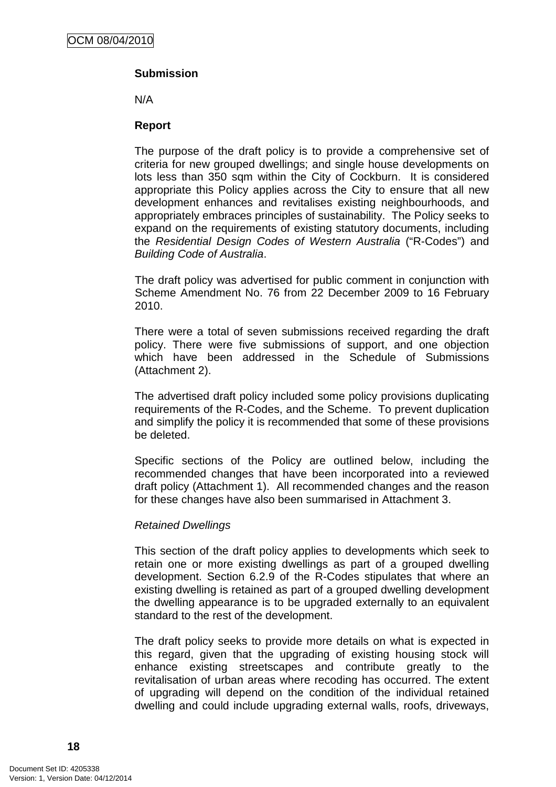## **Submission**

N/A

#### **Report**

The purpose of the draft policy is to provide a comprehensive set of criteria for new grouped dwellings; and single house developments on lots less than 350 sqm within the City of Cockburn. It is considered appropriate this Policy applies across the City to ensure that all new development enhances and revitalises existing neighbourhoods, and appropriately embraces principles of sustainability. The Policy seeks to expand on the requirements of existing statutory documents, including the Residential Design Codes of Western Australia ("R-Codes") and Building Code of Australia.

The draft policy was advertised for public comment in conjunction with Scheme Amendment No. 76 from 22 December 2009 to 16 February 2010.

There were a total of seven submissions received regarding the draft policy. There were five submissions of support, and one objection which have been addressed in the Schedule of Submissions (Attachment 2).

The advertised draft policy included some policy provisions duplicating requirements of the R-Codes, and the Scheme. To prevent duplication and simplify the policy it is recommended that some of these provisions be deleted.

Specific sections of the Policy are outlined below, including the recommended changes that have been incorporated into a reviewed draft policy (Attachment 1). All recommended changes and the reason for these changes have also been summarised in Attachment 3.

#### Retained Dwellings

This section of the draft policy applies to developments which seek to retain one or more existing dwellings as part of a grouped dwelling development. Section 6.2.9 of the R-Codes stipulates that where an existing dwelling is retained as part of a grouped dwelling development the dwelling appearance is to be upgraded externally to an equivalent standard to the rest of the development.

The draft policy seeks to provide more details on what is expected in this regard, given that the upgrading of existing housing stock will enhance existing streetscapes and contribute greatly to the revitalisation of urban areas where recoding has occurred. The extent of upgrading will depend on the condition of the individual retained dwelling and could include upgrading external walls, roofs, driveways,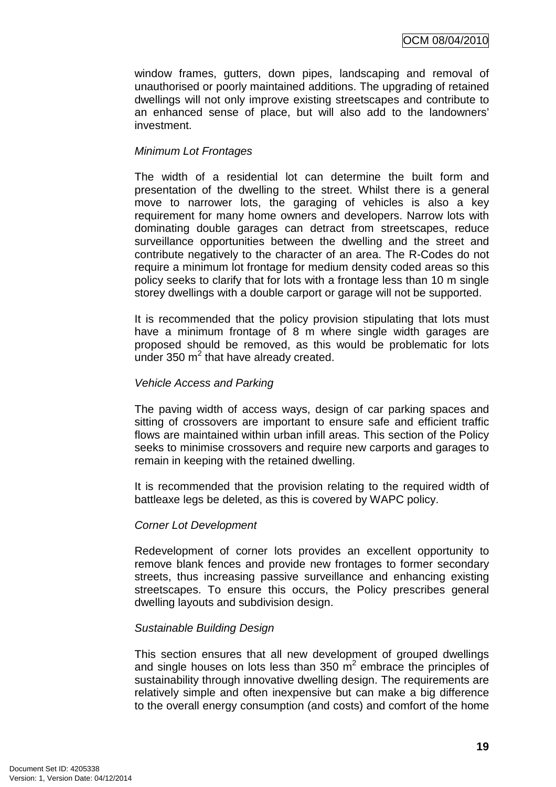window frames, gutters, down pipes, landscaping and removal of unauthorised or poorly maintained additions. The upgrading of retained dwellings will not only improve existing streetscapes and contribute to an enhanced sense of place, but will also add to the landowners' investment.

#### Minimum Lot Frontages

The width of a residential lot can determine the built form and presentation of the dwelling to the street. Whilst there is a general move to narrower lots, the garaging of vehicles is also a key requirement for many home owners and developers. Narrow lots with dominating double garages can detract from streetscapes, reduce surveillance opportunities between the dwelling and the street and contribute negatively to the character of an area. The R-Codes do not require a minimum lot frontage for medium density coded areas so this policy seeks to clarify that for lots with a frontage less than 10 m single storey dwellings with a double carport or garage will not be supported.

It is recommended that the policy provision stipulating that lots must have a minimum frontage of 8 m where single width garages are proposed should be removed, as this would be problematic for lots under 350  $m^2$  that have already created.

#### Vehicle Access and Parking

The paving width of access ways, design of car parking spaces and sitting of crossovers are important to ensure safe and efficient traffic flows are maintained within urban infill areas. This section of the Policy seeks to minimise crossovers and require new carports and garages to remain in keeping with the retained dwelling.

It is recommended that the provision relating to the required width of battleaxe legs be deleted, as this is covered by WAPC policy.

#### Corner Lot Development

Redevelopment of corner lots provides an excellent opportunity to remove blank fences and provide new frontages to former secondary streets, thus increasing passive surveillance and enhancing existing streetscapes. To ensure this occurs, the Policy prescribes general dwelling layouts and subdivision design.

#### Sustainable Building Design

This section ensures that all new development of grouped dwellings and single houses on lots less than 350  $m^2$  embrace the principles of sustainability through innovative dwelling design. The requirements are relatively simple and often inexpensive but can make a big difference to the overall energy consumption (and costs) and comfort of the home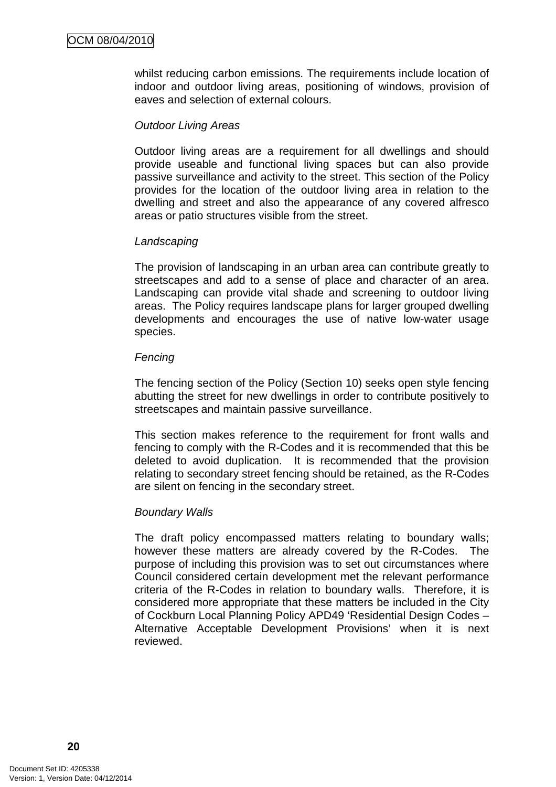whilst reducing carbon emissions. The requirements include location of indoor and outdoor living areas, positioning of windows, provision of eaves and selection of external colours.

#### Outdoor Living Areas

Outdoor living areas are a requirement for all dwellings and should provide useable and functional living spaces but can also provide passive surveillance and activity to the street. This section of the Policy provides for the location of the outdoor living area in relation to the dwelling and street and also the appearance of any covered alfresco areas or patio structures visible from the street.

#### **Landscaping**

The provision of landscaping in an urban area can contribute greatly to streetscapes and add to a sense of place and character of an area. Landscaping can provide vital shade and screening to outdoor living areas. The Policy requires landscape plans for larger grouped dwelling developments and encourages the use of native low-water usage species.

#### **Fencing**

The fencing section of the Policy (Section 10) seeks open style fencing abutting the street for new dwellings in order to contribute positively to streetscapes and maintain passive surveillance.

This section makes reference to the requirement for front walls and fencing to comply with the R-Codes and it is recommended that this be deleted to avoid duplication. It is recommended that the provision relating to secondary street fencing should be retained, as the R-Codes are silent on fencing in the secondary street.

#### Boundary Walls

The draft policy encompassed matters relating to boundary walls; however these matters are already covered by the R-Codes. The purpose of including this provision was to set out circumstances where Council considered certain development met the relevant performance criteria of the R-Codes in relation to boundary walls. Therefore, it is considered more appropriate that these matters be included in the City of Cockburn Local Planning Policy APD49 'Residential Design Codes – Alternative Acceptable Development Provisions' when it is next reviewed.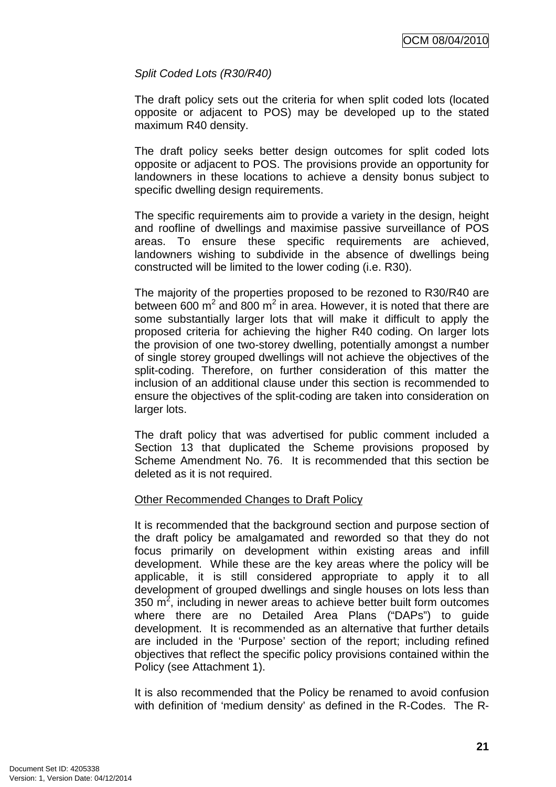## Split Coded Lots (R30/R40)

The draft policy sets out the criteria for when split coded lots (located opposite or adjacent to POS) may be developed up to the stated maximum R40 density.

The draft policy seeks better design outcomes for split coded lots opposite or adjacent to POS. The provisions provide an opportunity for landowners in these locations to achieve a density bonus subject to specific dwelling design requirements.

The specific requirements aim to provide a variety in the design, height and roofline of dwellings and maximise passive surveillance of POS areas. To ensure these specific requirements are achieved, landowners wishing to subdivide in the absence of dwellings being constructed will be limited to the lower coding (i.e. R30).

The majority of the properties proposed to be rezoned to R30/R40 are between 600 m<sup>2</sup> and 800 m<sup>2</sup> in area. However, it is noted that there are some substantially larger lots that will make it difficult to apply the proposed criteria for achieving the higher R40 coding. On larger lots the provision of one two-storey dwelling, potentially amongst a number of single storey grouped dwellings will not achieve the objectives of the split-coding. Therefore, on further consideration of this matter the inclusion of an additional clause under this section is recommended to ensure the objectives of the split-coding are taken into consideration on larger lots.

The draft policy that was advertised for public comment included a Section 13 that duplicated the Scheme provisions proposed by Scheme Amendment No. 76. It is recommended that this section be deleted as it is not required.

#### Other Recommended Changes to Draft Policy

It is recommended that the background section and purpose section of the draft policy be amalgamated and reworded so that they do not focus primarily on development within existing areas and infill development. While these are the key areas where the policy will be applicable, it is still considered appropriate to apply it to all development of grouped dwellings and single houses on lots less than 350  $m^2$ , including in newer areas to achieve better built form outcomes where there are no Detailed Area Plans ("DAPs") to guide development. It is recommended as an alternative that further details are included in the 'Purpose' section of the report; including refined objectives that reflect the specific policy provisions contained within the Policy (see Attachment 1).

It is also recommended that the Policy be renamed to avoid confusion with definition of 'medium density' as defined in the R-Codes. The R-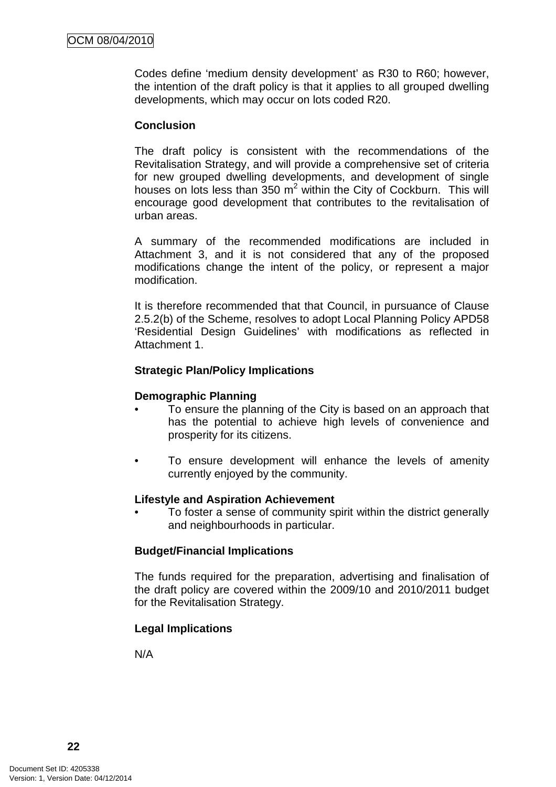Codes define 'medium density development' as R30 to R60; however, the intention of the draft policy is that it applies to all grouped dwelling developments, which may occur on lots coded R20.

#### **Conclusion**

The draft policy is consistent with the recommendations of the Revitalisation Strategy, and will provide a comprehensive set of criteria for new grouped dwelling developments, and development of single houses on lots less than  $350 \text{ m}^2$  within the City of Cockburn. This will encourage good development that contributes to the revitalisation of urban areas.

A summary of the recommended modifications are included in Attachment 3, and it is not considered that any of the proposed modifications change the intent of the policy, or represent a major modification.

It is therefore recommended that that Council, in pursuance of Clause 2.5.2(b) of the Scheme, resolves to adopt Local Planning Policy APD58 'Residential Design Guidelines' with modifications as reflected in Attachment 1.

#### **Strategic Plan/Policy Implications**

#### **Demographic Planning**

- To ensure the planning of the City is based on an approach that has the potential to achieve high levels of convenience and prosperity for its citizens.
- To ensure development will enhance the levels of amenity currently enjoyed by the community.

#### **Lifestyle and Aspiration Achievement**

• To foster a sense of community spirit within the district generally and neighbourhoods in particular.

#### **Budget/Financial Implications**

The funds required for the preparation, advertising and finalisation of the draft policy are covered within the 2009/10 and 2010/2011 budget for the Revitalisation Strategy.

#### **Legal Implications**

N/A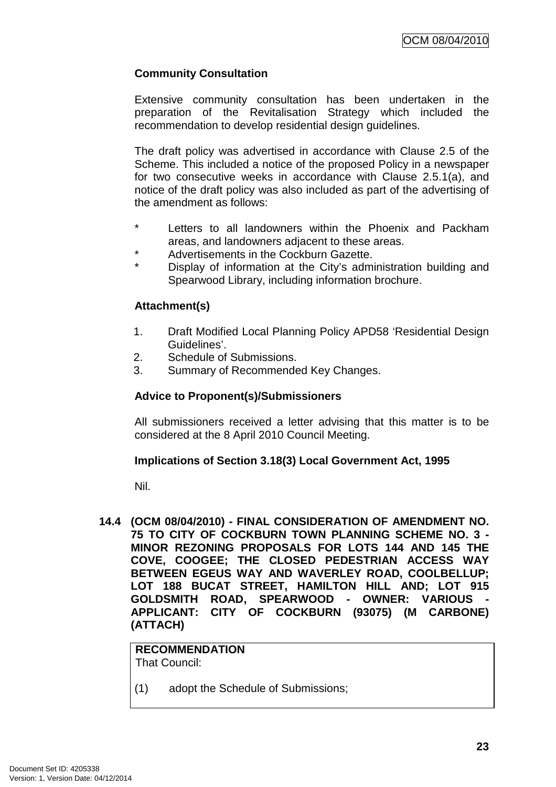## **Community Consultation**

Extensive community consultation has been undertaken in the preparation of the Revitalisation Strategy which included the recommendation to develop residential design guidelines.

The draft policy was advertised in accordance with Clause 2.5 of the Scheme. This included a notice of the proposed Policy in a newspaper for two consecutive weeks in accordance with Clause 2.5.1(a), and notice of the draft policy was also included as part of the advertising of the amendment as follows:

- Letters to all landowners within the Phoenix and Packham areas, and landowners adjacent to these areas.
- Advertisements in the Cockburn Gazette.
- Display of information at the City's administration building and Spearwood Library, including information brochure.

## **Attachment(s)**

- 1. Draft Modified Local Planning Policy APD58 'Residential Design Guidelines'.
- 2. Schedule of Submissions.
- 3. Summary of Recommended Key Changes.

## **Advice to Proponent(s)/Submissioners**

All submissioners received a letter advising that this matter is to be considered at the 8 April 2010 Council Meeting.

#### **Implications of Section 3.18(3) Local Government Act, 1995**

Nil.

**14.4 (OCM 08/04/2010) - FINAL CONSIDERATION OF AMENDMENT NO. 75 TO CITY OF COCKBURN TOWN PLANNING SCHEME NO. 3 - MINOR REZONING PROPOSALS FOR LOTS 144 AND 145 THE COVE, COOGEE; THE CLOSED PEDESTRIAN ACCESS WAY BETWEEN EGEUS WAY AND WAVERLEY ROAD, COOLBELLUP; LOT 188 BUCAT STREET, HAMILTON HILL AND; LOT 915**  GOLDSMITH ROAD, SPEARWOOD - OWNER: VARIOUS **APPLICANT: CITY OF COCKBURN (93075) (M CARBONE) (ATTACH)** 

**RECOMMENDATION** That Council:

(1) adopt the Schedule of Submissions;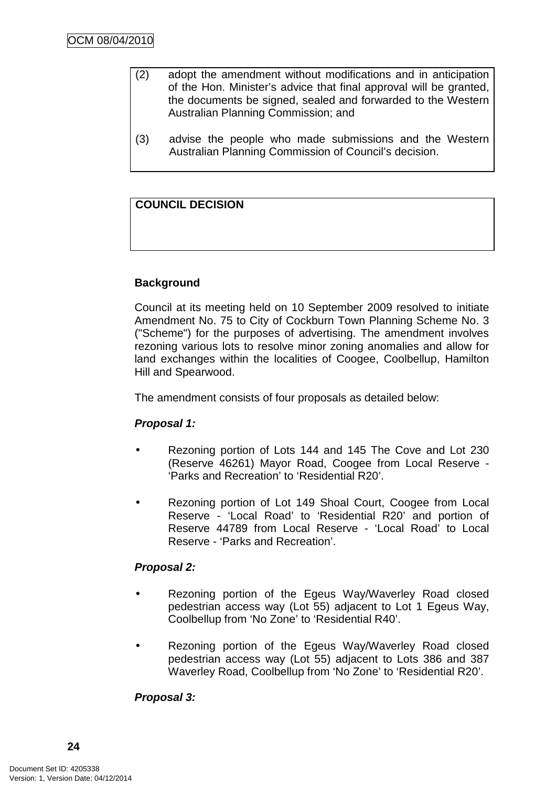- (2) adopt the amendment without modifications and in anticipation of the Hon. Minister's advice that final approval will be granted, the documents be signed, sealed and forwarded to the Western Australian Planning Commission; and
- (3) advise the people who made submissions and the Western Australian Planning Commission of Council's decision.

## **COUNCIL DECISION**

## **Background**

Council at its meeting held on 10 September 2009 resolved to initiate Amendment No. 75 to City of Cockburn Town Planning Scheme No. 3 ("Scheme") for the purposes of advertising. The amendment involves rezoning various lots to resolve minor zoning anomalies and allow for land exchanges within the localities of Coogee, Coolbellup, Hamilton Hill and Spearwood.

The amendment consists of four proposals as detailed below:

#### **Proposal 1:**

- Rezoning portion of Lots 144 and 145 The Cove and Lot 230 (Reserve 46261) Mayor Road, Coogee from Local Reserve - 'Parks and Recreation' to 'Residential R20'.
- Rezoning portion of Lot 149 Shoal Court, Coogee from Local Reserve - 'Local Road' to 'Residential R20' and portion of Reserve 44789 from Local Reserve - 'Local Road' to Local Reserve - 'Parks and Recreation'.

#### **Proposal 2:**

- Rezoning portion of the Egeus Way/Waverley Road closed pedestrian access way (Lot 55) adjacent to Lot 1 Egeus Way, Coolbellup from 'No Zone' to 'Residential R40'.
- Rezoning portion of the Egeus Way/Waverley Road closed pedestrian access way (Lot 55) adjacent to Lots 386 and 387 Waverley Road, Coolbellup from 'No Zone' to 'Residential R20'.

## **Proposal 3:**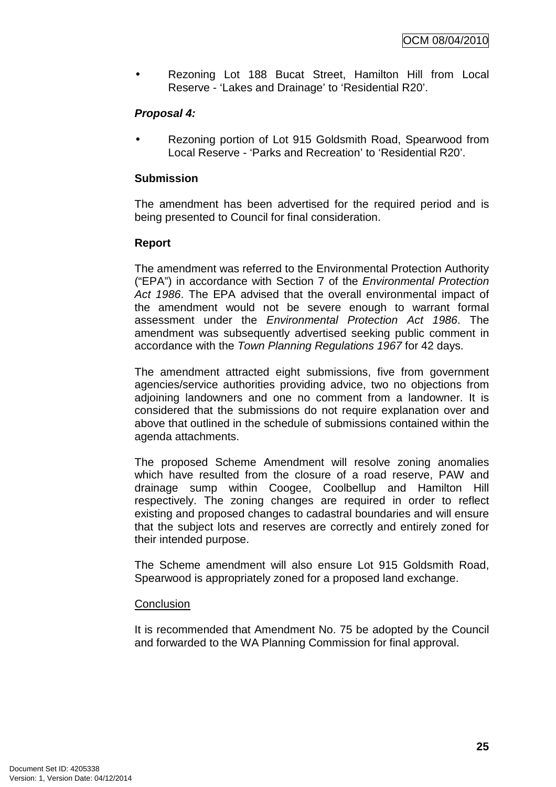• Rezoning Lot 188 Bucat Street, Hamilton Hill from Local Reserve - 'Lakes and Drainage' to 'Residential R20'.

## **Proposal 4:**

• Rezoning portion of Lot 915 Goldsmith Road, Spearwood from Local Reserve - 'Parks and Recreation' to 'Residential R20'.

## **Submission**

The amendment has been advertised for the required period and is being presented to Council for final consideration.

#### **Report**

The amendment was referred to the Environmental Protection Authority ("EPA") in accordance with Section 7 of the Environmental Protection Act 1986. The EPA advised that the overall environmental impact of the amendment would not be severe enough to warrant formal assessment under the Environmental Protection Act 1986. The amendment was subsequently advertised seeking public comment in accordance with the Town Planning Regulations 1967 for 42 days.

The amendment attracted eight submissions, five from government agencies/service authorities providing advice, two no objections from adjoining landowners and one no comment from a landowner. It is considered that the submissions do not require explanation over and above that outlined in the schedule of submissions contained within the agenda attachments.

The proposed Scheme Amendment will resolve zoning anomalies which have resulted from the closure of a road reserve, PAW and drainage sump within Coogee, Coolbellup and Hamilton Hill respectively. The zoning changes are required in order to reflect existing and proposed changes to cadastral boundaries and will ensure that the subject lots and reserves are correctly and entirely zoned for their intended purpose.

The Scheme amendment will also ensure Lot 915 Goldsmith Road, Spearwood is appropriately zoned for a proposed land exchange.

#### **Conclusion**

It is recommended that Amendment No. 75 be adopted by the Council and forwarded to the WA Planning Commission for final approval.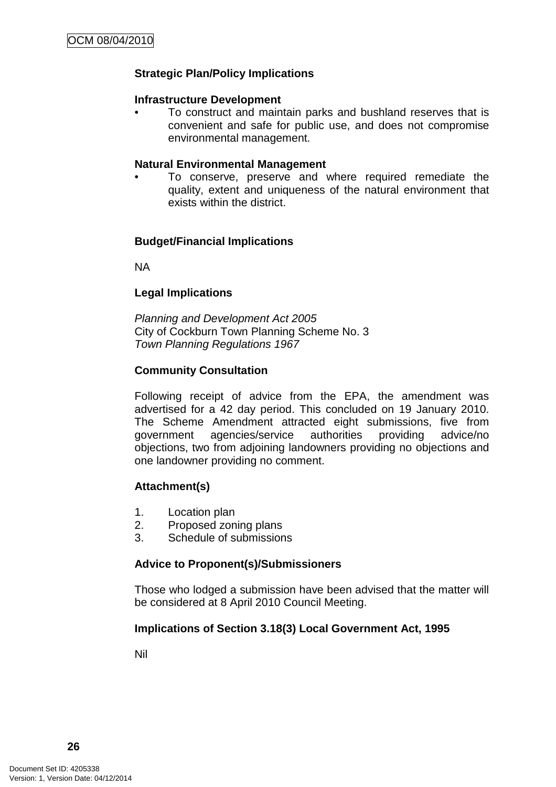## **Strategic Plan/Policy Implications**

#### **Infrastructure Development**

• To construct and maintain parks and bushland reserves that is convenient and safe for public use, and does not compromise environmental management.

#### **Natural Environmental Management**

• To conserve, preserve and where required remediate the quality, extent and uniqueness of the natural environment that exists within the district.

#### **Budget/Financial Implications**

NA

#### **Legal Implications**

Planning and Development Act 2005 City of Cockburn Town Planning Scheme No. 3 Town Planning Regulations 1967

#### **Community Consultation**

Following receipt of advice from the EPA, the amendment was advertised for a 42 day period. This concluded on 19 January 2010. The Scheme Amendment attracted eight submissions, five from government agencies/service authorities providing advice/no objections, two from adjoining landowners providing no objections and one landowner providing no comment.

#### **Attachment(s)**

- 1. Location plan
- 2. Proposed zoning plans
- 3. Schedule of submissions

#### **Advice to Proponent(s)/Submissioners**

Those who lodged a submission have been advised that the matter will be considered at 8 April 2010 Council Meeting.

#### **Implications of Section 3.18(3) Local Government Act, 1995**

Nil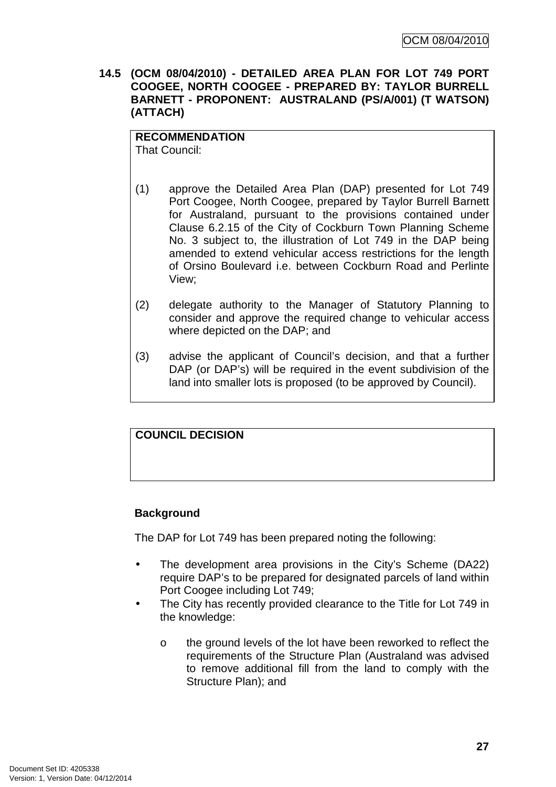**14.5 (OCM 08/04/2010) - DETAILED AREA PLAN FOR LOT 749 PORT COOGEE, NORTH COOGEE - PREPARED BY: TAYLOR BURRELL BARNETT - PROPONENT: AUSTRALAND (PS/A/001) (T WATSON) (ATTACH)** 

## **RECOMMENDATION**

That Council:

- (1) approve the Detailed Area Plan (DAP) presented for Lot 749 Port Coogee, North Coogee, prepared by Taylor Burrell Barnett for Australand, pursuant to the provisions contained under Clause 6.2.15 of the City of Cockburn Town Planning Scheme No. 3 subject to, the illustration of Lot 749 in the DAP being amended to extend vehicular access restrictions for the length of Orsino Boulevard i.e. between Cockburn Road and Perlinte View;
- (2) delegate authority to the Manager of Statutory Planning to consider and approve the required change to vehicular access where depicted on the DAP; and
- (3) advise the applicant of Council's decision, and that a further DAP (or DAP's) will be required in the event subdivision of the land into smaller lots is proposed (to be approved by Council).

## **COUNCIL DECISION**

## **Background**

The DAP for Lot 749 has been prepared noting the following:

- The development area provisions in the City's Scheme (DA22) require DAP's to be prepared for designated parcels of land within Port Coogee including Lot 749;
- The City has recently provided clearance to the Title for Lot 749 in the knowledge:
	- o the ground levels of the lot have been reworked to reflect the requirements of the Structure Plan (Australand was advised to remove additional fill from the land to comply with the Structure Plan); and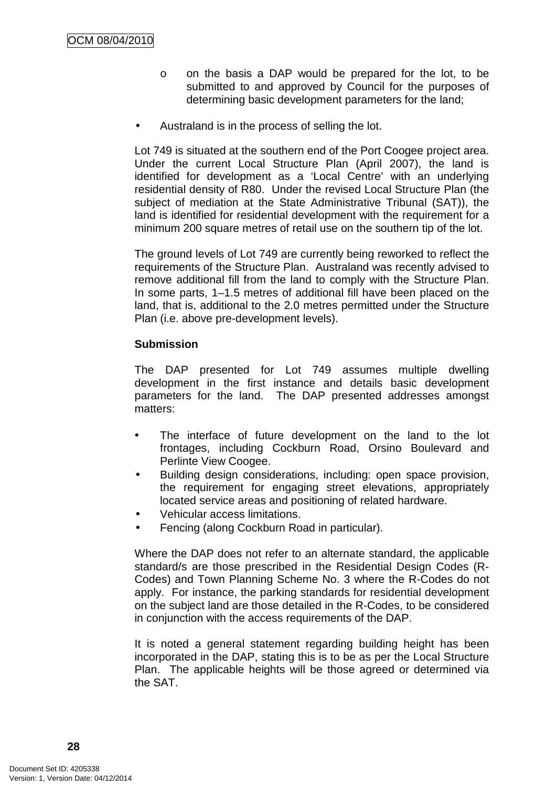- o on the basis a DAP would be prepared for the lot, to be submitted to and approved by Council for the purposes of determining basic development parameters for the land;
- Australand is in the process of selling the lot.

Lot 749 is situated at the southern end of the Port Coogee project area. Under the current Local Structure Plan (April 2007), the land is identified for development as a 'Local Centre' with an underlying residential density of R80. Under the revised Local Structure Plan (the subject of mediation at the State Administrative Tribunal (SAT)), the land is identified for residential development with the requirement for a minimum 200 square metres of retail use on the southern tip of the lot.

The ground levels of Lot 749 are currently being reworked to reflect the requirements of the Structure Plan. Australand was recently advised to remove additional fill from the land to comply with the Structure Plan. In some parts, 1–1.5 metres of additional fill have been placed on the land, that is, additional to the 2.0 metres permitted under the Structure Plan (i.e. above pre-development levels).

## **Submission**

The DAP presented for Lot 749 assumes multiple dwelling development in the first instance and details basic development parameters for the land. The DAP presented addresses amongst matters:

- The interface of future development on the land to the lot frontages, including Cockburn Road, Orsino Boulevard and Perlinte View Coogee.
- Building design considerations, including: open space provision, the requirement for engaging street elevations, appropriately located service areas and positioning of related hardware.
- Vehicular access limitations.
- Fencing (along Cockburn Road in particular).

Where the DAP does not refer to an alternate standard, the applicable standard/s are those prescribed in the Residential Design Codes (R-Codes) and Town Planning Scheme No. 3 where the R-Codes do not apply. For instance, the parking standards for residential development on the subject land are those detailed in the R-Codes, to be considered in conjunction with the access requirements of the DAP.

It is noted a general statement regarding building height has been incorporated in the DAP, stating this is to be as per the Local Structure Plan. The applicable heights will be those agreed or determined via the SAT.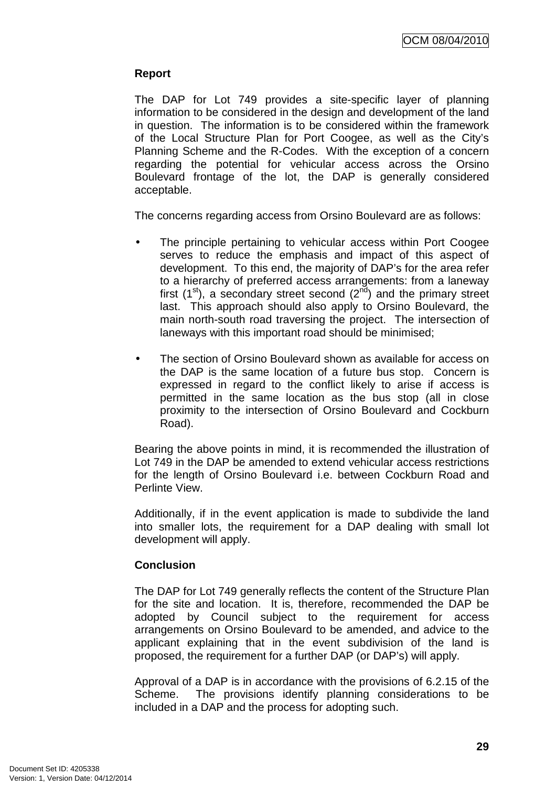## **Report**

The DAP for Lot 749 provides a site-specific layer of planning information to be considered in the design and development of the land in question. The information is to be considered within the framework of the Local Structure Plan for Port Coogee, as well as the City's Planning Scheme and the R-Codes. With the exception of a concern regarding the potential for vehicular access across the Orsino Boulevard frontage of the lot, the DAP is generally considered acceptable.

The concerns regarding access from Orsino Boulevard are as follows:

- The principle pertaining to vehicular access within Port Coogee serves to reduce the emphasis and impact of this aspect of development. To this end, the majority of DAP's for the area refer to a hierarchy of preferred access arrangements: from a laneway first  $(1<sup>st</sup>)$ , a secondary street second  $(2<sup>nd</sup>)$  and the primary street last. This approach should also apply to Orsino Boulevard, the main north-south road traversing the project. The intersection of laneways with this important road should be minimised;
- The section of Orsino Boulevard shown as available for access on the DAP is the same location of a future bus stop. Concern is expressed in regard to the conflict likely to arise if access is permitted in the same location as the bus stop (all in close proximity to the intersection of Orsino Boulevard and Cockburn Road).

Bearing the above points in mind, it is recommended the illustration of Lot 749 in the DAP be amended to extend vehicular access restrictions for the length of Orsino Boulevard i.e. between Cockburn Road and Perlinte View.

Additionally, if in the event application is made to subdivide the land into smaller lots, the requirement for a DAP dealing with small lot development will apply.

#### **Conclusion**

The DAP for Lot 749 generally reflects the content of the Structure Plan for the site and location. It is, therefore, recommended the DAP be adopted by Council subject to the requirement for access arrangements on Orsino Boulevard to be amended, and advice to the applicant explaining that in the event subdivision of the land is proposed, the requirement for a further DAP (or DAP's) will apply.

Approval of a DAP is in accordance with the provisions of 6.2.15 of the Scheme. The provisions identify planning considerations to be included in a DAP and the process for adopting such.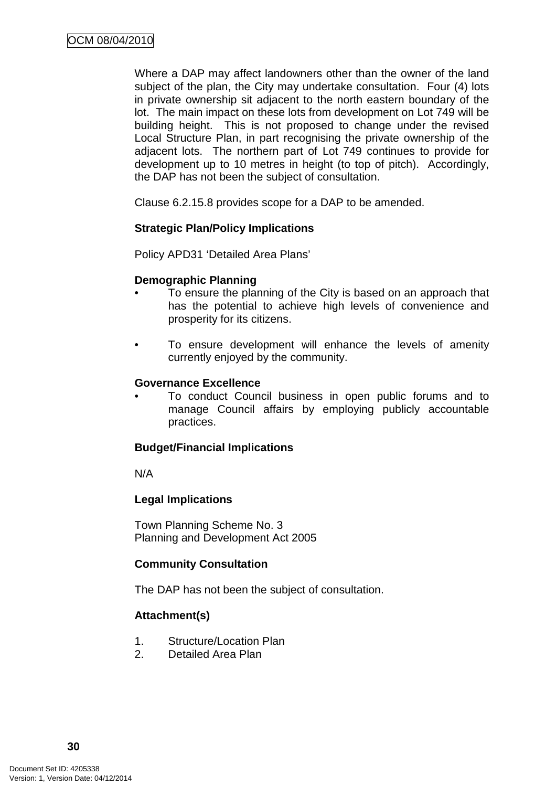Where a DAP may affect landowners other than the owner of the land subject of the plan, the City may undertake consultation. Four (4) lots in private ownership sit adjacent to the north eastern boundary of the lot. The main impact on these lots from development on Lot 749 will be building height. This is not proposed to change under the revised Local Structure Plan, in part recognising the private ownership of the adjacent lots. The northern part of Lot 749 continues to provide for development up to 10 metres in height (to top of pitch). Accordingly, the DAP has not been the subject of consultation.

Clause 6.2.15.8 provides scope for a DAP to be amended.

#### **Strategic Plan/Policy Implications**

Policy APD31 'Detailed Area Plans'

#### **Demographic Planning**

- To ensure the planning of the City is based on an approach that has the potential to achieve high levels of convenience and prosperity for its citizens.
- To ensure development will enhance the levels of amenity currently enjoyed by the community.

#### **Governance Excellence**

• To conduct Council business in open public forums and to manage Council affairs by employing publicly accountable practices.

#### **Budget/Financial Implications**

N/A

#### **Legal Implications**

Town Planning Scheme No. 3 Planning and Development Act 2005

#### **Community Consultation**

The DAP has not been the subject of consultation.

#### **Attachment(s)**

- 1. Structure/Location Plan
- 2. Detailed Area Plan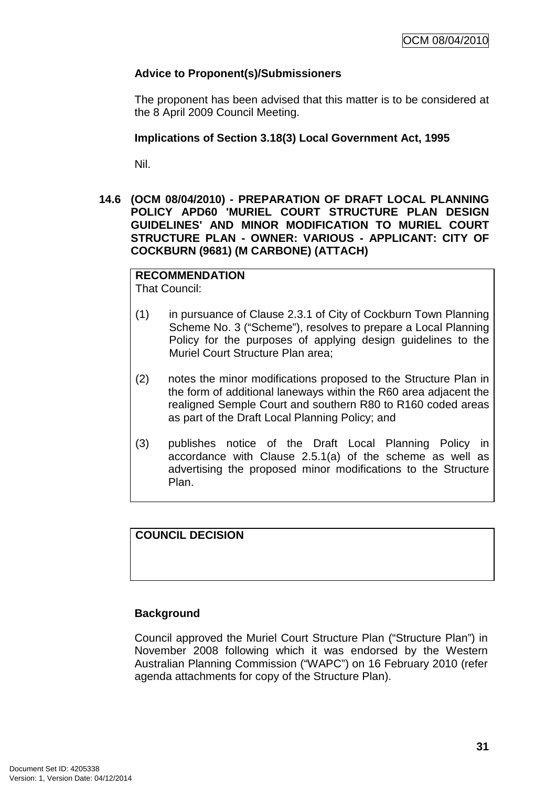## **Advice to Proponent(s)/Submissioners**

The proponent has been advised that this matter is to be considered at the 8 April 2009 Council Meeting.

## **Implications of Section 3.18(3) Local Government Act, 1995**

Nil.

**14.6 (OCM 08/04/2010) - PREPARATION OF DRAFT LOCAL PLANNING POLICY APD60 'MURIEL COURT STRUCTURE PLAN DESIGN GUIDELINES' AND MINOR MODIFICATION TO MURIEL COURT STRUCTURE PLAN - OWNER: VARIOUS - APPLICANT: CITY OF COCKBURN (9681) (M CARBONE) (ATTACH)** 

## **RECOMMENDATION**

That Council:

- (1) in pursuance of Clause 2.3.1 of City of Cockburn Town Planning Scheme No. 3 ("Scheme"), resolves to prepare a Local Planning Policy for the purposes of applying design guidelines to the Muriel Court Structure Plan area;
- (2) notes the minor modifications proposed to the Structure Plan in the form of additional laneways within the R60 area adjacent the realigned Semple Court and southern R80 to R160 coded areas as part of the Draft Local Planning Policy; and
- (3) publishes notice of the Draft Local Planning Policy in accordance with Clause 2.5.1(a) of the scheme as well as advertising the proposed minor modifications to the Structure Plan.

## **COUNCIL DECISION**

## **Background**

Council approved the Muriel Court Structure Plan ("Structure Plan") in November 2008 following which it was endorsed by the Western Australian Planning Commission ("WAPC") on 16 February 2010 (refer agenda attachments for copy of the Structure Plan).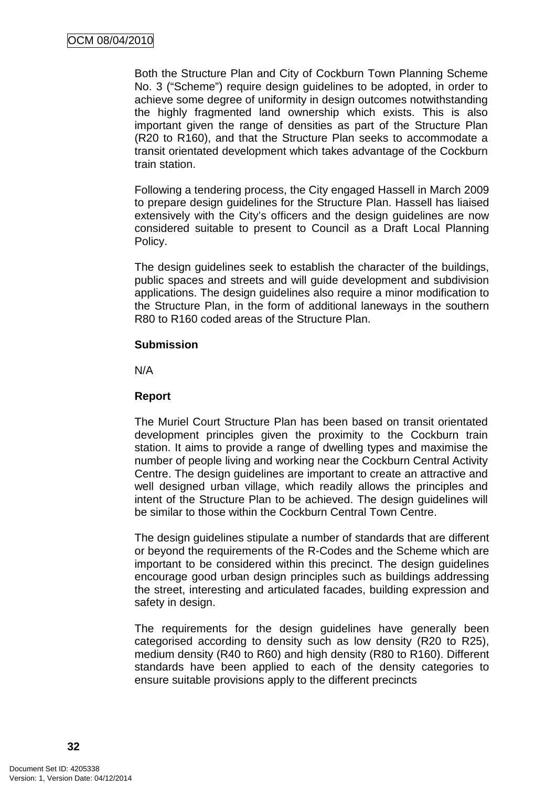Both the Structure Plan and City of Cockburn Town Planning Scheme No. 3 ("Scheme") require design guidelines to be adopted, in order to achieve some degree of uniformity in design outcomes notwithstanding the highly fragmented land ownership which exists. This is also important given the range of densities as part of the Structure Plan (R20 to R160), and that the Structure Plan seeks to accommodate a transit orientated development which takes advantage of the Cockburn train station.

Following a tendering process, the City engaged Hassell in March 2009 to prepare design guidelines for the Structure Plan. Hassell has liaised extensively with the City's officers and the design guidelines are now considered suitable to present to Council as a Draft Local Planning Policy.

The design guidelines seek to establish the character of the buildings, public spaces and streets and will guide development and subdivision applications. The design guidelines also require a minor modification to the Structure Plan, in the form of additional laneways in the southern R80 to R160 coded areas of the Structure Plan.

#### **Submission**

N/A

#### **Report**

The Muriel Court Structure Plan has been based on transit orientated development principles given the proximity to the Cockburn train station. It aims to provide a range of dwelling types and maximise the number of people living and working near the Cockburn Central Activity Centre. The design guidelines are important to create an attractive and well designed urban village, which readily allows the principles and intent of the Structure Plan to be achieved. The design guidelines will be similar to those within the Cockburn Central Town Centre.

The design guidelines stipulate a number of standards that are different or beyond the requirements of the R-Codes and the Scheme which are important to be considered within this precinct. The design guidelines encourage good urban design principles such as buildings addressing the street, interesting and articulated facades, building expression and safety in design.

The requirements for the design guidelines have generally been categorised according to density such as low density (R20 to R25), medium density (R40 to R60) and high density (R80 to R160). Different standards have been applied to each of the density categories to ensure suitable provisions apply to the different precincts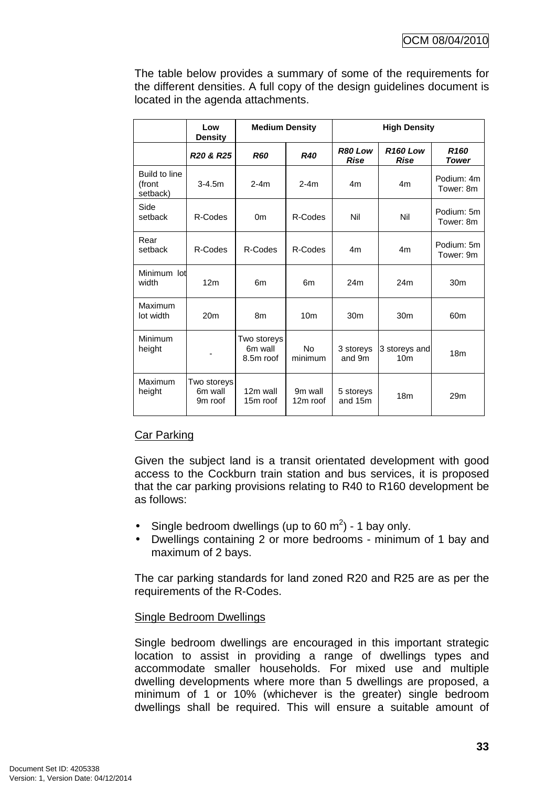The table below provides a summary of some of the requirements for the different densities. A full copy of the design guidelines document is located in the agenda attachments.

|                                     | Low<br><b>Density</b>                         | <b>Medium Density</b>               |                      | <b>High Density</b>    |                                  |                           |
|-------------------------------------|-----------------------------------------------|-------------------------------------|----------------------|------------------------|----------------------------------|---------------------------|
|                                     | R <sub>20</sub> & R <sub>25</sub>             | <b>R60</b>                          | <b>R40</b>           | R80 Low<br><b>Rise</b> | <b>R160 Low</b><br><b>Rise</b>   | R <sub>160</sub><br>Tower |
| Build to line<br>(front<br>setback) | $3 - 4.5m$                                    | $2-4m$                              | $2-4m$               | 4m                     | 4m                               | Podium: 4m<br>Tower: 8m   |
| Side<br>setback                     | R-Codes                                       | 0 <sub>m</sub>                      | R-Codes              | Nil                    | Nil                              | Podium: 5m<br>Tower: 8m   |
| Rear<br>setback                     | R-Codes                                       | R-Codes                             | R-Codes              | 4 <sub>m</sub>         | 4m                               | Podium: 5m<br>Tower: 9m   |
| Minimum lot<br>width                | 12 <sub>m</sub>                               | 6m                                  | 6m                   | 24m                    | 24m                              | 30 <sub>m</sub>           |
| Maximum<br>lot width                | 20 <sub>m</sub>                               | 8m                                  | 10 <sub>m</sub>      | 30 <sub>m</sub>        | 30 <sub>m</sub>                  | 60 <sub>m</sub>           |
| Minimum<br>height                   |                                               | Two storeys<br>6m wall<br>8.5m roof | <b>No</b><br>minimum | 3 storeys<br>and 9m    | 3 storeys and<br>10 <sub>m</sub> | 18 <sub>m</sub>           |
| Maximum<br>height                   | Two storeys<br>6m wall<br>9 <sub>m</sub> roof | 12m wall<br>15m roof                | 9m wall<br>12m roof  | 5 storeys<br>and 15m   | 18 <sub>m</sub>                  | 29 <sub>m</sub>           |

# Car Parking

Given the subject land is a transit orientated development with good access to the Cockburn train station and bus services, it is proposed that the car parking provisions relating to R40 to R160 development be as follows:

- Single bedroom dwellings (up to 60 m<sup>2</sup>) 1 bay only.
- Dwellings containing 2 or more bedrooms minimum of 1 bay and maximum of 2 bays.

The car parking standards for land zoned R20 and R25 are as per the requirements of the R-Codes.

### Single Bedroom Dwellings

Single bedroom dwellings are encouraged in this important strategic location to assist in providing a range of dwellings types and accommodate smaller households. For mixed use and multiple dwelling developments where more than 5 dwellings are proposed, a minimum of 1 or 10% (whichever is the greater) single bedroom dwellings shall be required. This will ensure a suitable amount of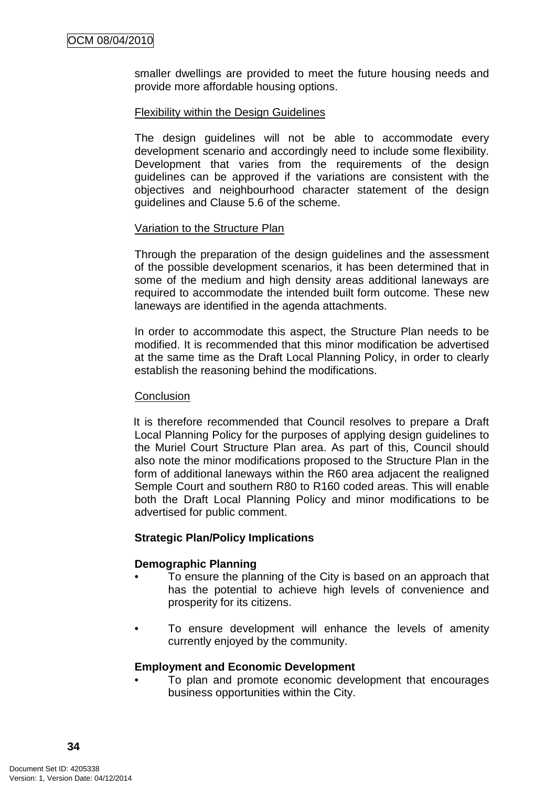smaller dwellings are provided to meet the future housing needs and provide more affordable housing options.

### Flexibility within the Design Guidelines

The design guidelines will not be able to accommodate every development scenario and accordingly need to include some flexibility. Development that varies from the requirements of the design guidelines can be approved if the variations are consistent with the objectives and neighbourhood character statement of the design guidelines and Clause 5.6 of the scheme.

## Variation to the Structure Plan

Through the preparation of the design guidelines and the assessment of the possible development scenarios, it has been determined that in some of the medium and high density areas additional laneways are required to accommodate the intended built form outcome. These new laneways are identified in the agenda attachments.

In order to accommodate this aspect, the Structure Plan needs to be modified. It is recommended that this minor modification be advertised at the same time as the Draft Local Planning Policy, in order to clearly establish the reasoning behind the modifications.

### **Conclusion**

It is therefore recommended that Council resolves to prepare a Draft Local Planning Policy for the purposes of applying design guidelines to the Muriel Court Structure Plan area. As part of this, Council should also note the minor modifications proposed to the Structure Plan in the form of additional laneways within the R60 area adjacent the realigned Semple Court and southern R80 to R160 coded areas. This will enable both the Draft Local Planning Policy and minor modifications to be advertised for public comment.

### **Strategic Plan/Policy Implications**

### **Demographic Planning**

- To ensure the planning of the City is based on an approach that has the potential to achieve high levels of convenience and prosperity for its citizens.
- To ensure development will enhance the levels of amenity currently enjoyed by the community.

### **Employment and Economic Development**

• To plan and promote economic development that encourages business opportunities within the City.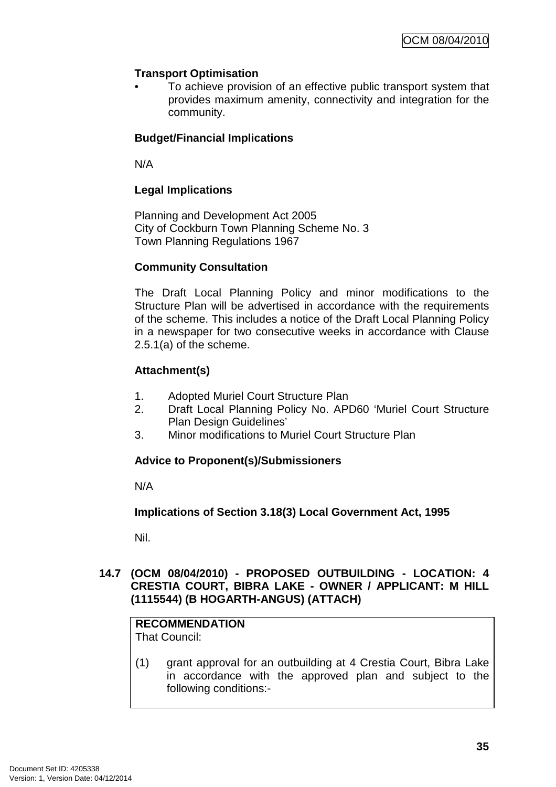# **Transport Optimisation**

• To achieve provision of an effective public transport system that provides maximum amenity, connectivity and integration for the community.

# **Budget/Financial Implications**

N/A

# **Legal Implications**

Planning and Development Act 2005 City of Cockburn Town Planning Scheme No. 3 Town Planning Regulations 1967

# **Community Consultation**

The Draft Local Planning Policy and minor modifications to the Structure Plan will be advertised in accordance with the requirements of the scheme. This includes a notice of the Draft Local Planning Policy in a newspaper for two consecutive weeks in accordance with Clause 2.5.1(a) of the scheme.

# **Attachment(s)**

- 1. Adopted Muriel Court Structure Plan
- 2. Draft Local Planning Policy No. APD60 'Muriel Court Structure Plan Design Guidelines'
- 3. Minor modifications to Muriel Court Structure Plan

# **Advice to Proponent(s)/Submissioners**

N/A

**Implications of Section 3.18(3) Local Government Act, 1995**

Nil.

## **14.7 (OCM 08/04/2010) - PROPOSED OUTBUILDING - LOCATION: 4 CRESTIA COURT, BIBRA LAKE - OWNER / APPLICANT: M HILL (1115544) (B HOGARTH-ANGUS) (ATTACH)**

#### **RECOMMENDATION** That Council:

(1) grant approval for an outbuilding at 4 Crestia Court, Bibra Lake in accordance with the approved plan and subject to the following conditions:-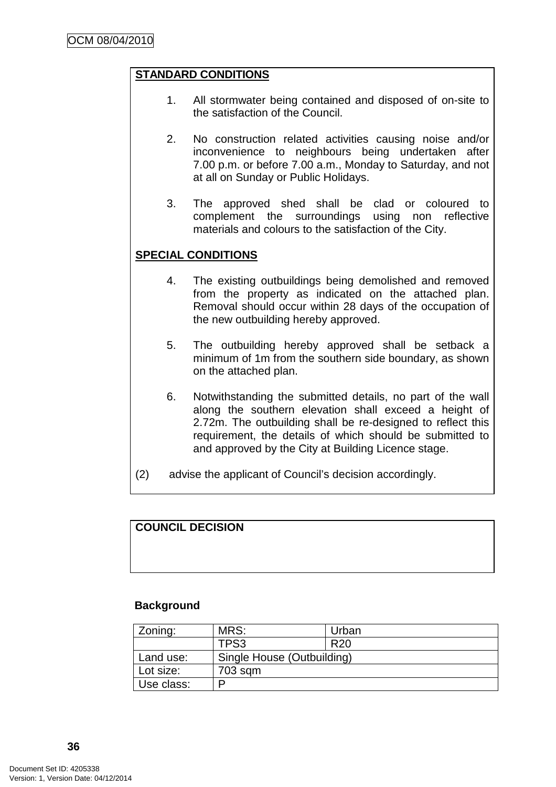### **STANDARD CONDITIONS**

- 1. All stormwater being contained and disposed of on-site to the satisfaction of the Council.
- 2. No construction related activities causing noise and/or inconvenience to neighbours being undertaken after 7.00 p.m. or before 7.00 a.m., Monday to Saturday, and not at all on Sunday or Public Holidays.
- 3. The approved shed shall be clad or coloured to complement the surroundings using non reflective materials and colours to the satisfaction of the City.

### **SPECIAL CONDITIONS**

- 4. The existing outbuildings being demolished and removed from the property as indicated on the attached plan. Removal should occur within 28 days of the occupation of the new outbuilding hereby approved.
- 5. The outbuilding hereby approved shall be setback a minimum of 1m from the southern side boundary, as shown on the attached plan.
- 6. Notwithstanding the submitted details, no part of the wall along the southern elevation shall exceed a height of 2.72m. The outbuilding shall be re-designed to reflect this requirement, the details of which should be submitted to and approved by the City at Building Licence stage.
- (2) advise the applicant of Council's decision accordingly.

#### **COUNCIL DECISION**

#### **Background**

| Zoning:    | MRS:                       | Urban           |  |
|------------|----------------------------|-----------------|--|
|            | TPS3                       | R <sub>20</sub> |  |
| Land use:  | Single House (Outbuilding) |                 |  |
| Lot size:  | 703 sqm                    |                 |  |
| Use class: |                            |                 |  |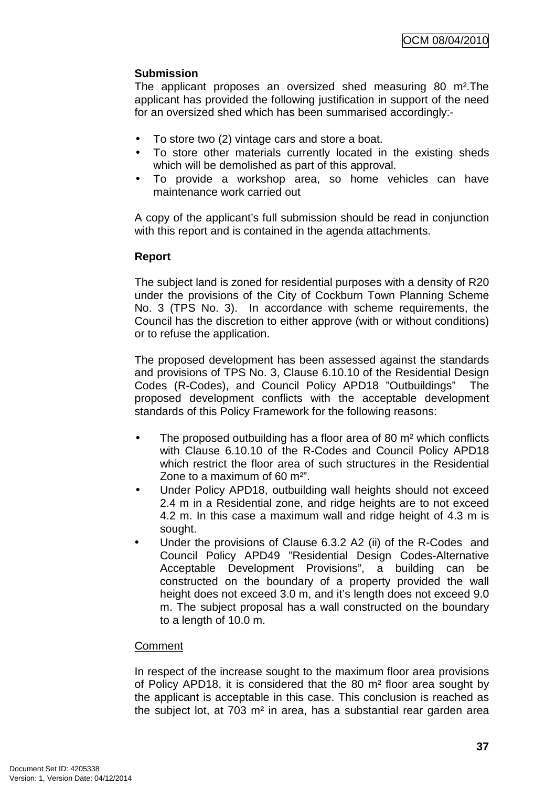# **Submission**

The applicant proposes an oversized shed measuring 80 m².The applicant has provided the following justification in support of the need for an oversized shed which has been summarised accordingly:-

- To store two (2) vintage cars and store a boat.
- To store other materials currently located in the existing sheds which will be demolished as part of this approval.
- To provide a workshop area, so home vehicles can have maintenance work carried out

A copy of the applicant's full submission should be read in conjunction with this report and is contained in the agenda attachments.

## **Report**

The subject land is zoned for residential purposes with a density of R20 under the provisions of the City of Cockburn Town Planning Scheme No. 3 (TPS No. 3). In accordance with scheme requirements, the Council has the discretion to either approve (with or without conditions) or to refuse the application.

The proposed development has been assessed against the standards and provisions of TPS No. 3, Clause 6.10.10 of the Residential Design Codes (R-Codes), and Council Policy APD18 "Outbuildings" The proposed development conflicts with the acceptable development standards of this Policy Framework for the following reasons:

- The proposed outbuilding has a floor area of 80 m<sup>2</sup> which conflicts with Clause 6.10.10 of the R-Codes and Council Policy APD18 which restrict the floor area of such structures in the Residential Zone to a maximum of 60 m²".
- Under Policy APD18, outbuilding wall heights should not exceed 2.4 m in a Residential zone, and ridge heights are to not exceed 4.2 m. In this case a maximum wall and ridge height of 4.3 m is sought.
- Under the provisions of Clause 6.3.2 A2 (ii) of the R-Codes and Council Policy APD49 "Residential Design Codes-Alternative Acceptable Development Provisions", a building can be constructed on the boundary of a property provided the wall height does not exceed 3.0 m, and it's length does not exceed 9.0 m. The subject proposal has a wall constructed on the boundary to a length of 10.0 m.

### **Comment**

In respect of the increase sought to the maximum floor area provisions of Policy APD18, it is considered that the 80 m² floor area sought by the applicant is acceptable in this case. This conclusion is reached as the subject lot, at 703 m² in area, has a substantial rear garden area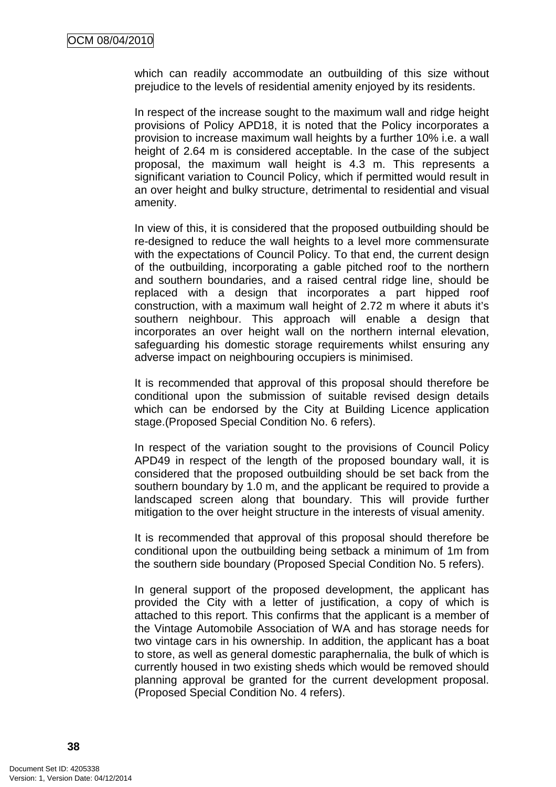which can readily accommodate an outbuilding of this size without prejudice to the levels of residential amenity enjoyed by its residents.

In respect of the increase sought to the maximum wall and ridge height provisions of Policy APD18, it is noted that the Policy incorporates a provision to increase maximum wall heights by a further 10% i.e. a wall height of 2.64 m is considered acceptable. In the case of the subject proposal, the maximum wall height is 4.3 m. This represents a significant variation to Council Policy, which if permitted would result in an over height and bulky structure, detrimental to residential and visual amenity.

In view of this, it is considered that the proposed outbuilding should be re-designed to reduce the wall heights to a level more commensurate with the expectations of Council Policy. To that end, the current design of the outbuilding, incorporating a gable pitched roof to the northern and southern boundaries, and a raised central ridge line, should be replaced with a design that incorporates a part hipped roof construction, with a maximum wall height of 2.72 m where it abuts it's southern neighbour. This approach will enable a design that incorporates an over height wall on the northern internal elevation, safeguarding his domestic storage requirements whilst ensuring any adverse impact on neighbouring occupiers is minimised.

It is recommended that approval of this proposal should therefore be conditional upon the submission of suitable revised design details which can be endorsed by the City at Building Licence application stage.(Proposed Special Condition No. 6 refers).

In respect of the variation sought to the provisions of Council Policy APD49 in respect of the length of the proposed boundary wall, it is considered that the proposed outbuilding should be set back from the southern boundary by 1.0 m, and the applicant be required to provide a landscaped screen along that boundary. This will provide further mitigation to the over height structure in the interests of visual amenity.

It is recommended that approval of this proposal should therefore be conditional upon the outbuilding being setback a minimum of 1m from the southern side boundary (Proposed Special Condition No. 5 refers).

In general support of the proposed development, the applicant has provided the City with a letter of justification, a copy of which is attached to this report. This confirms that the applicant is a member of the Vintage Automobile Association of WA and has storage needs for two vintage cars in his ownership. In addition, the applicant has a boat to store, as well as general domestic paraphernalia, the bulk of which is currently housed in two existing sheds which would be removed should planning approval be granted for the current development proposal. (Proposed Special Condition No. 4 refers).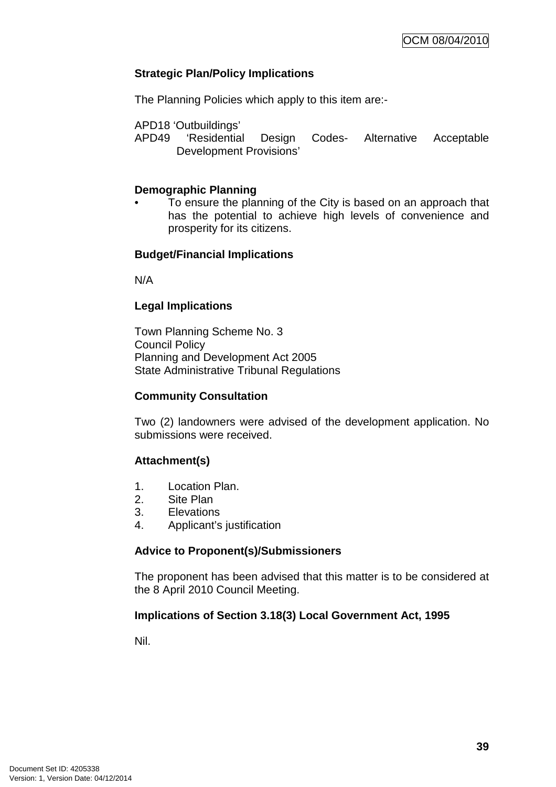## **Strategic Plan/Policy Implications**

The Planning Policies which apply to this item are:-

APD18 'Outbuildings'

APD49 'Residential Design Codes- Alternative Acceptable Development Provisions'

### **Demographic Planning**

• To ensure the planning of the City is based on an approach that has the potential to achieve high levels of convenience and prosperity for its citizens.

## **Budget/Financial Implications**

N/A

## **Legal Implications**

Town Planning Scheme No. 3 Council Policy Planning and Development Act 2005 State Administrative Tribunal Regulations

### **Community Consultation**

Two (2) landowners were advised of the development application. No submissions were received.

# **Attachment(s)**

- 1. Location Plan.
- 2. Site Plan
- 3. Elevations
- 4. Applicant's justification

### **Advice to Proponent(s)/Submissioners**

The proponent has been advised that this matter is to be considered at the 8 April 2010 Council Meeting.

### **Implications of Section 3.18(3) Local Government Act, 1995**

Nil.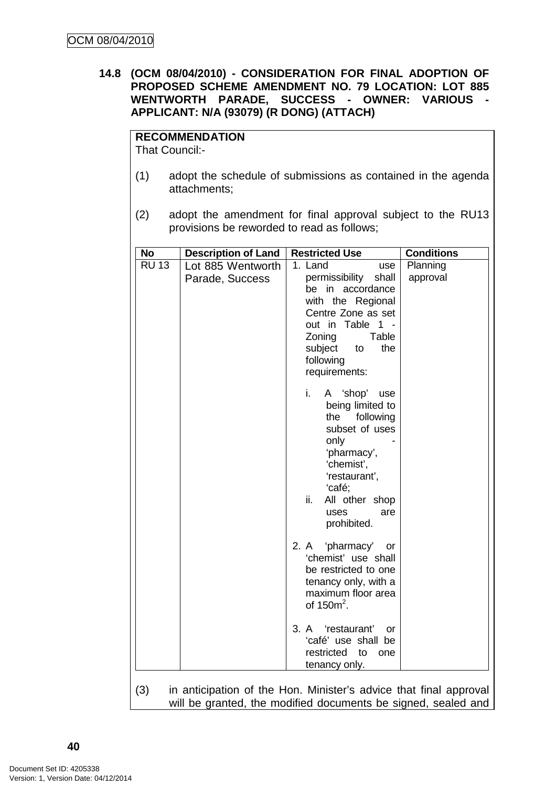## **14.8 (OCM 08/04/2010) - CONSIDERATION FOR FINAL ADOPTION OF PROPOSED SCHEME AMENDMENT NO. 79 LOCATION: LOT 885 WENTWORTH PARADE, SUCCESS - OWNER: VARIOUS - APPLICANT: N/A (93079) (R DONG) (ATTACH)**

# **RECOMMENDATION**

That Council:-

- (1) adopt the schedule of submissions as contained in the agenda attachments;
- (2) adopt the amendment for final approval subject to the RU13 provisions be reworded to read as follows;

| No           | <b>Description of Land</b>           | <b>Restricted Use</b>                                                                                                                                                                                    | <b>Conditions</b>    |
|--------------|--------------------------------------|----------------------------------------------------------------------------------------------------------------------------------------------------------------------------------------------------------|----------------------|
| <b>RU 13</b> | Lot 885 Wentworth<br>Parade, Success | 1. Land<br>use<br>permissibility<br>shall<br>in accordance<br>be<br>with the Regional<br>Centre Zone as set<br>out in Table 1 -<br>Zoning<br>Table<br>subject<br>the<br>to<br>following<br>requirements: | Planning<br>approval |
|              |                                      | i.<br>A 'shop'<br>use<br>being limited to<br>the<br>following<br>subset of uses<br>only<br>'pharmacy',<br>'chemist',<br>'restaurant',<br>'café;<br>ii.<br>All other shop<br>uses<br>are<br>prohibited.   |                      |
|              |                                      | 2. A 'pharmacy'<br>or<br>'chemist' use shall<br>be restricted to one<br>tenancy only, with a<br>maximum floor area<br>of $150m^2$ .                                                                      |                      |
|              |                                      | 3. A 'restaurant'<br>or<br>'café' use shall be<br>restricted to<br>one<br>tenancy only.                                                                                                                  |                      |
| (3)          |                                      | in anticipation of the Hon. Minister's advice that final approval<br>will be granted, the modified documents be signed, sealed and                                                                       |                      |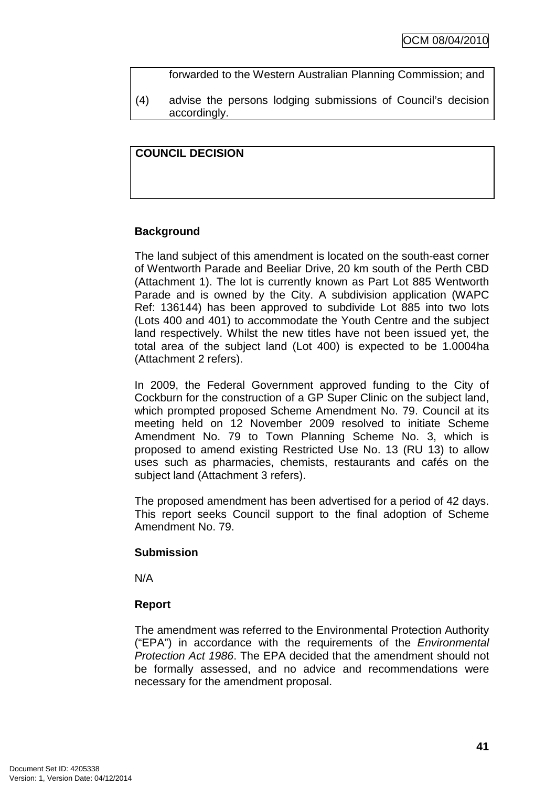forwarded to the Western Australian Planning Commission; and

(4) advise the persons lodging submissions of Council's decision accordingly.

## **COUNCIL DECISION**

# **Background**

The land subject of this amendment is located on the south-east corner of Wentworth Parade and Beeliar Drive, 20 km south of the Perth CBD (Attachment 1). The lot is currently known as Part Lot 885 Wentworth Parade and is owned by the City. A subdivision application (WAPC Ref: 136144) has been approved to subdivide Lot 885 into two lots (Lots 400 and 401) to accommodate the Youth Centre and the subject land respectively. Whilst the new titles have not been issued yet, the total area of the subject land (Lot 400) is expected to be 1.0004ha (Attachment 2 refers).

In 2009, the Federal Government approved funding to the City of Cockburn for the construction of a GP Super Clinic on the subject land, which prompted proposed Scheme Amendment No. 79. Council at its meeting held on 12 November 2009 resolved to initiate Scheme Amendment No. 79 to Town Planning Scheme No. 3, which is proposed to amend existing Restricted Use No. 13 (RU 13) to allow uses such as pharmacies, chemists, restaurants and cafés on the subject land (Attachment 3 refers).

The proposed amendment has been advertised for a period of 42 days. This report seeks Council support to the final adoption of Scheme Amendment No. 79.

### **Submission**

N/A

# **Report**

The amendment was referred to the Environmental Protection Authority ("EPA") in accordance with the requirements of the Environmental Protection Act 1986. The EPA decided that the amendment should not be formally assessed, and no advice and recommendations were necessary for the amendment proposal.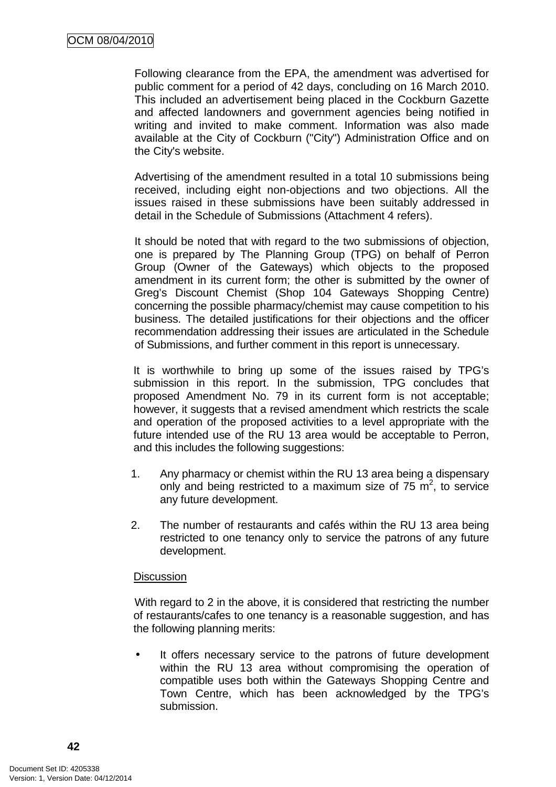Following clearance from the EPA, the amendment was advertised for public comment for a period of 42 days, concluding on 16 March 2010. This included an advertisement being placed in the Cockburn Gazette and affected landowners and government agencies being notified in writing and invited to make comment. Information was also made available at the City of Cockburn ("City") Administration Office and on the City's website.

Advertising of the amendment resulted in a total 10 submissions being received, including eight non-objections and two objections. All the issues raised in these submissions have been suitably addressed in detail in the Schedule of Submissions (Attachment 4 refers).

It should be noted that with regard to the two submissions of objection, one is prepared by The Planning Group (TPG) on behalf of Perron Group (Owner of the Gateways) which objects to the proposed amendment in its current form; the other is submitted by the owner of Greg's Discount Chemist (Shop 104 Gateways Shopping Centre) concerning the possible pharmacy/chemist may cause competition to his business. The detailed justifications for their objections and the officer recommendation addressing their issues are articulated in the Schedule of Submissions, and further comment in this report is unnecessary.

It is worthwhile to bring up some of the issues raised by TPG's submission in this report. In the submission, TPG concludes that proposed Amendment No. 79 in its current form is not acceptable; however, it suggests that a revised amendment which restricts the scale and operation of the proposed activities to a level appropriate with the future intended use of the RU 13 area would be acceptable to Perron, and this includes the following suggestions:

- 1. Any pharmacy or chemist within the RU 13 area being a dispensary only and being restricted to a maximum size of  $75 \text{ m}^2$ , to service any future development.
- 2. The number of restaurants and cafés within the RU 13 area being restricted to one tenancy only to service the patrons of any future development.

### **Discussion**

With regard to 2 in the above, it is considered that restricting the number of restaurants/cafes to one tenancy is a reasonable suggestion, and has the following planning merits:

• It offers necessary service to the patrons of future development within the RU 13 area without compromising the operation of compatible uses both within the Gateways Shopping Centre and Town Centre, which has been acknowledged by the TPG's submission.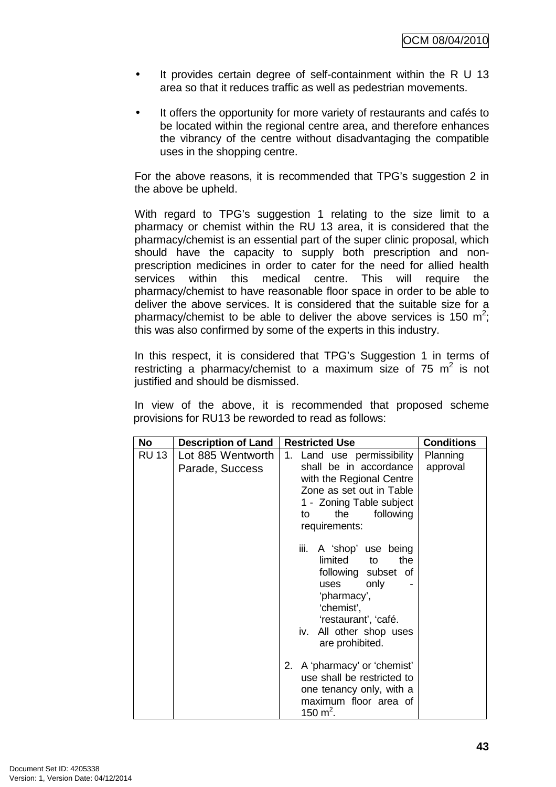- It provides certain degree of self-containment within the R U 13 area so that it reduces traffic as well as pedestrian movements.
- It offers the opportunity for more variety of restaurants and cafés to be located within the regional centre area, and therefore enhances the vibrancy of the centre without disadvantaging the compatible uses in the shopping centre.

For the above reasons, it is recommended that TPG's suggestion 2 in the above be upheld.

With regard to TPG's suggestion 1 relating to the size limit to a pharmacy or chemist within the RU 13 area, it is considered that the pharmacy/chemist is an essential part of the super clinic proposal, which should have the capacity to supply both prescription and nonprescription medicines in order to cater for the need for allied health services within this medical centre. This will require the pharmacy/chemist to have reasonable floor space in order to be able to deliver the above services. It is considered that the suitable size for a pharmacy/chemist to be able to deliver the above services is 150  $m^2$ ; this was also confirmed by some of the experts in this industry.

In this respect, it is considered that TPG's Suggestion 1 in terms of restricting a pharmacy/chemist to a maximum size of 75  $m^2$  is not justified and should be dismissed.

In view of the above, it is recommended that proposed scheme provisions for RU13 be reworded to read as follows:

| No           | <b>Description of Land</b>           | <b>Restricted Use</b>                                                                                                                                                                        | <b>Conditions</b>    |
|--------------|--------------------------------------|----------------------------------------------------------------------------------------------------------------------------------------------------------------------------------------------|----------------------|
| <b>RU 13</b> | Lot 885 Wentworth<br>Parade, Success | 1. Land use permissibility<br>shall be in accordance<br>with the Regional Centre<br>Zone as set out in Table<br>1 - Zoning Table subject<br>the<br>following<br>to<br>requirements:          | Planning<br>approval |
|              |                                      | iii.<br>A 'shop' use being<br>limited<br>the<br>to<br>following subset of<br>only<br>uses<br>'pharmacy',<br>'chemist',<br>'restaurant', 'café.<br>iv. All other shop uses<br>are prohibited. |                      |
|              |                                      | 2. A 'pharmacy' or 'chemist'<br>use shall be restricted to<br>one tenancy only, with a<br>maximum floor area of<br>150 m <sup>2</sup> .                                                      |                      |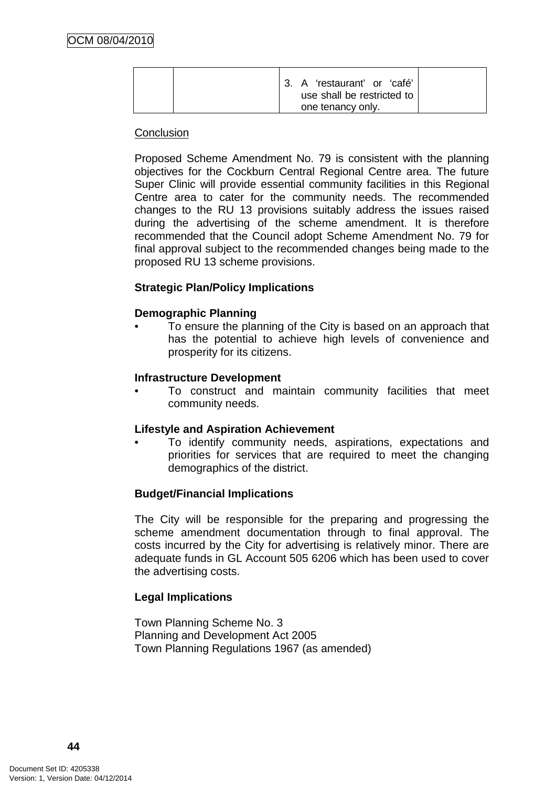|  | 3. A 'restaurant' or 'café'<br>use shall be restricted to |
|--|-----------------------------------------------------------|
|  | one tenancy only.                                         |

#### **Conclusion**

Proposed Scheme Amendment No. 79 is consistent with the planning objectives for the Cockburn Central Regional Centre area. The future Super Clinic will provide essential community facilities in this Regional Centre area to cater for the community needs. The recommended changes to the RU 13 provisions suitably address the issues raised during the advertising of the scheme amendment. It is therefore recommended that the Council adopt Scheme Amendment No. 79 for final approval subject to the recommended changes being made to the proposed RU 13 scheme provisions.

### **Strategic Plan/Policy Implications**

### **Demographic Planning**

• To ensure the planning of the City is based on an approach that has the potential to achieve high levels of convenience and prosperity for its citizens.

#### **Infrastructure Development**

• To construct and maintain community facilities that meet community needs.

### **Lifestyle and Aspiration Achievement**

• To identify community needs, aspirations, expectations and priorities for services that are required to meet the changing demographics of the district.

### **Budget/Financial Implications**

The City will be responsible for the preparing and progressing the scheme amendment documentation through to final approval. The costs incurred by the City for advertising is relatively minor. There are adequate funds in GL Account 505 6206 which has been used to cover the advertising costs.

### **Legal Implications**

Town Planning Scheme No. 3 Planning and Development Act 2005 Town Planning Regulations 1967 (as amended)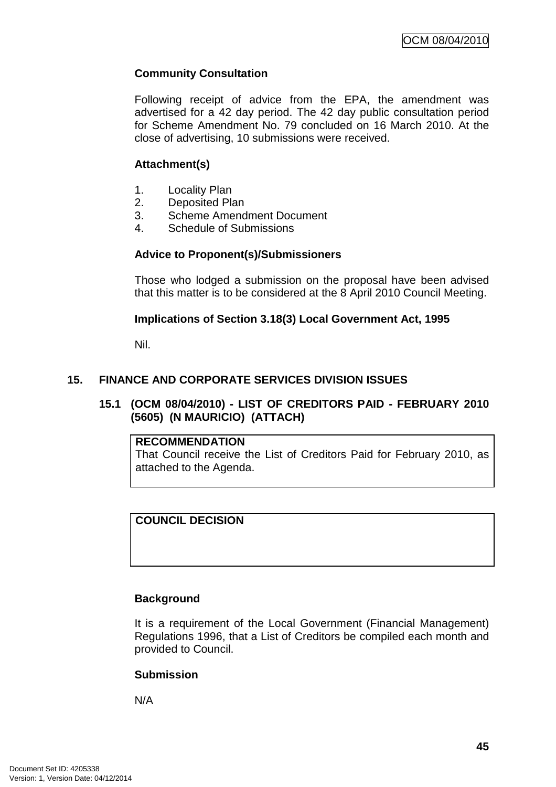# **Community Consultation**

Following receipt of advice from the EPA, the amendment was advertised for a 42 day period. The 42 day public consultation period for Scheme Amendment No. 79 concluded on 16 March 2010. At the close of advertising, 10 submissions were received.

## **Attachment(s)**

- 1. Locality Plan
- 2. Deposited Plan
- 3. Scheme Amendment Document
- 4. Schedule of Submissions

## **Advice to Proponent(s)/Submissioners**

Those who lodged a submission on the proposal have been advised that this matter is to be considered at the 8 April 2010 Council Meeting.

## **Implications of Section 3.18(3) Local Government Act, 1995**

Nil.

# **15. FINANCE AND CORPORATE SERVICES DIVISION ISSUES**

## **15.1 (OCM 08/04/2010) - LIST OF CREDITORS PAID - FEBRUARY 2010 (5605) (N MAURICIO) (ATTACH)**

### **RECOMMENDATION**

That Council receive the List of Creditors Paid for February 2010, as attached to the Agenda.

# **COUNCIL DECISION**

# **Background**

It is a requirement of the Local Government (Financial Management) Regulations 1996, that a List of Creditors be compiled each month and provided to Council.

# **Submission**

N/A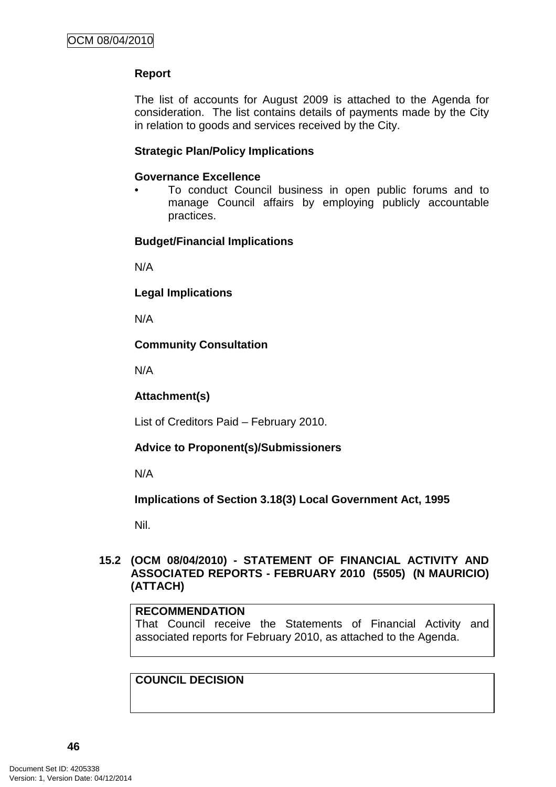# **Report**

The list of accounts for August 2009 is attached to the Agenda for consideration. The list contains details of payments made by the City in relation to goods and services received by the City.

## **Strategic Plan/Policy Implications**

### **Governance Excellence**

• To conduct Council business in open public forums and to manage Council affairs by employing publicly accountable practices.

## **Budget/Financial Implications**

N/A

**Legal Implications** 

N/A

## **Community Consultation**

N/A

### **Attachment(s)**

List of Creditors Paid – February 2010.

# **Advice to Proponent(s)/Submissioners**

N/A

**Implications of Section 3.18(3) Local Government Act, 1995**

Nil.

## **15.2 (OCM 08/04/2010) - STATEMENT OF FINANCIAL ACTIVITY AND ASSOCIATED REPORTS - FEBRUARY 2010 (5505) (N MAURICIO) (ATTACH)**

### **RECOMMENDATION**

That Council receive the Statements of Financial Activity and associated reports for February 2010, as attached to the Agenda.

### **COUNCIL DECISION**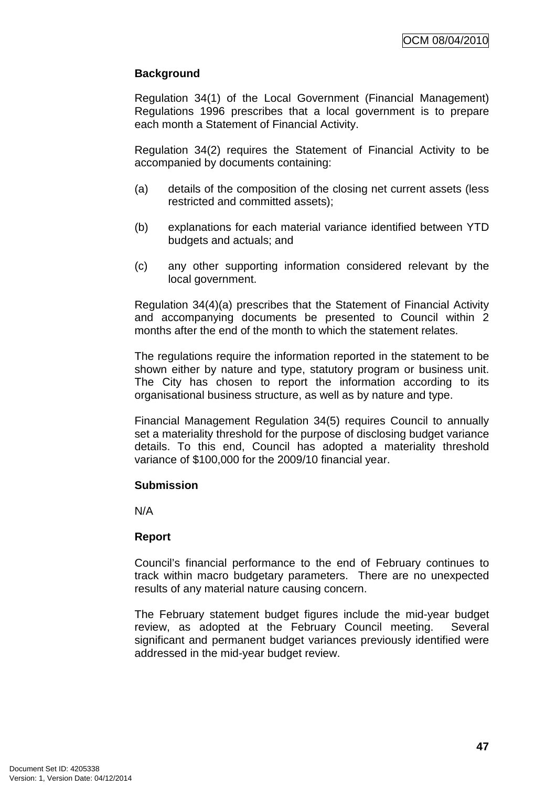# **Background**

Regulation 34(1) of the Local Government (Financial Management) Regulations 1996 prescribes that a local government is to prepare each month a Statement of Financial Activity.

Regulation 34(2) requires the Statement of Financial Activity to be accompanied by documents containing:

- (a) details of the composition of the closing net current assets (less restricted and committed assets);
- (b) explanations for each material variance identified between YTD budgets and actuals; and
- (c) any other supporting information considered relevant by the local government.

Regulation 34(4)(a) prescribes that the Statement of Financial Activity and accompanying documents be presented to Council within 2 months after the end of the month to which the statement relates.

The regulations require the information reported in the statement to be shown either by nature and type, statutory program or business unit. The City has chosen to report the information according to its organisational business structure, as well as by nature and type.

Financial Management Regulation 34(5) requires Council to annually set a materiality threshold for the purpose of disclosing budget variance details. To this end, Council has adopted a materiality threshold variance of \$100,000 for the 2009/10 financial year.

### **Submission**

N/A

### **Report**

Council's financial performance to the end of February continues to track within macro budgetary parameters. There are no unexpected results of any material nature causing concern.

The February statement budget figures include the mid-year budget review, as adopted at the February Council meeting. Several significant and permanent budget variances previously identified were addressed in the mid-year budget review.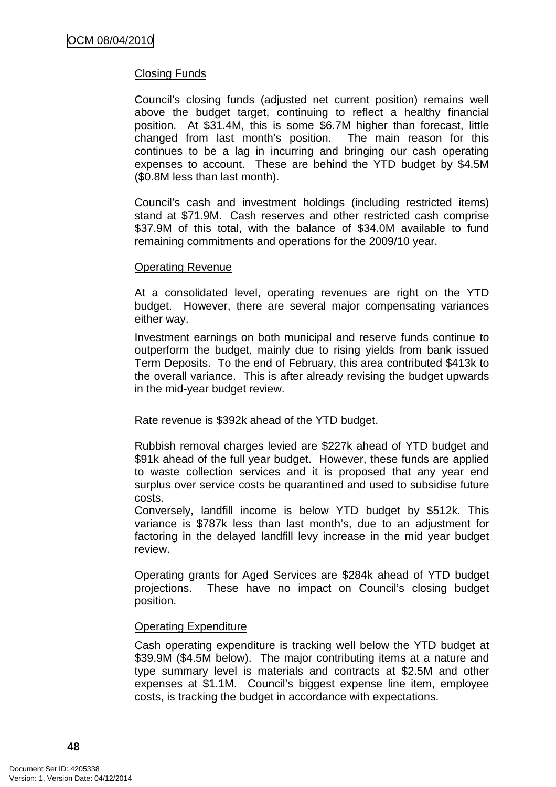## Closing Funds

Council's closing funds (adjusted net current position) remains well above the budget target, continuing to reflect a healthy financial position. At \$31.4M, this is some \$6.7M higher than forecast, little changed from last month's position. The main reason for this continues to be a lag in incurring and bringing our cash operating expenses to account. These are behind the YTD budget by \$4.5M (\$0.8M less than last month).

Council's cash and investment holdings (including restricted items) stand at \$71.9M. Cash reserves and other restricted cash comprise \$37.9M of this total, with the balance of \$34.0M available to fund remaining commitments and operations for the 2009/10 year.

#### Operating Revenue

At a consolidated level, operating revenues are right on the YTD budget. However, there are several major compensating variances either way.

Investment earnings on both municipal and reserve funds continue to outperform the budget, mainly due to rising yields from bank issued Term Deposits. To the end of February, this area contributed \$413k to the overall variance. This is after already revising the budget upwards in the mid-year budget review.

Rate revenue is \$392k ahead of the YTD budget.

Rubbish removal charges levied are \$227k ahead of YTD budget and \$91k ahead of the full year budget. However, these funds are applied to waste collection services and it is proposed that any year end surplus over service costs be quarantined and used to subsidise future costs.

Conversely, landfill income is below YTD budget by \$512k. This variance is \$787k less than last month's, due to an adjustment for factoring in the delayed landfill levy increase in the mid year budget review.

Operating grants for Aged Services are \$284k ahead of YTD budget projections. These have no impact on Council's closing budget position.

### Operating Expenditure

Cash operating expenditure is tracking well below the YTD budget at \$39.9M (\$4.5M below). The major contributing items at a nature and type summary level is materials and contracts at \$2.5M and other expenses at \$1.1M. Council's biggest expense line item, employee costs, is tracking the budget in accordance with expectations.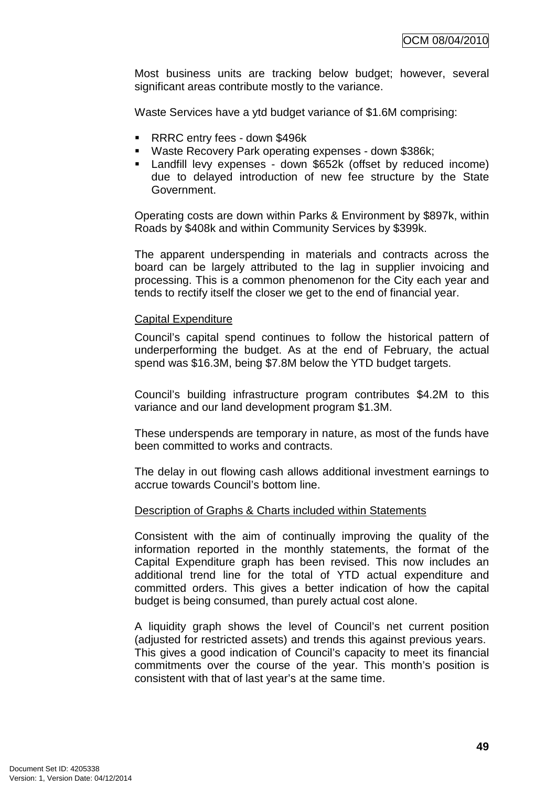Most business units are tracking below budget; however, several significant areas contribute mostly to the variance.

Waste Services have a ytd budget variance of \$1.6M comprising:

- **RRRC entry fees down \$496k**
- Waste Recovery Park operating expenses down \$386k;
- Landfill levy expenses down \$652k (offset by reduced income) due to delayed introduction of new fee structure by the State Government.

Operating costs are down within Parks & Environment by \$897k, within Roads by \$408k and within Community Services by \$399k.

The apparent underspending in materials and contracts across the board can be largely attributed to the lag in supplier invoicing and processing. This is a common phenomenon for the City each year and tends to rectify itself the closer we get to the end of financial year.

#### Capital Expenditure

Council's capital spend continues to follow the historical pattern of underperforming the budget. As at the end of February, the actual spend was \$16.3M, being \$7.8M below the YTD budget targets.

Council's building infrastructure program contributes \$4.2M to this variance and our land development program \$1.3M.

These underspends are temporary in nature, as most of the funds have been committed to works and contracts.

The delay in out flowing cash allows additional investment earnings to accrue towards Council's bottom line.

#### Description of Graphs & Charts included within Statements

Consistent with the aim of continually improving the quality of the information reported in the monthly statements, the format of the Capital Expenditure graph has been revised. This now includes an additional trend line for the total of YTD actual expenditure and committed orders. This gives a better indication of how the capital budget is being consumed, than purely actual cost alone.

A liquidity graph shows the level of Council's net current position (adjusted for restricted assets) and trends this against previous years. This gives a good indication of Council's capacity to meet its financial commitments over the course of the year. This month's position is consistent with that of last year's at the same time.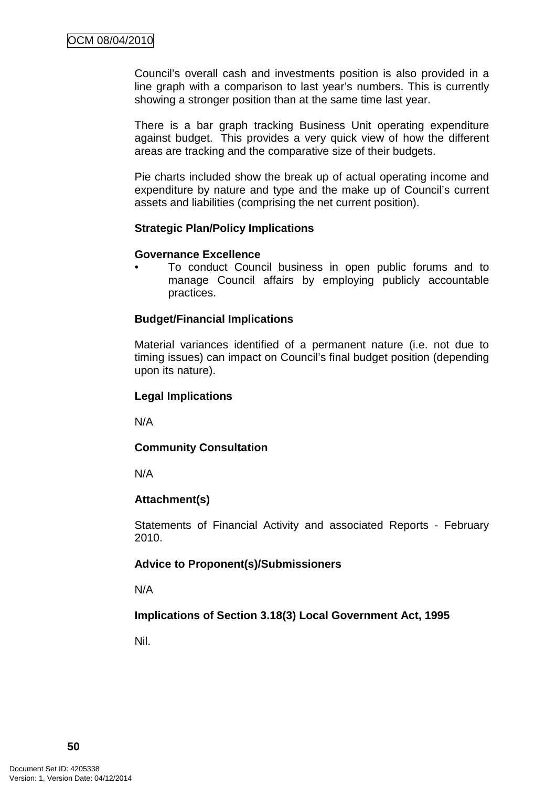Council's overall cash and investments position is also provided in a line graph with a comparison to last year's numbers. This is currently showing a stronger position than at the same time last year.

There is a bar graph tracking Business Unit operating expenditure against budget. This provides a very quick view of how the different areas are tracking and the comparative size of their budgets.

Pie charts included show the break up of actual operating income and expenditure by nature and type and the make up of Council's current assets and liabilities (comprising the net current position).

#### **Strategic Plan/Policy Implications**

#### **Governance Excellence**

• To conduct Council business in open public forums and to manage Council affairs by employing publicly accountable practices.

### **Budget/Financial Implications**

Material variances identified of a permanent nature (i.e. not due to timing issues) can impact on Council's final budget position (depending upon its nature).

#### **Legal Implications**

N/A

### **Community Consultation**

N/A

### **Attachment(s)**

Statements of Financial Activity and associated Reports - February 2010.

### **Advice to Proponent(s)/Submissioners**

N/A

### **Implications of Section 3.18(3) Local Government Act, 1995**

Nil.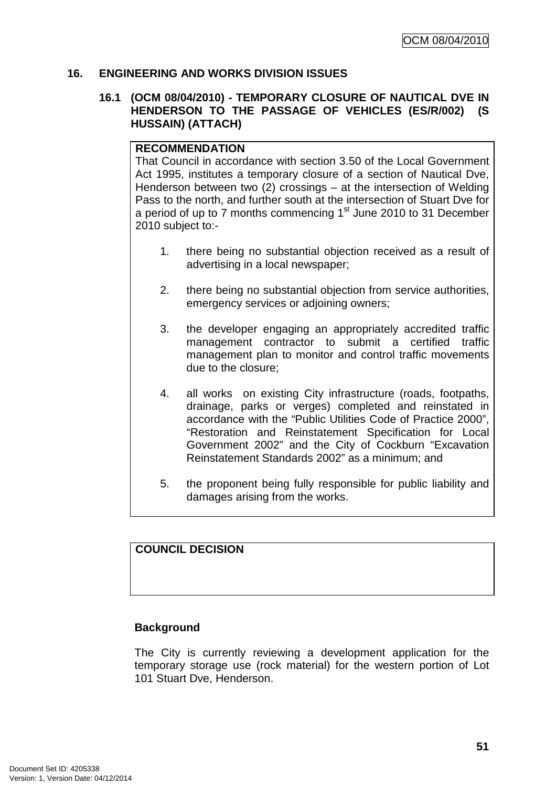### **16. ENGINEERING AND WORKS DIVISION ISSUES**

#### **16.1 (OCM 08/04/2010) - TEMPORARY CLOSURE OF NAUTICAL DVE IN HENDERSON TO THE PASSAGE OF VEHICLES (ES/R/002) (S HUSSAIN) (ATTACH)**

#### **RECOMMENDATION**

That Council in accordance with section 3.50 of the Local Government Act 1995, institutes a temporary closure of a section of Nautical Dve, Henderson between two (2) crossings – at the intersection of Welding Pass to the north, and further south at the intersection of Stuart Dve for a period of up to  $7$  months commencing  $1<sup>st</sup>$  June 2010 to 31 December 2010 subject to:-

- 1. there being no substantial objection received as a result of advertising in a local newspaper;
- 2. there being no substantial objection from service authorities, emergency services or adjoining owners;
- 3. the developer engaging an appropriately accredited traffic management contractor to submit a certified traffic management plan to monitor and control traffic movements due to the closure;
- 4. all works on existing City infrastructure (roads, footpaths, drainage, parks or verges) completed and reinstated in accordance with the "Public Utilities Code of Practice 2000", "Restoration and Reinstatement Specification for Local Government 2002" and the City of Cockburn "Excavation Reinstatement Standards 2002" as a minimum; and
- 5. the proponent being fully responsible for public liability and damages arising from the works.

# **COUNCIL DECISION**

### **Background**

The City is currently reviewing a development application for the temporary storage use (rock material) for the western portion of Lot 101 Stuart Dve, Henderson.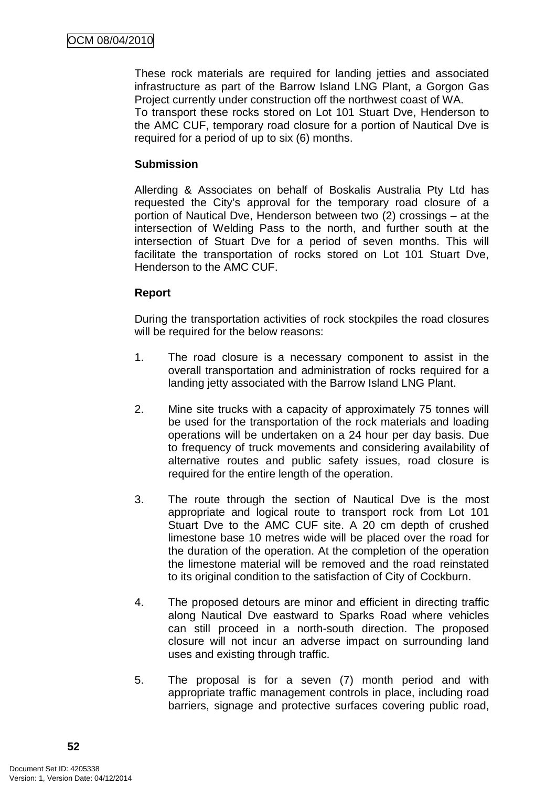These rock materials are required for landing jetties and associated infrastructure as part of the Barrow Island LNG Plant, a Gorgon Gas Project currently under construction off the northwest coast of WA.

To transport these rocks stored on Lot 101 Stuart Dve, Henderson to the AMC CUF, temporary road closure for a portion of Nautical Dve is required for a period of up to six (6) months.

### **Submission**

Allerding & Associates on behalf of Boskalis Australia Pty Ltd has requested the City's approval for the temporary road closure of a portion of Nautical Dve, Henderson between two (2) crossings – at the intersection of Welding Pass to the north, and further south at the intersection of Stuart Dve for a period of seven months. This will facilitate the transportation of rocks stored on Lot 101 Stuart Dve, Henderson to the AMC CUF.

# **Report**

During the transportation activities of rock stockpiles the road closures will be required for the below reasons:

- 1. The road closure is a necessary component to assist in the overall transportation and administration of rocks required for a landing jetty associated with the Barrow Island LNG Plant.
- 2. Mine site trucks with a capacity of approximately 75 tonnes will be used for the transportation of the rock materials and loading operations will be undertaken on a 24 hour per day basis. Due to frequency of truck movements and considering availability of alternative routes and public safety issues, road closure is required for the entire length of the operation.
- 3. The route through the section of Nautical Dve is the most appropriate and logical route to transport rock from Lot 101 Stuart Dve to the AMC CUF site. A 20 cm depth of crushed limestone base 10 metres wide will be placed over the road for the duration of the operation. At the completion of the operation the limestone material will be removed and the road reinstated to its original condition to the satisfaction of City of Cockburn.
- 4. The proposed detours are minor and efficient in directing traffic along Nautical Dve eastward to Sparks Road where vehicles can still proceed in a north-south direction. The proposed closure will not incur an adverse impact on surrounding land uses and existing through traffic.
- 5. The proposal is for a seven (7) month period and with appropriate traffic management controls in place, including road barriers, signage and protective surfaces covering public road,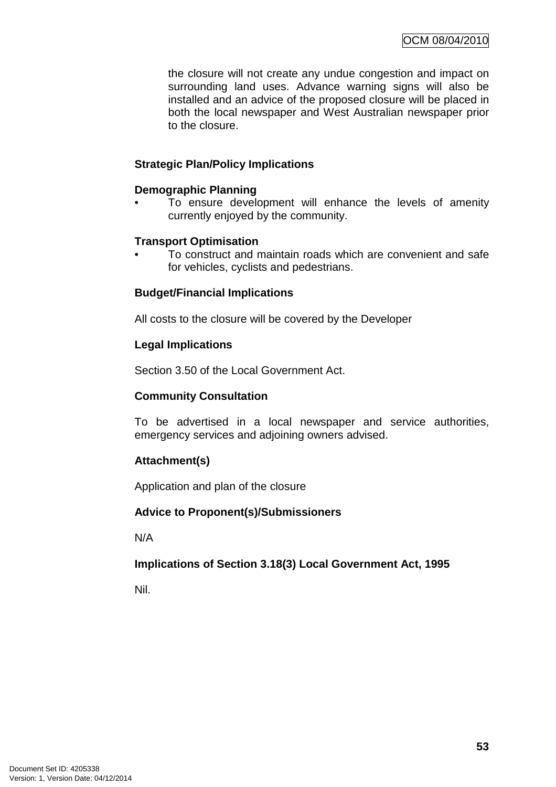the closure will not create any undue congestion and impact on surrounding land uses. Advance warning signs will also be installed and an advice of the proposed closure will be placed in both the local newspaper and West Australian newspaper prior to the closure.

## **Strategic Plan/Policy Implications**

### **Demographic Planning**

To ensure development will enhance the levels of amenity currently enjoyed by the community.

## **Transport Optimisation**

• To construct and maintain roads which are convenient and safe for vehicles, cyclists and pedestrians.

## **Budget/Financial Implications**

All costs to the closure will be covered by the Developer

## **Legal Implications**

Section 3.50 of the Local Government Act.

### **Community Consultation**

To be advertised in a local newspaper and service authorities, emergency services and adjoining owners advised.

# **Attachment(s)**

Application and plan of the closure

### **Advice to Proponent(s)/Submissioners**

N/A

### **Implications of Section 3.18(3) Local Government Act, 1995**

Nil.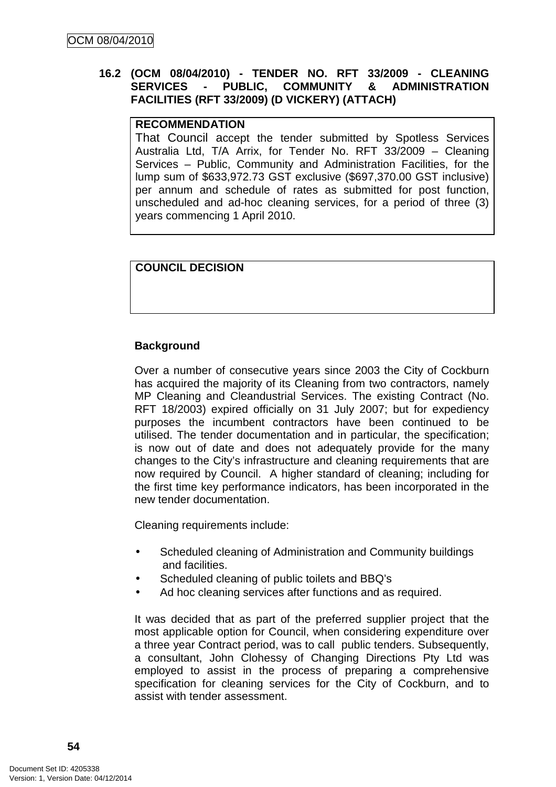## **16.2 (OCM 08/04/2010) - TENDER NO. RFT 33/2009 - CLEANING SERVICES - PUBLIC, COMMUNITY & ADMINISTRATION FACILITIES (RFT 33/2009) (D VICKERY) (ATTACH)**

### **RECOMMENDATION**

That Council accept the tender submitted by Spotless Services Australia Ltd, T/A Arrix, for Tender No. RFT 33/2009 – Cleaning Services – Public, Community and Administration Facilities, for the lump sum of \$633,972.73 GST exclusive (\$697,370.00 GST inclusive) per annum and schedule of rates as submitted for post function, unscheduled and ad-hoc cleaning services, for a period of three (3) years commencing 1 April 2010.

### **COUNCIL DECISION**

### **Background**

Over a number of consecutive years since 2003 the City of Cockburn has acquired the majority of its Cleaning from two contractors, namely MP Cleaning and Cleandustrial Services. The existing Contract (No. RFT 18/2003) expired officially on 31 July 2007; but for expediency purposes the incumbent contractors have been continued to be utilised. The tender documentation and in particular, the specification; is now out of date and does not adequately provide for the many changes to the City's infrastructure and cleaning requirements that are now required by Council. A higher standard of cleaning; including for the first time key performance indicators, has been incorporated in the new tender documentation.

Cleaning requirements include:

- Scheduled cleaning of Administration and Community buildings and facilities.
- Scheduled cleaning of public toilets and BBQ's
- Ad hoc cleaning services after functions and as required.

It was decided that as part of the preferred supplier project that the most applicable option for Council, when considering expenditure over a three year Contract period, was to call public tenders. Subsequently, a consultant, John Clohessy of Changing Directions Pty Ltd was employed to assist in the process of preparing a comprehensive specification for cleaning services for the City of Cockburn, and to assist with tender assessment.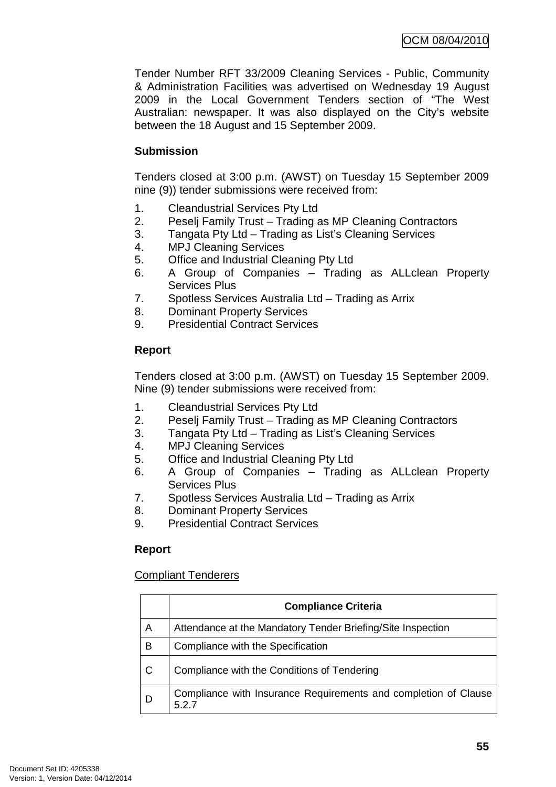Tender Number RFT 33/2009 Cleaning Services - Public, Community & Administration Facilities was advertised on Wednesday 19 August 2009 in the Local Government Tenders section of "The West Australian: newspaper. It was also displayed on the City's website between the 18 August and 15 September 2009.

## **Submission**

Tenders closed at 3:00 p.m. (AWST) on Tuesday 15 September 2009 nine (9)) tender submissions were received from:

- 1. Cleandustrial Services Pty Ltd
- 2. Peselj Family Trust Trading as MP Cleaning Contractors
- 3. Tangata Pty Ltd Trading as List's Cleaning Services
- 4. MPJ Cleaning Services
- 5. Office and Industrial Cleaning Pty Ltd
- 6. A Group of Companies Trading as ALLclean Property Services Plus
- 7. Spotless Services Australia Ltd Trading as Arrix
- 8. Dominant Property Services
- 9. Presidential Contract Services

# **Report**

Tenders closed at 3:00 p.m. (AWST) on Tuesday 15 September 2009. Nine (9) tender submissions were received from:

- 1. Cleandustrial Services Pty Ltd
- 2. Peselj Family Trust Trading as MP Cleaning Contractors
- 3. Tangata Pty Ltd Trading as List's Cleaning Services
- 4. MPJ Cleaning Services
- 5. Office and Industrial Cleaning Pty Ltd
- 6. A Group of Companies Trading as ALLclean Property Services Plus
- 7. Spotless Services Australia Ltd Trading as Arrix
- 8. Dominant Property Services
- 9. Presidential Contract Services

# **Report**

### Compliant Tenderers

|   | <b>Compliance Criteria</b>                                             |
|---|------------------------------------------------------------------------|
| A | Attendance at the Mandatory Tender Briefing/Site Inspection            |
| в | Compliance with the Specification                                      |
| C | Compliance with the Conditions of Tendering                            |
| D | Compliance with Insurance Requirements and completion of Clause<br>527 |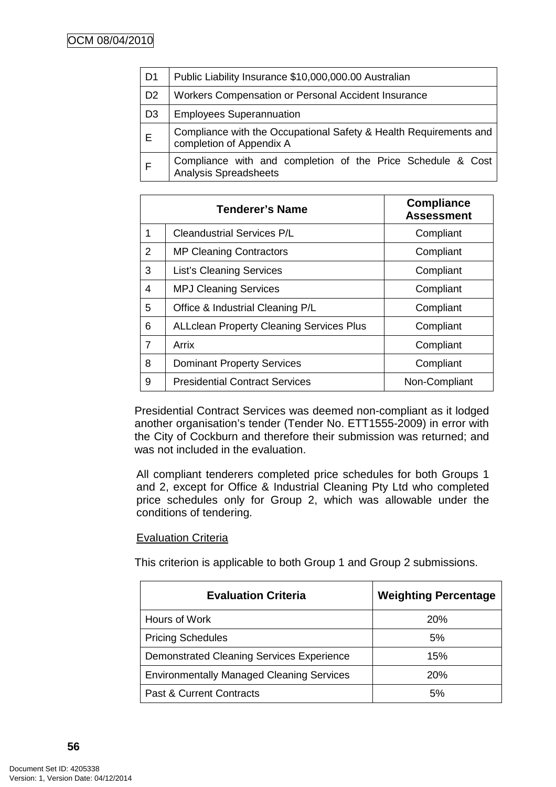| D <sub>1</sub> | Public Liability Insurance \$10,000,000.00 Australian                                         |  |  |  |
|----------------|-----------------------------------------------------------------------------------------------|--|--|--|
| D <sub>2</sub> | Workers Compensation or Personal Accident Insurance                                           |  |  |  |
| D <sub>3</sub> | <b>Employees Superannuation</b>                                                               |  |  |  |
| E              | Compliance with the Occupational Safety & Health Requirements and<br>completion of Appendix A |  |  |  |
|                | Compliance with and completion of the Price Schedule & Cost<br><b>Analysis Spreadsheets</b>   |  |  |  |

|   | <b>Tenderer's Name</b>                          | <b>Compliance</b><br><b>Assessment</b> |
|---|-------------------------------------------------|----------------------------------------|
| 1 | <b>Cleandustrial Services P/L</b>               | Compliant                              |
| 2 | <b>MP Cleaning Contractors</b>                  | Compliant                              |
| 3 | <b>List's Cleaning Services</b>                 | Compliant                              |
| 4 | <b>MPJ Cleaning Services</b>                    | Compliant                              |
| 5 | Office & Industrial Cleaning P/L                | Compliant                              |
| 6 | <b>ALLclean Property Cleaning Services Plus</b> | Compliant                              |
| 7 | Arrix                                           | Compliant                              |
| 8 | <b>Dominant Property Services</b>               | Compliant                              |
| 9 | <b>Presidential Contract Services</b>           | Non-Compliant                          |

Presidential Contract Services was deemed non-compliant as it lodged another organisation's tender (Tender No. ETT1555-2009) in error with the City of Cockburn and therefore their submission was returned; and was not included in the evaluation.

All compliant tenderers completed price schedules for both Groups 1 and 2, except for Office & Industrial Cleaning Pty Ltd who completed price schedules only for Group 2, which was allowable under the conditions of tendering.

# Evaluation Criteria

This criterion is applicable to both Group 1 and Group 2 submissions.

| <b>Evaluation Criteria</b>                       | <b>Weighting Percentage</b> |
|--------------------------------------------------|-----------------------------|
| Hours of Work                                    | <b>20%</b>                  |
| <b>Pricing Schedules</b>                         | 5%                          |
| Demonstrated Cleaning Services Experience        | 15%                         |
| <b>Environmentally Managed Cleaning Services</b> | <b>20%</b>                  |
| <b>Past &amp; Current Contracts</b>              | 5%                          |

**56**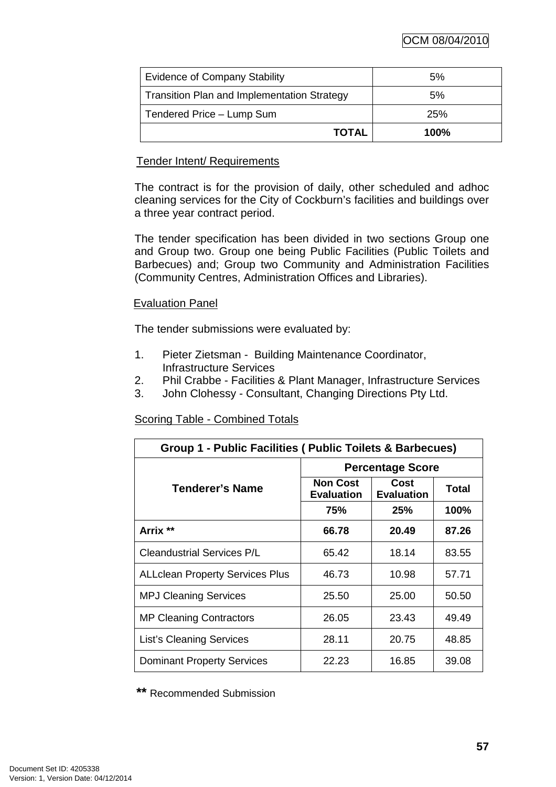OCM 08/04/2010

| <b>Evidence of Company Stability</b>               | 5%      |
|----------------------------------------------------|---------|
| <b>Transition Plan and Implementation Strategy</b> | 5%      |
| Tendered Price - Lump Sum                          | 25%     |
| <b>TOTAL</b>                                       | $100\%$ |

### Tender Intent/ Requirements

The contract is for the provision of daily, other scheduled and adhoc cleaning services for the City of Cockburn's facilities and buildings over a three year contract period.

The tender specification has been divided in two sections Group one and Group two. Group one being Public Facilities (Public Toilets and Barbecues) and; Group two Community and Administration Facilities (Community Centres, Administration Offices and Libraries).

## Evaluation Panel

The tender submissions were evaluated by:

- 1. Pieter Zietsman Building Maintenance Coordinator, Infrastructure Services
- 2. Phil Crabbe Facilities & Plant Manager, Infrastructure Services
- 3. John Clohessy Consultant, Changing Directions Pty Ltd.

# Scoring Table - Combined Totals

| Group 1 - Public Facilities ( Public Toilets & Barbecues) |                                      |                           |       |  |
|-----------------------------------------------------------|--------------------------------------|---------------------------|-------|--|
|                                                           | <b>Percentage Score</b>              |                           |       |  |
| Tenderer's Name                                           | <b>Non Cost</b><br><b>Evaluation</b> | Cost<br><b>Evaluation</b> | Total |  |
|                                                           | 75%                                  | 25%                       | 100%  |  |
| Arrix **                                                  | 66.78                                | 20.49                     | 87.26 |  |
| <b>Cleandustrial Services P/L</b>                         | 65.42                                | 18.14                     | 83.55 |  |
| <b>ALLclean Property Services Plus</b>                    | 46.73                                | 10.98                     | 57.71 |  |
| <b>MPJ Cleaning Services</b>                              | 25.50                                | 25.00                     | 50.50 |  |
| <b>MP Cleaning Contractors</b>                            | 26.05                                | 23.43                     | 49.49 |  |
| <b>List's Cleaning Services</b>                           | 28.11                                | 20.75                     | 48.85 |  |
| <b>Dominant Property Services</b>                         | 22.23                                | 16.85                     | 39.08 |  |

**\*\*** Recommended Submission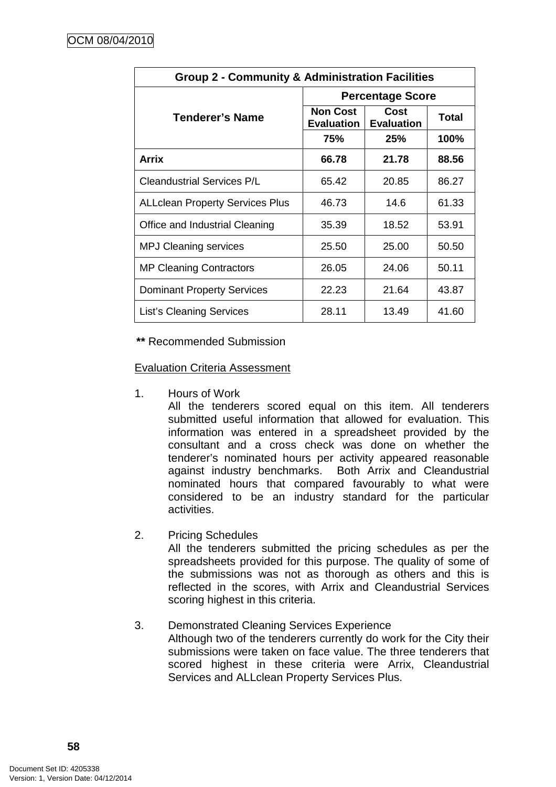| <b>Group 2 - Community &amp; Administration Facilities</b> |                                      |                           |       |  |
|------------------------------------------------------------|--------------------------------------|---------------------------|-------|--|
|                                                            | <b>Percentage Score</b>              |                           |       |  |
| Tenderer's Name                                            | <b>Non Cost</b><br><b>Evaluation</b> | Cost<br><b>Evaluation</b> | Total |  |
|                                                            | 75%                                  | 25%                       | 100%  |  |
| <b>Arrix</b>                                               | 66.78                                | 21.78                     | 88.56 |  |
| <b>Cleandustrial Services P/L</b>                          | 65.42                                | 20.85                     | 86.27 |  |
| <b>ALLclean Property Services Plus</b>                     | 46.73                                | 14.6                      | 61.33 |  |
| Office and Industrial Cleaning                             | 35.39                                | 18.52                     | 53.91 |  |
| <b>MPJ Cleaning services</b>                               | 25.50                                | 25.00                     | 50.50 |  |
| <b>MP Cleaning Contractors</b>                             | 26.05                                | 24.06                     | 50.11 |  |
| <b>Dominant Property Services</b>                          | 22.23                                | 21.64                     | 43.87 |  |
| <b>List's Cleaning Services</b>                            | 28.11                                | 13.49                     | 41.60 |  |

**\*\*** Recommended Submission

Evaluation Criteria Assessment

1. Hours of Work

All the tenderers scored equal on this item. All tenderers submitted useful information that allowed for evaluation. This information was entered in a spreadsheet provided by the consultant and a cross check was done on whether the tenderer's nominated hours per activity appeared reasonable against industry benchmarks. Both Arrix and Cleandustrial nominated hours that compared favourably to what were considered to be an industry standard for the particular activities.

2. Pricing Schedules

All the tenderers submitted the pricing schedules as per the spreadsheets provided for this purpose. The quality of some of the submissions was not as thorough as others and this is reflected in the scores, with Arrix and Cleandustrial Services scoring highest in this criteria.

### 3. Demonstrated Cleaning Services Experience Although two of the tenderers currently do work for the City their submissions were taken on face value. The three tenderers that scored highest in these criteria were Arrix, Cleandustrial Services and ALLclean Property Services Plus.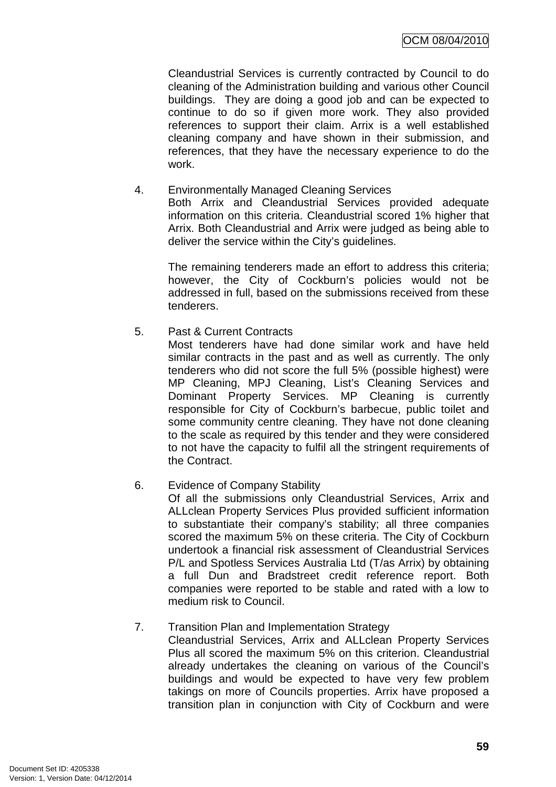Cleandustrial Services is currently contracted by Council to do cleaning of the Administration building and various other Council buildings. They are doing a good job and can be expected to continue to do so if given more work. They also provided references to support their claim. Arrix is a well established cleaning company and have shown in their submission, and references, that they have the necessary experience to do the work.

#### 4. Environmentally Managed Cleaning Services Both Arrix and Cleandustrial Services provided adequate information on this criteria. Cleandustrial scored 1% higher that Arrix. Both Cleandustrial and Arrix were judged as being able to deliver the service within the City's guidelines.

The remaining tenderers made an effort to address this criteria; however, the City of Cockburn's policies would not be addressed in full, based on the submissions received from these tenderers.

# 5. Past & Current Contracts

Most tenderers have had done similar work and have held similar contracts in the past and as well as currently. The only tenderers who did not score the full 5% (possible highest) were MP Cleaning, MPJ Cleaning, List's Cleaning Services and Dominant Property Services. MP Cleaning is currently responsible for City of Cockburn's barbecue, public toilet and some community centre cleaning. They have not done cleaning to the scale as required by this tender and they were considered to not have the capacity to fulfil all the stringent requirements of the Contract.

# 6. Evidence of Company Stability

Of all the submissions only Cleandustrial Services, Arrix and ALLclean Property Services Plus provided sufficient information to substantiate their company's stability; all three companies scored the maximum 5% on these criteria. The City of Cockburn undertook a financial risk assessment of Cleandustrial Services P/L and Spotless Services Australia Ltd (T/as Arrix) by obtaining a full Dun and Bradstreet credit reference report. Both companies were reported to be stable and rated with a low to medium risk to Council.

### 7. Transition Plan and Implementation Strategy

Cleandustrial Services, Arrix and ALLclean Property Services Plus all scored the maximum 5% on this criterion. Cleandustrial already undertakes the cleaning on various of the Council's buildings and would be expected to have very few problem takings on more of Councils properties. Arrix have proposed a transition plan in conjunction with City of Cockburn and were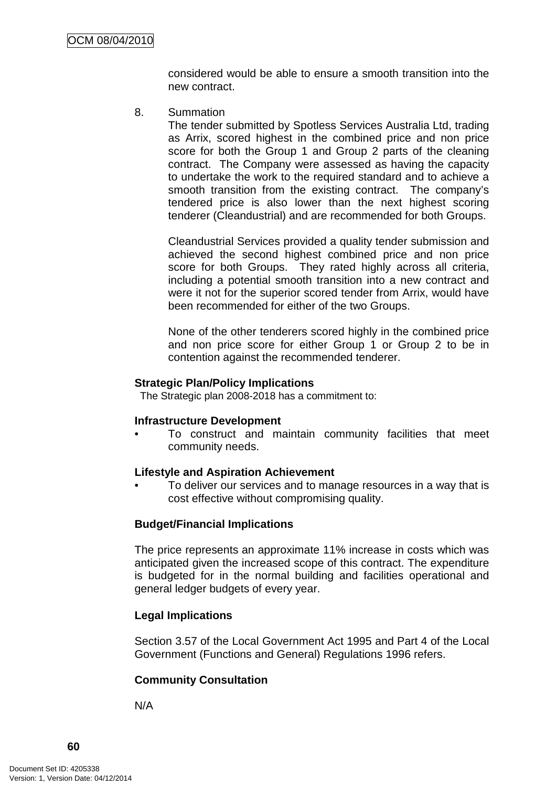considered would be able to ensure a smooth transition into the new contract.

8. Summation

The tender submitted by Spotless Services Australia Ltd, trading as Arrix, scored highest in the combined price and non price score for both the Group 1 and Group 2 parts of the cleaning contract. The Company were assessed as having the capacity to undertake the work to the required standard and to achieve a smooth transition from the existing contract. The company's tendered price is also lower than the next highest scoring tenderer (Cleandustrial) and are recommended for both Groups.

Cleandustrial Services provided a quality tender submission and achieved the second highest combined price and non price score for both Groups. They rated highly across all criteria, including a potential smooth transition into a new contract and were it not for the superior scored tender from Arrix, would have been recommended for either of the two Groups.

None of the other tenderers scored highly in the combined price and non price score for either Group 1 or Group 2 to be in contention against the recommended tenderer.

#### **Strategic Plan/Policy Implications**

The Strategic plan 2008-2018 has a commitment to:

#### **Infrastructure Development**

• To construct and maintain community facilities that meet community needs.

#### **Lifestyle and Aspiration Achievement**

• To deliver our services and to manage resources in a way that is cost effective without compromising quality.

### **Budget/Financial Implications**

The price represents an approximate 11% increase in costs which was anticipated given the increased scope of this contract. The expenditure is budgeted for in the normal building and facilities operational and general ledger budgets of every year.

### **Legal Implications**

Section 3.57 of the Local Government Act 1995 and Part 4 of the Local Government (Functions and General) Regulations 1996 refers.

### **Community Consultation**

N/A

**60**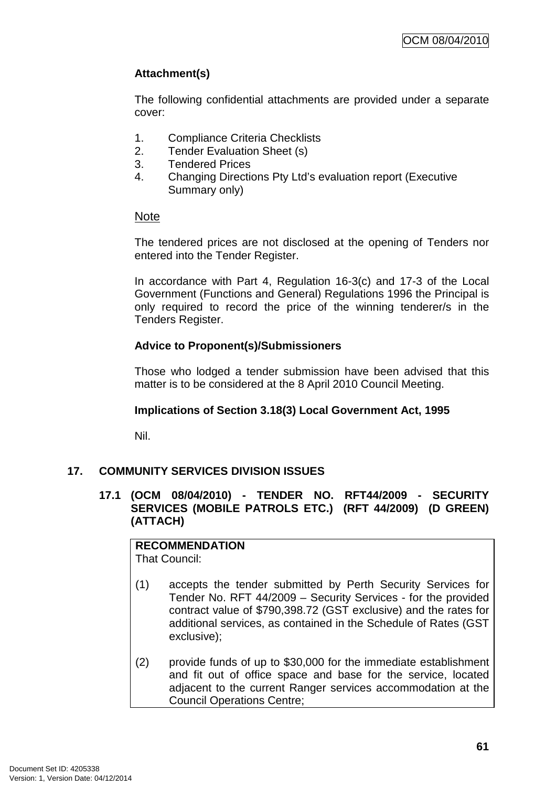# **Attachment(s)**

The following confidential attachments are provided under a separate cover:

- 1. Compliance Criteria Checklists
- 2. Tender Evaluation Sheet (s)
- 3. Tendered Prices
- 4. Changing Directions Pty Ltd's evaluation report (Executive Summary only)

## Note

The tendered prices are not disclosed at the opening of Tenders nor entered into the Tender Register.

In accordance with Part 4, Regulation 16-3(c) and 17-3 of the Local Government (Functions and General) Regulations 1996 the Principal is only required to record the price of the winning tenderer/s in the Tenders Register.

# **Advice to Proponent(s)/Submissioners**

Those who lodged a tender submission have been advised that this matter is to be considered at the 8 April 2010 Council Meeting.

### **Implications of Section 3.18(3) Local Government Act, 1995**

Nil.

# **17. COMMUNITY SERVICES DIVISION ISSUES**

**17.1 (OCM 08/04/2010) - TENDER NO. RFT44/2009 - SECURITY SERVICES (MOBILE PATROLS ETC.) (RFT 44/2009) (D GREEN) (ATTACH)** 

**RECOMMENDATION** That Council:

- (1) accepts the tender submitted by Perth Security Services for Tender No. RFT 44/2009 – Security Services - for the provided contract value of \$790,398.72 (GST exclusive) and the rates for additional services, as contained in the Schedule of Rates (GST exclusive);
- (2) provide funds of up to \$30,000 for the immediate establishment and fit out of office space and base for the service, located adjacent to the current Ranger services accommodation at the Council Operations Centre;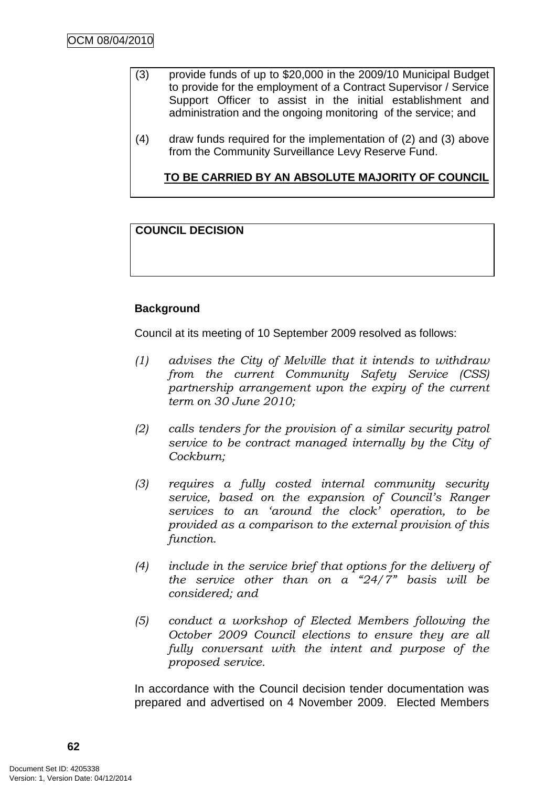- (3) provide funds of up to \$20,000 in the 2009/10 Municipal Budget to provide for the employment of a Contract Supervisor / Service Support Officer to assist in the initial establishment and administration and the ongoing monitoring of the service; and
- (4) draw funds required for the implementation of (2) and (3) above from the Community Surveillance Levy Reserve Fund.

**TO BE CARRIED BY AN ABSOLUTE MAJORITY OF COUNCIL**

# **COUNCIL DECISION**

# **Background**

Council at its meeting of 10 September 2009 resolved as follows:

- (1) advises the City of Melville that it intends to withdraw from the current Community Safety Service (CSS) partnership arrangement upon the expiry of the current term on 30 June 2010;
- (2) calls tenders for the provision of a similar security patrol service to be contract managed internally by the City of Cockburn;
- (3) requires a fully costed internal community security service, based on the expansion of Council's Ranger services to an 'around the clock' operation, to be provided as a comparison to the external provision of this function.
- (4) include in the service brief that options for the delivery of the service other than on a  $24/7$ " basis will be considered; and
- (5) conduct a workshop of Elected Members following the October 2009 Council elections to ensure they are all fully conversant with the intent and purpose of the proposed service.

In accordance with the Council decision tender documentation was prepared and advertised on 4 November 2009. Elected Members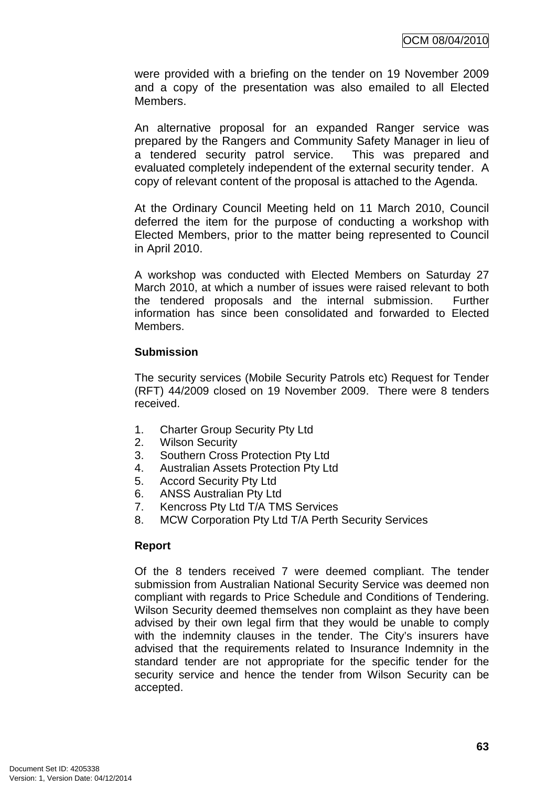were provided with a briefing on the tender on 19 November 2009 and a copy of the presentation was also emailed to all Elected Members.

An alternative proposal for an expanded Ranger service was prepared by the Rangers and Community Safety Manager in lieu of a tendered security patrol service. This was prepared and evaluated completely independent of the external security tender. A copy of relevant content of the proposal is attached to the Agenda.

At the Ordinary Council Meeting held on 11 March 2010, Council deferred the item for the purpose of conducting a workshop with Elected Members, prior to the matter being represented to Council in April 2010.

A workshop was conducted with Elected Members on Saturday 27 March 2010, at which a number of issues were raised relevant to both the tendered proposals and the internal submission. Further information has since been consolidated and forwarded to Elected Members.

## **Submission**

The security services (Mobile Security Patrols etc) Request for Tender (RFT) 44/2009 closed on 19 November 2009. There were 8 tenders received.

- 1. Charter Group Security Pty Ltd
- 2. Wilson Security
- 3. Southern Cross Protection Pty Ltd
- 4. Australian Assets Protection Pty Ltd
- 5. Accord Security Pty Ltd
- 6. ANSS Australian Pty Ltd
- 7. Kencross Pty Ltd T/A TMS Services
- 8. MCW Corporation Pty Ltd T/A Perth Security Services

# **Report**

Of the 8 tenders received 7 were deemed compliant. The tender submission from Australian National Security Service was deemed non compliant with regards to Price Schedule and Conditions of Tendering. Wilson Security deemed themselves non complaint as they have been advised by their own legal firm that they would be unable to comply with the indemnity clauses in the tender. The City's insurers have advised that the requirements related to Insurance Indemnity in the standard tender are not appropriate for the specific tender for the security service and hence the tender from Wilson Security can be accepted.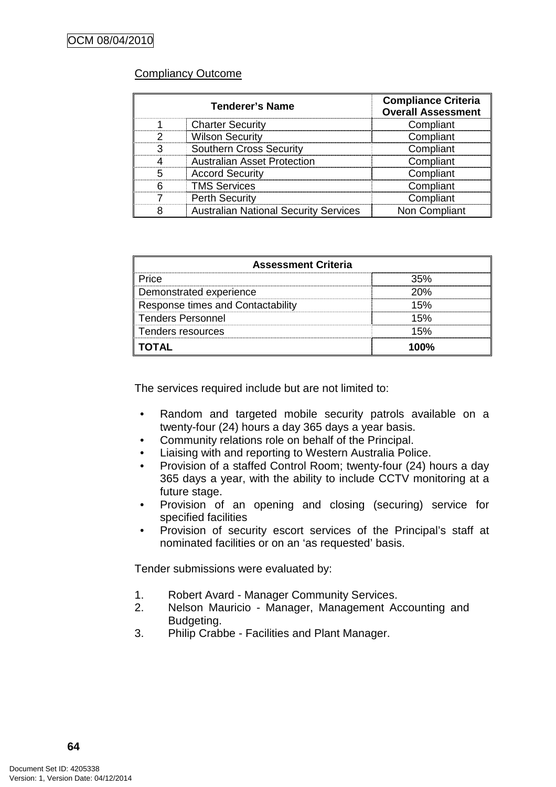## Compliancy Outcome

| <b>Tenderer's Name</b> |                                              | <b>Compliance Criteria</b><br><b>Overall Assessment</b> |
|------------------------|----------------------------------------------|---------------------------------------------------------|
|                        | <b>Charter Security</b>                      | Compliant                                               |
| 2                      | <b>Wilson Security</b>                       | Compliant                                               |
|                        | <b>Southern Cross Security</b>               | Compliant                                               |
|                        | <b>Australian Asset Protection</b>           | Compliant                                               |
| 5                      | <b>Accord Security</b>                       | Compliant                                               |
|                        | <b>TMS Services</b>                          | Compliant                                               |
|                        | <b>Perth Security</b>                        | Compliant                                               |
|                        | <b>Australian National Security Services</b> | Non Compliant                                           |

| <b>Assessment Criteria</b>        |     |  |  |
|-----------------------------------|-----|--|--|
| Price                             |     |  |  |
| Demonstrated experience           | 20% |  |  |
| Response times and Contactability |     |  |  |
| <b>Tenders Personnel</b>          |     |  |  |
| Tenders resources                 | 50% |  |  |
| ΠΑΤΩ                              |     |  |  |

The services required include but are not limited to:

- Random and targeted mobile security patrols available on a twenty-four (24) hours a day 365 days a year basis.
- Community relations role on behalf of the Principal.
- Liaising with and reporting to Western Australia Police.
- Provision of a staffed Control Room; twenty-four (24) hours a day 365 days a year, with the ability to include CCTV monitoring at a future stage.
- Provision of an opening and closing (securing) service for specified facilities
- Provision of security escort services of the Principal's staff at nominated facilities or on an 'as requested' basis.

Tender submissions were evaluated by:

- 1. Robert Avard Manager Community Services.
- 2. Nelson Mauricio Manager, Management Accounting and Budgeting.
- 3. Philip Crabbe Facilities and Plant Manager.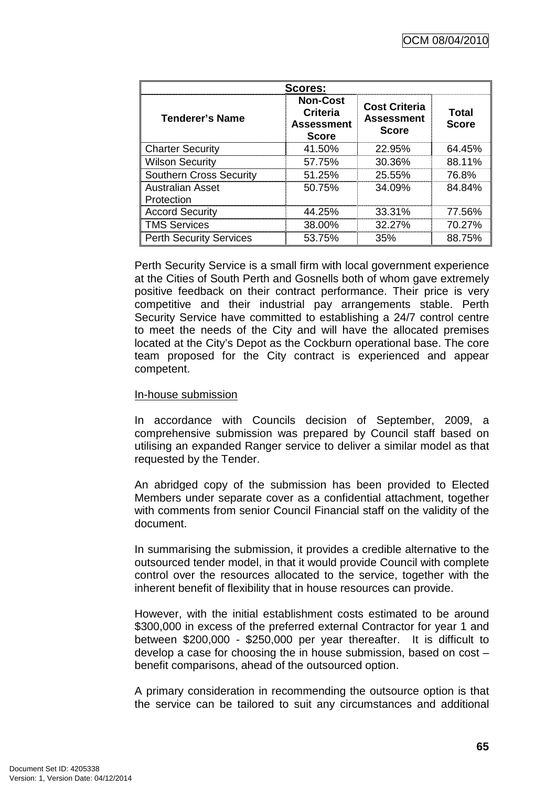| Scores:                               |                                                                         |                                                           |                       |  |  |
|---------------------------------------|-------------------------------------------------------------------------|-----------------------------------------------------------|-----------------------|--|--|
| <b>Tenderer's Name</b>                | <b>Non-Cost</b><br><b>Criteria</b><br><b>Assessment</b><br><b>Score</b> | <b>Cost Criteria</b><br><b>Assessment</b><br><b>Score</b> | Total<br><b>Score</b> |  |  |
| <b>Charter Security</b>               | 41.50%                                                                  | 22.95%                                                    | 64.45%                |  |  |
| <b>Wilson Security</b>                | 57.75%                                                                  | 30.36%                                                    | 88.11%                |  |  |
| <b>Southern Cross Security</b>        | $51.25\%$                                                               | 25.55%                                                    | 76.8%                 |  |  |
| <b>Australian Asset</b><br>Protection | 50.75%                                                                  | 34.09%                                                    | 84.84%                |  |  |
| <b>Accord Security</b>                | 44.25%                                                                  | 33.31%                                                    | 77.56%                |  |  |
| <b>TMS Services</b>                   | 38.00%                                                                  | 32.27%                                                    | 70.27%                |  |  |
| <b>Perth Security Services</b>        | 53.75%                                                                  | 35%                                                       | 88.75%                |  |  |

Perth Security Service is a small firm with local government experience at the Cities of South Perth and Gosnells both of whom gave extremely positive feedback on their contract performance. Their price is very competitive and their industrial pay arrangements stable. Perth Security Service have committed to establishing a 24/7 control centre to meet the needs of the City and will have the allocated premises located at the City's Depot as the Cockburn operational base. The core team proposed for the City contract is experienced and appear competent.

#### In-house submission

In accordance with Councils decision of September, 2009, a comprehensive submission was prepared by Council staff based on utilising an expanded Ranger service to deliver a similar model as that requested by the Tender.

An abridged copy of the submission has been provided to Elected Members under separate cover as a confidential attachment, together with comments from senior Council Financial staff on the validity of the document.

In summarising the submission, it provides a credible alternative to the outsourced tender model, in that it would provide Council with complete control over the resources allocated to the service, together with the inherent benefit of flexibility that in house resources can provide.

However, with the initial establishment costs estimated to be around \$300,000 in excess of the preferred external Contractor for year 1 and between \$200,000 - \$250,000 per year thereafter. It is difficult to develop a case for choosing the in house submission, based on cost – benefit comparisons, ahead of the outsourced option.

A primary consideration in recommending the outsource option is that the service can be tailored to suit any circumstances and additional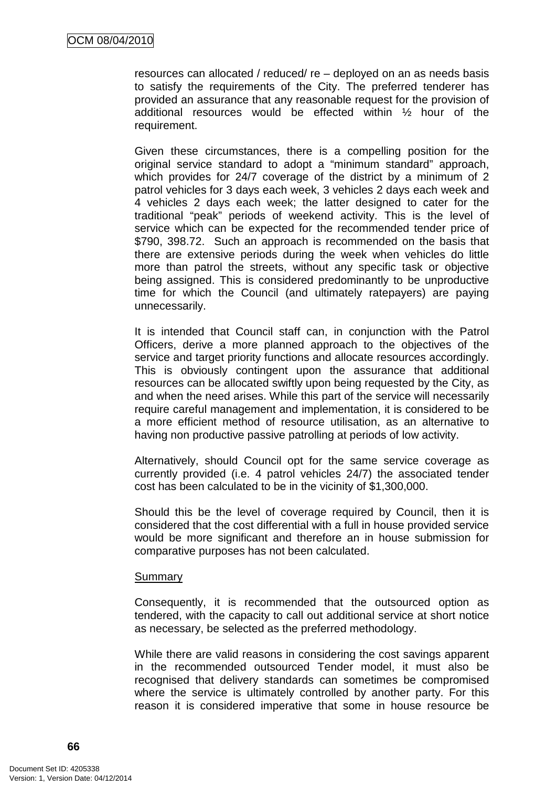resources can allocated / reduced/ re – deployed on an as needs basis to satisfy the requirements of the City. The preferred tenderer has provided an assurance that any reasonable request for the provision of additional resources would be effected within ½ hour of the requirement.

Given these circumstances, there is a compelling position for the original service standard to adopt a "minimum standard" approach, which provides for 24/7 coverage of the district by a minimum of 2 patrol vehicles for 3 days each week, 3 vehicles 2 days each week and 4 vehicles 2 days each week; the latter designed to cater for the traditional "peak" periods of weekend activity. This is the level of service which can be expected for the recommended tender price of \$790, 398.72. Such an approach is recommended on the basis that there are extensive periods during the week when vehicles do little more than patrol the streets, without any specific task or objective being assigned. This is considered predominantly to be unproductive time for which the Council (and ultimately ratepayers) are paying unnecessarily.

It is intended that Council staff can, in conjunction with the Patrol Officers, derive a more planned approach to the objectives of the service and target priority functions and allocate resources accordingly. This is obviously contingent upon the assurance that additional resources can be allocated swiftly upon being requested by the City, as and when the need arises. While this part of the service will necessarily require careful management and implementation, it is considered to be a more efficient method of resource utilisation, as an alternative to having non productive passive patrolling at periods of low activity.

Alternatively, should Council opt for the same service coverage as currently provided (i.e. 4 patrol vehicles 24/7) the associated tender cost has been calculated to be in the vicinity of \$1,300,000.

Should this be the level of coverage required by Council, then it is considered that the cost differential with a full in house provided service would be more significant and therefore an in house submission for comparative purposes has not been calculated.

#### Summary

Consequently, it is recommended that the outsourced option as tendered, with the capacity to call out additional service at short notice as necessary, be selected as the preferred methodology.

While there are valid reasons in considering the cost savings apparent in the recommended outsourced Tender model, it must also be recognised that delivery standards can sometimes be compromised where the service is ultimately controlled by another party. For this reason it is considered imperative that some in house resource be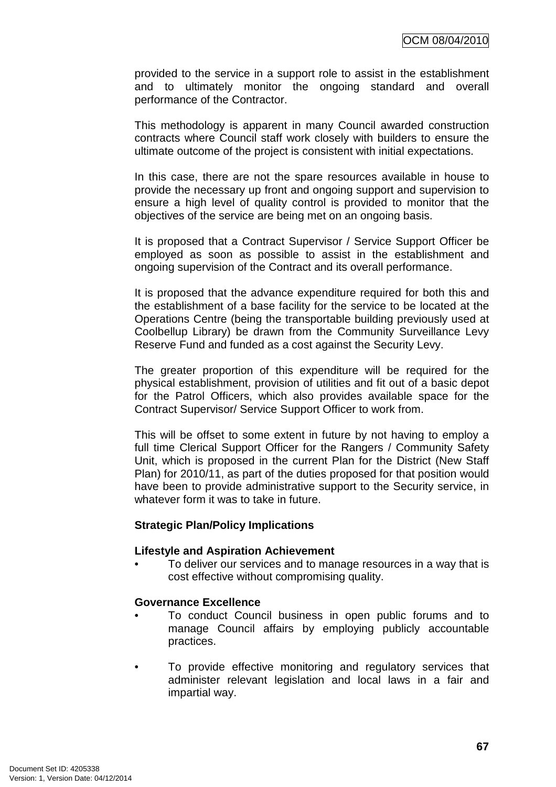provided to the service in a support role to assist in the establishment and to ultimately monitor the ongoing standard and overall performance of the Contractor.

This methodology is apparent in many Council awarded construction contracts where Council staff work closely with builders to ensure the ultimate outcome of the project is consistent with initial expectations.

In this case, there are not the spare resources available in house to provide the necessary up front and ongoing support and supervision to ensure a high level of quality control is provided to monitor that the objectives of the service are being met on an ongoing basis.

It is proposed that a Contract Supervisor / Service Support Officer be employed as soon as possible to assist in the establishment and ongoing supervision of the Contract and its overall performance.

It is proposed that the advance expenditure required for both this and the establishment of a base facility for the service to be located at the Operations Centre (being the transportable building previously used at Coolbellup Library) be drawn from the Community Surveillance Levy Reserve Fund and funded as a cost against the Security Levy.

The greater proportion of this expenditure will be required for the physical establishment, provision of utilities and fit out of a basic depot for the Patrol Officers, which also provides available space for the Contract Supervisor/ Service Support Officer to work from.

This will be offset to some extent in future by not having to employ a full time Clerical Support Officer for the Rangers / Community Safety Unit, which is proposed in the current Plan for the District (New Staff Plan) for 2010/11, as part of the duties proposed for that position would have been to provide administrative support to the Security service, in whatever form it was to take in future.

#### **Strategic Plan/Policy Implications**

#### **Lifestyle and Aspiration Achievement**

• To deliver our services and to manage resources in a way that is cost effective without compromising quality.

### **Governance Excellence**

- To conduct Council business in open public forums and to manage Council affairs by employing publicly accountable practices.
- To provide effective monitoring and regulatory services that administer relevant legislation and local laws in a fair and impartial way.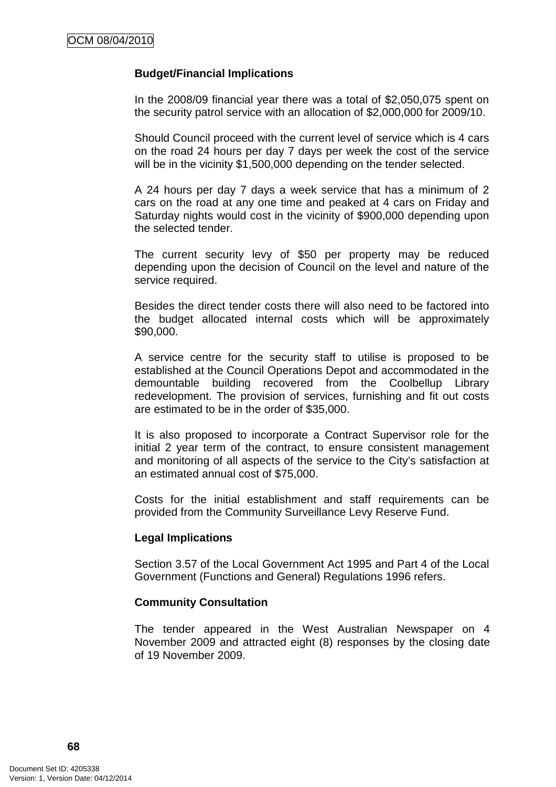### **Budget/Financial Implications**

In the 2008/09 financial year there was a total of \$2,050,075 spent on the security patrol service with an allocation of \$2,000,000 for 2009/10.

Should Council proceed with the current level of service which is 4 cars on the road 24 hours per day 7 days per week the cost of the service will be in the vicinity \$1,500,000 depending on the tender selected.

A 24 hours per day 7 days a week service that has a minimum of 2 cars on the road at any one time and peaked at 4 cars on Friday and Saturday nights would cost in the vicinity of \$900,000 depending upon the selected tender.

The current security levy of \$50 per property may be reduced depending upon the decision of Council on the level and nature of the service required.

Besides the direct tender costs there will also need to be factored into the budget allocated internal costs which will be approximately \$90,000.

A service centre for the security staff to utilise is proposed to be established at the Council Operations Depot and accommodated in the demountable building recovered from the Coolbellup Library redevelopment. The provision of services, furnishing and fit out costs are estimated to be in the order of \$35,000.

It is also proposed to incorporate a Contract Supervisor role for the initial 2 year term of the contract, to ensure consistent management and monitoring of all aspects of the service to the City's satisfaction at an estimated annual cost of \$75,000.

Costs for the initial establishment and staff requirements can be provided from the Community Surveillance Levy Reserve Fund.

#### **Legal Implications**

Section 3.57 of the Local Government Act 1995 and Part 4 of the Local Government (Functions and General) Regulations 1996 refers.

#### **Community Consultation**

The tender appeared in the West Australian Newspaper on 4 November 2009 and attracted eight (8) responses by the closing date of 19 November 2009.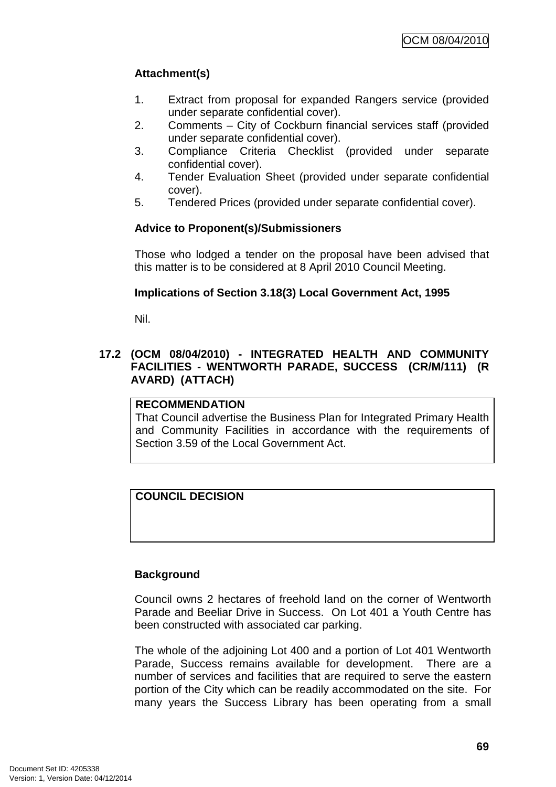# **Attachment(s)**

- 1. Extract from proposal for expanded Rangers service (provided under separate confidential cover).
- 2. Comments City of Cockburn financial services staff (provided under separate confidential cover).
- 3. Compliance Criteria Checklist (provided under separate confidential cover).
- 4. Tender Evaluation Sheet (provided under separate confidential cover).
- 5. Tendered Prices (provided under separate confidential cover).

# **Advice to Proponent(s)/Submissioners**

Those who lodged a tender on the proposal have been advised that this matter is to be considered at 8 April 2010 Council Meeting.

# **Implications of Section 3.18(3) Local Government Act, 1995**

Nil.

# **17.2 (OCM 08/04/2010) - INTEGRATED HEALTH AND COMMUNITY FACILITIES - WENTWORTH PARADE, SUCCESS (CR/M/111) (R AVARD) (ATTACH)**

# **RECOMMENDATION**

That Council advertise the Business Plan for Integrated Primary Health and Community Facilities in accordance with the requirements of Section 3.59 of the Local Government Act.

# **COUNCIL DECISION**

# **Background**

Council owns 2 hectares of freehold land on the corner of Wentworth Parade and Beeliar Drive in Success. On Lot 401 a Youth Centre has been constructed with associated car parking.

The whole of the adjoining Lot 400 and a portion of Lot 401 Wentworth Parade, Success remains available for development. There are a number of services and facilities that are required to serve the eastern portion of the City which can be readily accommodated on the site. For many years the Success Library has been operating from a small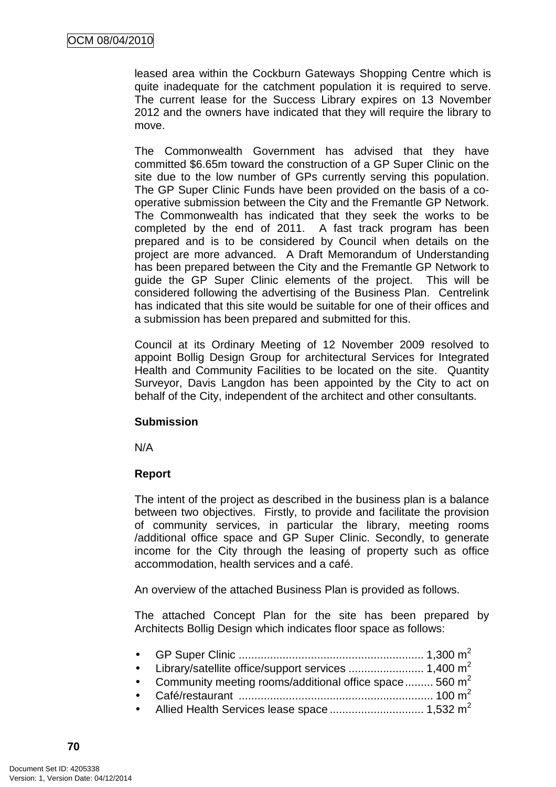leased area within the Cockburn Gateways Shopping Centre which is quite inadequate for the catchment population it is required to serve. The current lease for the Success Library expires on 13 November 2012 and the owners have indicated that they will require the library to move.

The Commonwealth Government has advised that they have committed \$6.65m toward the construction of a GP Super Clinic on the site due to the low number of GPs currently serving this population. The GP Super Clinic Funds have been provided on the basis of a cooperative submission between the City and the Fremantle GP Network. The Commonwealth has indicated that they seek the works to be completed by the end of 2011. A fast track program has been prepared and is to be considered by Council when details on the project are more advanced. A Draft Memorandum of Understanding has been prepared between the City and the Fremantle GP Network to guide the GP Super Clinic elements of the project. This will be considered following the advertising of the Business Plan. Centrelink has indicated that this site would be suitable for one of their offices and a submission has been prepared and submitted for this.

Council at its Ordinary Meeting of 12 November 2009 resolved to appoint Bollig Design Group for architectural Services for Integrated Health and Community Facilities to be located on the site. Quantity Surveyor, Davis Langdon has been appointed by the City to act on behalf of the City, independent of the architect and other consultants.

# **Submission**

N/A

# **Report**

The intent of the project as described in the business plan is a balance between two objectives. Firstly, to provide and facilitate the provision of community services, in particular the library, meeting rooms /additional office space and GP Super Clinic. Secondly, to generate income for the City through the leasing of property such as office accommodation, health services and a café.

An overview of the attached Business Plan is provided as follows.

The attached Concept Plan for the site has been prepared by Architects Bollig Design which indicates floor space as follows:

| • Community meeting rooms/additional office space  560 $m^2$ |  |
|--------------------------------------------------------------|--|
|                                                              |  |
|                                                              |  |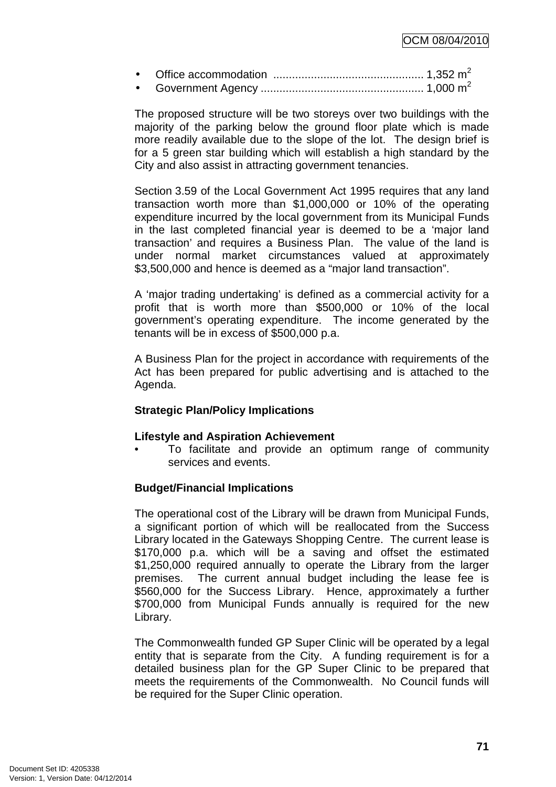• Office accommodation ................................................ 1,352 m<sup>2</sup> • Government Agency .................................................... 1,000 m<sup>2</sup>

The proposed structure will be two storeys over two buildings with the majority of the parking below the ground floor plate which is made more readily available due to the slope of the lot. The design brief is for a 5 green star building which will establish a high standard by the City and also assist in attracting government tenancies.

Section 3.59 of the Local Government Act 1995 requires that any land transaction worth more than \$1,000,000 or 10% of the operating expenditure incurred by the local government from its Municipal Funds in the last completed financial year is deemed to be a 'major land transaction' and requires a Business Plan. The value of the land is under normal market circumstances valued at approximately \$3,500,000 and hence is deemed as a "major land transaction".

A 'major trading undertaking' is defined as a commercial activity for a profit that is worth more than \$500,000 or 10% of the local government's operating expenditure. The income generated by the tenants will be in excess of \$500,000 p.a.

A Business Plan for the project in accordance with requirements of the Act has been prepared for public advertising and is attached to the Agenda.

# **Strategic Plan/Policy Implications**

# **Lifestyle and Aspiration Achievement**

• To facilitate and provide an optimum range of community services and events.

# **Budget/Financial Implications**

The operational cost of the Library will be drawn from Municipal Funds, a significant portion of which will be reallocated from the Success Library located in the Gateways Shopping Centre. The current lease is \$170,000 p.a. which will be a saving and offset the estimated \$1,250,000 required annually to operate the Library from the larger premises. The current annual budget including the lease fee is \$560,000 for the Success Library. Hence, approximately a further \$700,000 from Municipal Funds annually is required for the new Library.

The Commonwealth funded GP Super Clinic will be operated by a legal entity that is separate from the City. A funding requirement is for a detailed business plan for the GP Super Clinic to be prepared that meets the requirements of the Commonwealth. No Council funds will be required for the Super Clinic operation.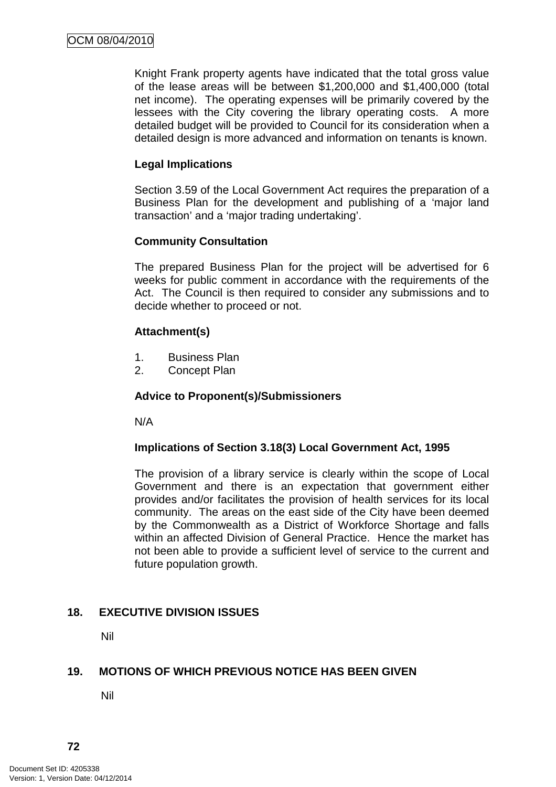Knight Frank property agents have indicated that the total gross value of the lease areas will be between \$1,200,000 and \$1,400,000 (total net income). The operating expenses will be primarily covered by the lessees with the City covering the library operating costs. A more detailed budget will be provided to Council for its consideration when a detailed design is more advanced and information on tenants is known.

# **Legal Implications**

Section 3.59 of the Local Government Act requires the preparation of a Business Plan for the development and publishing of a 'major land transaction' and a 'major trading undertaking'.

# **Community Consultation**

The prepared Business Plan for the project will be advertised for 6 weeks for public comment in accordance with the requirements of the Act. The Council is then required to consider any submissions and to decide whether to proceed or not.

# **Attachment(s)**

- 1. Business Plan
- 2. Concept Plan

# **Advice to Proponent(s)/Submissioners**

N/A

# **Implications of Section 3.18(3) Local Government Act, 1995**

The provision of a library service is clearly within the scope of Local Government and there is an expectation that government either provides and/or facilitates the provision of health services for its local community. The areas on the east side of the City have been deemed by the Commonwealth as a District of Workforce Shortage and falls within an affected Division of General Practice. Hence the market has not been able to provide a sufficient level of service to the current and future population growth.

# **18. EXECUTIVE DIVISION ISSUES**

Nil

# **19. MOTIONS OF WHICH PREVIOUS NOTICE HAS BEEN GIVEN**

Nil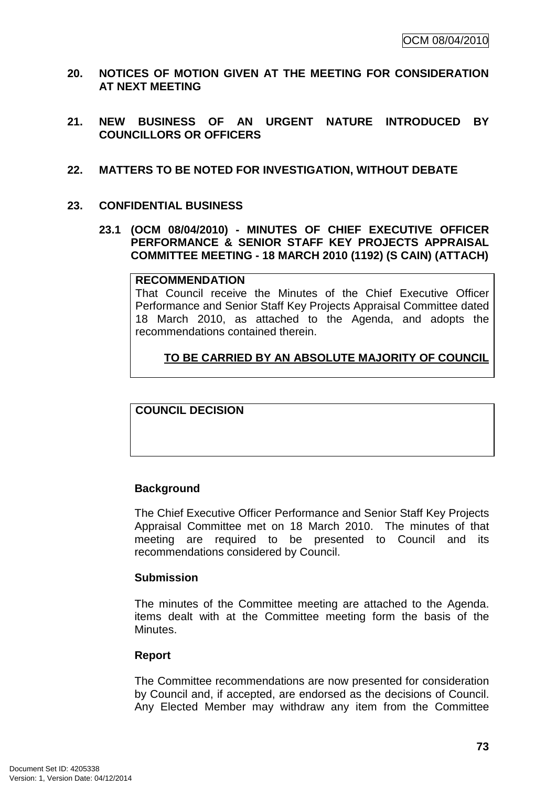- **20. NOTICES OF MOTION GIVEN AT THE MEETING FOR CONSIDERATION AT NEXT MEETING**
- **21. NEW BUSINESS OF AN URGENT NATURE INTRODUCED BY COUNCILLORS OR OFFICERS**
- **22. MATTERS TO BE NOTED FOR INVESTIGATION, WITHOUT DEBATE**
- **23. CONFIDENTIAL BUSINESS** 
	- **23.1 (OCM 08/04/2010) MINUTES OF CHIEF EXECUTIVE OFFICER PERFORMANCE & SENIOR STAFF KEY PROJECTS APPRAISAL COMMITTEE MEETING - 18 MARCH 2010 (1192) (S CAIN) (ATTACH)**

#### **RECOMMENDATION**

That Council receive the Minutes of the Chief Executive Officer Performance and Senior Staff Key Projects Appraisal Committee dated 18 March 2010, as attached to the Agenda, and adopts the recommendations contained therein.

# **TO BE CARRIED BY AN ABSOLUTE MAJORITY OF COUNCIL**

**COUNCIL DECISION** 

# **Background**

The Chief Executive Officer Performance and Senior Staff Key Projects Appraisal Committee met on 18 March 2010. The minutes of that meeting are required to be presented to Council and its recommendations considered by Council.

# **Submission**

The minutes of the Committee meeting are attached to the Agenda. items dealt with at the Committee meeting form the basis of the Minutes.

# **Report**

The Committee recommendations are now presented for consideration by Council and, if accepted, are endorsed as the decisions of Council. Any Elected Member may withdraw any item from the Committee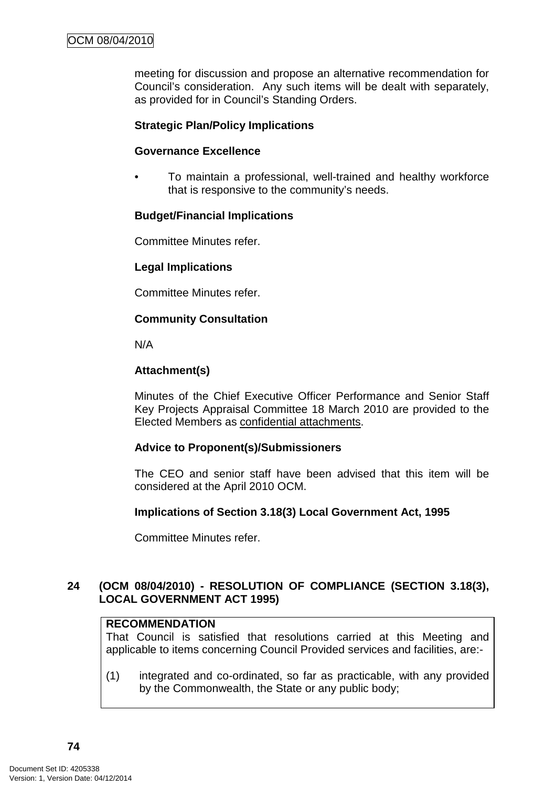meeting for discussion and propose an alternative recommendation for Council's consideration. Any such items will be dealt with separately, as provided for in Council's Standing Orders.

# **Strategic Plan/Policy Implications**

#### **Governance Excellence**

• To maintain a professional, well-trained and healthy workforce that is responsive to the community's needs.

# **Budget/Financial Implications**

Committee Minutes refer.

# **Legal Implications**

Committee Minutes refer.

# **Community Consultation**

N/A

# **Attachment(s)**

Minutes of the Chief Executive Officer Performance and Senior Staff Key Projects Appraisal Committee 18 March 2010 are provided to the Elected Members as confidential attachments.

# **Advice to Proponent(s)/Submissioners**

The CEO and senior staff have been advised that this item will be considered at the April 2010 OCM.

# **Implications of Section 3.18(3) Local Government Act, 1995**

Committee Minutes refer.

# **24 (OCM 08/04/2010) - RESOLUTION OF COMPLIANCE (SECTION 3.18(3), LOCAL GOVERNMENT ACT 1995)**

# **RECOMMENDATION**

That Council is satisfied that resolutions carried at this Meeting and applicable to items concerning Council Provided services and facilities, are:-

(1) integrated and co-ordinated, so far as practicable, with any provided by the Commonwealth, the State or any public body;